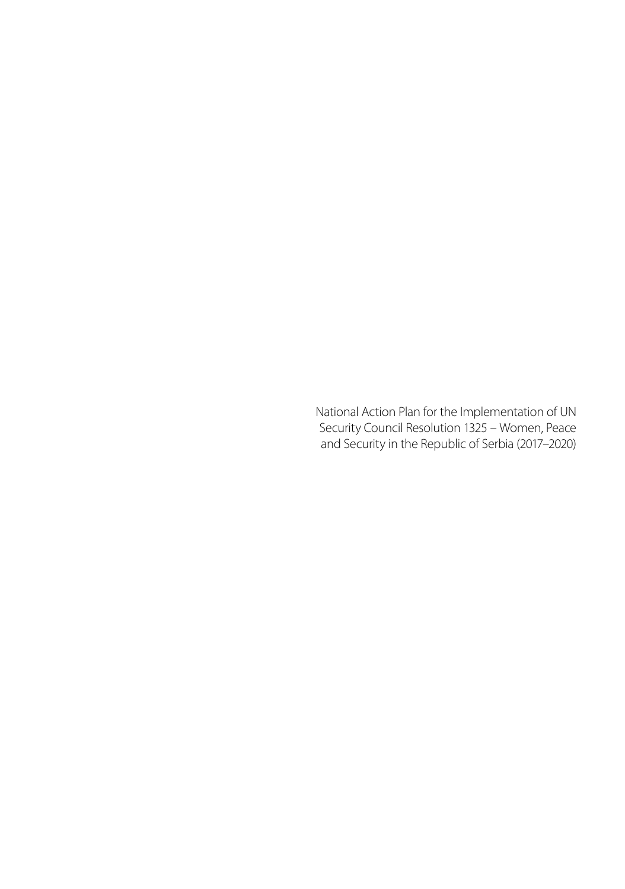National Action Plan for the Implementation of UN Security Council Resolution 1325 – Women, Peace and Security in the Republic of Serbia (2017–2020)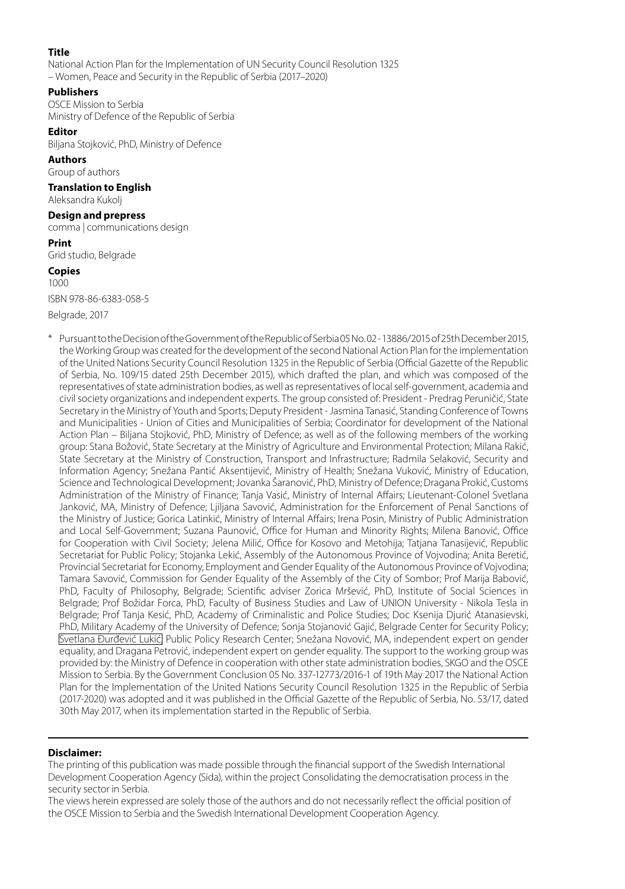#### **Title**

National Action Plan for the Implementation of UN Security Council Resolution 1325 – Women, Peace and Security in the Republic of Serbia (2017–2020)

#### **Publishers**

OSCE Mission to Serbia Ministry of Defence of the Republic of Serbia

#### **Editor**

Biljana Stojković, PhD, Ministry of Defence

#### **Authors**

Group of authors

#### **Translation to English**

Aleksandra Kukolj

#### **Design and prepress**

comma | communications design

#### **Print**

Grid studio, Belgrade

#### **Copies** 1000

ISBN 978-86-6383-058-5

Belgrade, 2017

Pursuant to the Decision of the Government of the Republic of Serbia 05 No. 02 - 13886/2015 of 25th December 2015, the Working Group was created for the development of the second National Action Plan for the implementation of the United Nations Security Council Resolution 1325 in the Republic of Serbia (Official Gazette of the Republic of Serbia, No. 109/15 dated 25th December 2015), which drafted the plan, and which was composed of the representatives of state administration bodies, as well as representatives of local self-government, academia and civil society organizations and independent experts. The group consisted of: President - Predrag Peruničić, State Secretary in the Ministry of Youth and Sports; Deputy President - Jasmina Tanasić, Standing Conference of Towns and Municipalities - Union of Cities and Municipalities of Serbia; Coordinator for development of the National Action Plan – Biljana Stojković, PhD, Ministry of Defence; as well as of the following members of the working group: Stana Božović, State Secretary at the Ministry of Agriculture and Environmental Protection; Milana Rakić, State Secretary at the Ministry of Construction, Transport and Infrastructure; Radmila Selaković, Security and Information Agency; Snežana Pantić Aksentijević, Ministry of Health; Snežana Vuković, Ministry of Education, Science and Technological Development; Jovanka Šaranović, PhD, Ministry of Defence; Dragana Prokić, Customs Administration of the Ministry of Finance; Tanja Vasić, Ministry of Internal Affairs; Lieutenant-Colonel Svetlana Janković, MA, Ministry of Defence; Ljiljana Savović, Administration for the Enforcement of Penal Sanctions of the Ministry of Justice; Gorica Latinkić, Ministry of Internal Affairs; Irena Posin, Ministry of Public Administration and Local Self-Government; Suzana Paunović, Office for Human and Minority Rights; Milena Banović, Office for Cooperation with Civil Society; Jelena Milić, Office for Kosovo and Metohija; Tatjana Tanasijević, Republic Secretariat for Public Policy; Stojanka Lekić, Assembly of the Autonomous Province of Vojvodina; Anita Beretić, Provincial Secretariat for Economy, Employment and Gender Equality of the Autonomous Province of Vojvodina; Tamara Savović, Commission for Gender Equality of the Assembly of the City of Sombor; Prof Marija Babović, PhD, Faculty of Philosophy, Belgrade; Scientific adviser Zorica Mršević, PhD, Institute of Social Sciences in Belgrade; Prof Božidar Forca, PhD, Faculty of Business Studies and Law of UNION University - Nikola Tesla in Belgrade; Prof Tanja Kesić, PhD, Academy of Criminalistic and Police Studies; Doc Ksenija Djurić Atanasievski, PhD, Military Academy of the University of Defence; Sonja Stojanović Gajić, Belgrade Center for Security Policy; Svetlana Đurđević Lukić, Public Policy Research Center; Snežana Novović, MA, independent expert on gender equality, and Dragana Petrović, independent expert on gender equality. The support to the working group was provided by: the Ministry of Defence in cooperation with other state administration bodies, SKGO and the OSCE Mission to Serbia. By the Government Conclusion 05 No. 337-12773/2016-1 of 19th May 2017 the National Action Plan for the Implementation of the United Nations Security Council Resolution 1325 in the Republic of Serbia (2017-2020) was adopted and it was published in the Official Gazette of the Republic of Serbia, No. 53/17, dated 30th May 2017, when its implementation started in the Republic of Serbia.

#### **Disclaimer:**

The printing of this publication was made possible through the financial support of the Swedish International Development Cooperation Agency (Sida), within the project Consolidating the democratisation process in the security sector in Serbia.

The views herein expressed are solely those of the authors and do not necessarily reflect the official position of the OSCE Mission to Serbia and the Swedish International Development Cooperation Agency.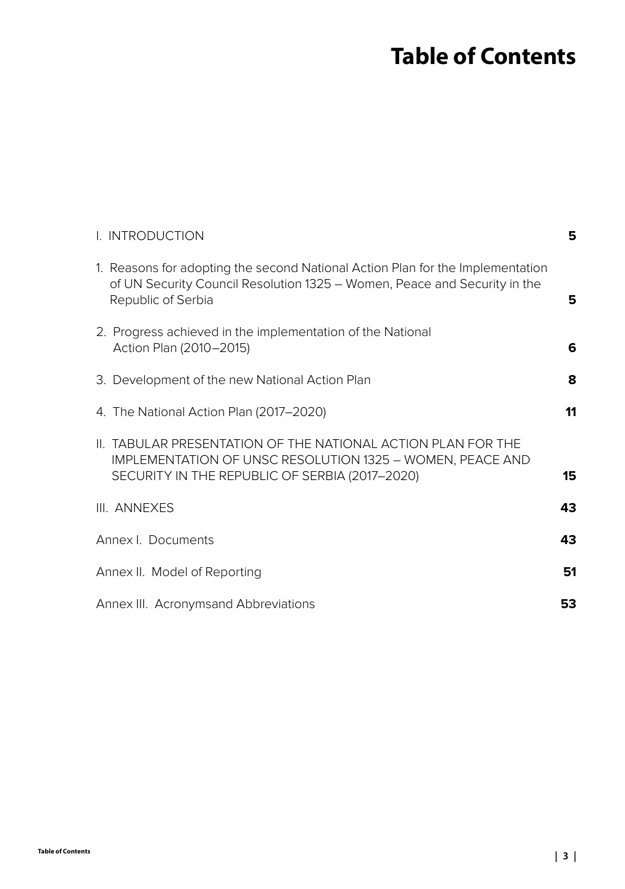# **Table of Contents**

| I. INTRODUCTION                                                                       |                                                                                                                                                             | 5  |
|---------------------------------------------------------------------------------------|-------------------------------------------------------------------------------------------------------------------------------------------------------------|----|
| Republic of Serbia                                                                    | 1. Reasons for adopting the second National Action Plan for the Implementation<br>of UN Security Council Resolution 1325 - Women, Peace and Security in the | 5  |
| 2. Progress achieved in the implementation of the National<br>Action Plan (2010–2015) |                                                                                                                                                             | 6  |
| 3. Development of the new National Action Plan                                        |                                                                                                                                                             | 8  |
| 4. The National Action Plan (2017-2020)                                               |                                                                                                                                                             | 11 |
| SECURITY IN THE REPUBLIC OF SERBIA (2017-2020)                                        | II. TABULAR PRESENTATION OF THE NATIONAL ACTION PLAN FOR THE<br><b>IMPLEMENTATION OF UNSC RESOLUTION 1325 - WOMEN, PEACE AND</b>                            | 15 |
| III. ANNEXES                                                                          |                                                                                                                                                             | 43 |
| Annex I. Documents                                                                    |                                                                                                                                                             | 43 |
| Annex II. Model of Reporting                                                          |                                                                                                                                                             | 51 |
| Annex III. Acronymsand Abbreviations                                                  |                                                                                                                                                             | 53 |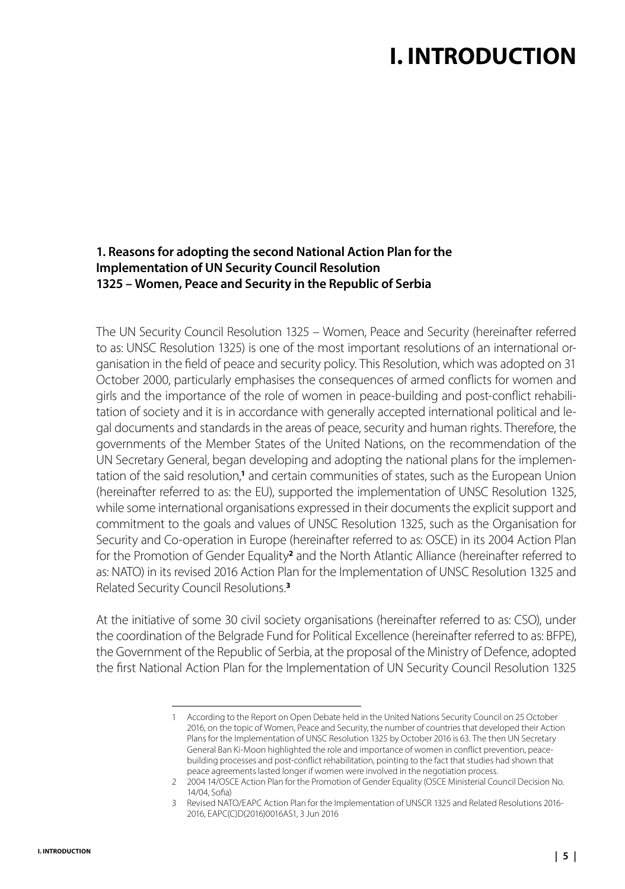# **I. INTRODUCTION**

### <span id="page-4-0"></span>**1. Reasons for adopting the second National Action Plan for the Implementation of UN Security Council Resolution 1325 – Women, Peace and Security in the Republic of Serbia**

The UN Security Council Resolution 1325 – Women, Peace and Security (hereinafter referred to as: UNSC Resolution 1325) is one of the most important resolutions of an international organisation in the field of peace and security policy. This Resolution, which was adopted on 31 October 2000, particularly emphasises the consequences of armed conflicts for women and girls and the importance of the role of women in peace-building and post-conflict rehabilitation of society and it is in accordance with generally accepted international political and legal documents and standards in the areas of peace, security and human rights. Therefore, the governments of the Member States of the United Nations, on the recommendation of the UN Secretary General, began developing and adopting the national plans for the implementation of the said resolution,<sup>1</sup> and certain communities of states, such as the European Union (hereinafter referred to as: the EU), supported the implementation of UNSC Resolution 1325, while some international organisations expressed in their documents the explicit support and commitment to the goals and values of UNSC Resolution 1325, such as the Organisation for Security and Co-operation in Europe (hereinafter referred to as: OSCE) in its 2004 Action Plan for the Promotion of Gender Equality<sup>2</sup> and the North Atlantic Alliance (hereinafter referred to as: NATO) in its revised 2016 Action Plan for the Implementation of UNSC Resolution 1325 and Related Security Council Resolutions.**<sup>3</sup>**

At the initiative of some 30 civil society organisations (hereinafter referred to as: CSO), under the coordination of the Belgrade Fund for Political Excellence (hereinafter referred to as: BFPE), the Government of the Republic of Serbia, at the proposal of the Ministry of Defence, adopted the first National Action Plan for the Implementation of UN Security Council Resolution 1325

<sup>1</sup> According to the Report on Open Debate held in the United Nations Security Council on 25 October 2016, on the topic of Women, Peace and Security, the number of countries that developed their Action Plans for the Implementation of UNSC Resolution 1325 by October 2016 is 63. The then UN Secretary General Ban Ki-Moon highlighted the role and importance of women in conflict prevention, peacebuilding processes and post-conflict rehabilitation, pointing to the fact that studies had shown that peace agreements lasted longer if women were involved in the negotiation process.

<sup>2</sup> 2004 14/OSCE Action Plan for the Promotion of Gender Equality (OSCE Ministerial Council Decision No. 14/04, Sofia)

<sup>3</sup> Revised NATO/EAPC Action Plan for the Implementation of UNSCR 1325 and Related Resolutions 2016- 2016, EAPC(C)D(2016)0016AS1, 3 Jun 2016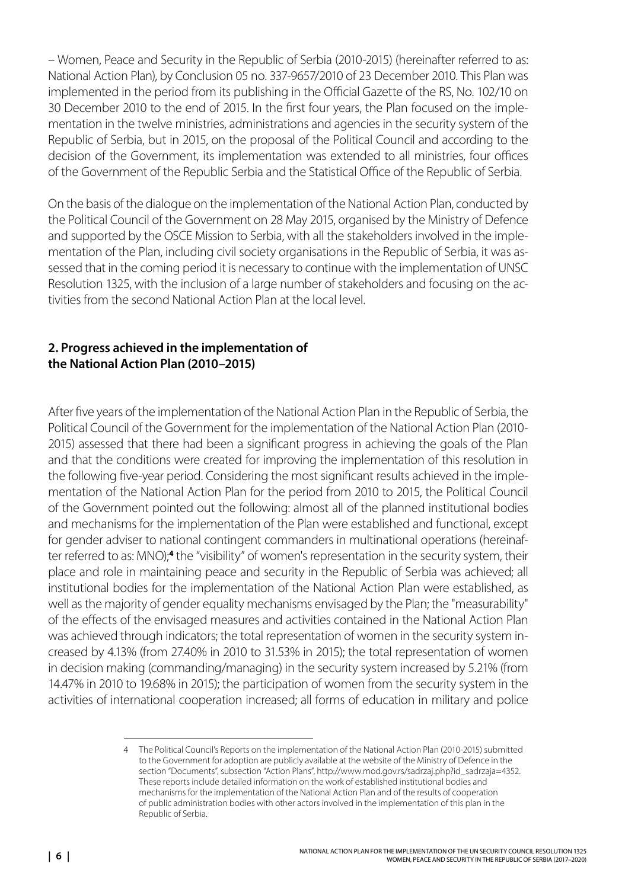<span id="page-5-0"></span>– Women, Peace and Security in the Republic of Serbia (2010-2015) (hereinafter referred to as: National Action Plan), by Conclusion 05 no. 337-9657/2010 of 23 December 2010. This Plan was implemented in the period from its publishing in the Official Gazette of the RS, No. 102/10 on 30 December 2010 to the end of 2015. In the first four years, the Plan focused on the implementation in the twelve ministries, administrations and agencies in the security system of the Republic of Serbia, but in 2015, on the proposal of the Political Council and according to the decision of the Government, its implementation was extended to all ministries, four offices of the Government of the Republic Serbia and the Statistical Office of the Republic of Serbia.

On the basis of the dialogue on the implementation of the National Action Plan, conducted by the Political Council of the Government on 28 May 2015, organised by the Ministry of Defence and supported by the OSCE Mission to Serbia, with all the stakeholders involved in the implementation of the Plan, including civil society organisations in the Republic of Serbia, it was assessed that in the coming period it is necessary to continue with the implementation of UNSC Resolution 1325, with the inclusion of a large number of stakeholders and focusing on the activities from the second National Action Plan at the local level.

## **2. Progress achieved in the implementation of the National Action Plan (2010–2015)**

After five years of the implementation of the National Action Plan in the Republic of Serbia, the Political Council of the Government for the implementation of the National Action Plan (2010- 2015) assessed that there had been a significant progress in achieving the goals of the Plan and that the conditions were created for improving the implementation of this resolution in the following five-year period. Considering the most significant results achieved in the implementation of the National Action Plan for the period from 2010 to 2015, the Political Council of the Government pointed out the following: almost all of the planned institutional bodies and mechanisms for the implementation of the Plan were established and functional, except for gender adviser to national contingent commanders in multinational operations (hereinafter referred to as: MNO);<sup>4</sup> the "visibility" of women's representation in the security system, their place and role in maintaining peace and security in the Republic of Serbia was achieved; all institutional bodies for the implementation of the National Action Plan were established, as well as the majority of gender equality mechanisms envisaged by the Plan; the "measurability" of the effects of the envisaged measures and activities contained in the National Action Plan was achieved through indicators; the total representation of women in the security system increased by 4.13% (from 27.40% in 2010 to 31.53% in 2015); the total representation of women in decision making (commanding/managing) in the security system increased by 5.21% (from 14.47% in 2010 to 19.68% in 2015); the participation of women from the security system in the activities of international cooperation increased; all forms of education in military and police

<sup>4</sup> The Political Council's Reports on the implementation of the National Action Plan (2010-2015) submitted to the Government for adoption are publicly available at the website of the Ministry of Defence in the section "Documents", subsection "Action Plans", http://www.mod.gov.rs/sadrzaj.php?id\_sadrzaja=4352. These reports include detailed information on the work of established institutional bodies and mechanisms for the implementation of the National Action Plan and of the results of cooperation of public administration bodies with other actors involved in the implementation of this plan in the Republic of Serbia.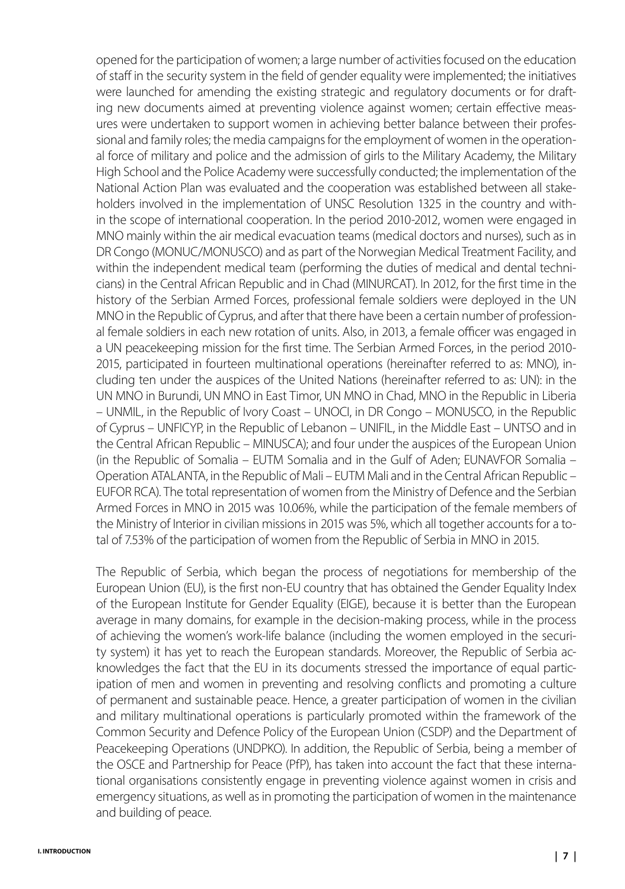opened for the participation of women; a large number of activities focused on the education of staff in the security system in the field of gender equality were implemented; the initiatives were launched for amending the existing strategic and regulatory documents or for drafting new documents aimed at preventing violence against women; certain effective measures were undertaken to support women in achieving better balance between their professional and family roles; the media campaigns for the employment of women in the operational force of military and police and the admission of girls to the Military Academy, the Military High School and the Police Academy were successfully conducted; the implementation of the National Action Plan was evaluated and the cooperation was established between all stakeholders involved in the implementation of UNSC Resolution 1325 in the country and within the scope of international cooperation. In the period 2010-2012, women were engaged in MNO mainly within the air medical evacuation teams (medical doctors and nurses), such as in DR Congo (MONUC/MONUSCO) and as part of the Norwegian Medical Treatment Facility, and within the independent medical team (performing the duties of medical and dental technicians) in the Central African Republic and in Chad (MINURCAT). In 2012, for the first time in the history of the Serbian Armed Forces, professional female soldiers were deployed in the UN MNO in the Republic of Cyprus, and after that there have been a certain number of professional female soldiers in each new rotation of units. Also, in 2013, a female officer was engaged in a UN peacekeeping mission for the first time. The Serbian Armed Forces, in the period 2010- 2015, participated in fourteen multinational operations (hereinafter referred to as: MNO), including ten under the auspices of the United Nations (hereinafter referred to as: UN): in the UN MNO in Burundi, UN MNO in East Timor, UN MNO in Chad, MNO in the Republic in Liberia – UNMIL, in the Republic of Ivory Coast – UNOCI, in DR Congo – MONUSCO, in the Republic of Cyprus – UNFICYP, in the Republic of Lebanon – UNIFIL, in the Middle East – UNTSO and in the Central African Republic – MINUSCA); and four under the auspices of the European Union (in the Republic of Somalia – EUTM Somalia and in the Gulf of Aden; EUNAVFOR Somalia – Operation ATALANTA, in the Republic of Mali – EUTM Mali and in the Central African Republic – EUFOR RCA). The total representation of women from the Ministry of Defence and the Serbian Armed Forces in MNO in 2015 was 10.06%, while the participation of the female members of the Ministry of Interior in civilian missions in 2015 was 5%, which all together accounts for a total of 7.53% of the participation of women from the Republic of Serbia in MNO in 2015.

The Republic of Serbia, which began the process of negotiations for membership of the European Union (EU), is the first non-EU country that has obtained the Gender Equality Index of the European Institute for Gender Equality (EIGE), because it is better than the European average in many domains, for example in the decision-making process, while in the process of achieving the women's work-life balance (including the women employed in the security system) it has yet to reach the European standards. Moreover, the Republic of Serbia acknowledges the fact that the EU in its documents stressed the importance of equal participation of men and women in preventing and resolving conflicts and promoting a culture of permanent and sustainable peace. Hence, a greater participation of women in the civilian and military multinational operations is particularly promoted within the framework of the Common Security and Defence Policy of the European Union (CSDP) and the Department of Peacekeeping Operations (UNDPKO). In addition, the Republic of Serbia, being a member of the OSCE and Partnership for Peace (PfP), has taken into account the fact that these international organisations consistently engage in preventing violence against women in crisis and emergency situations, as well as in promoting the participation of women in the maintenance and building of peace.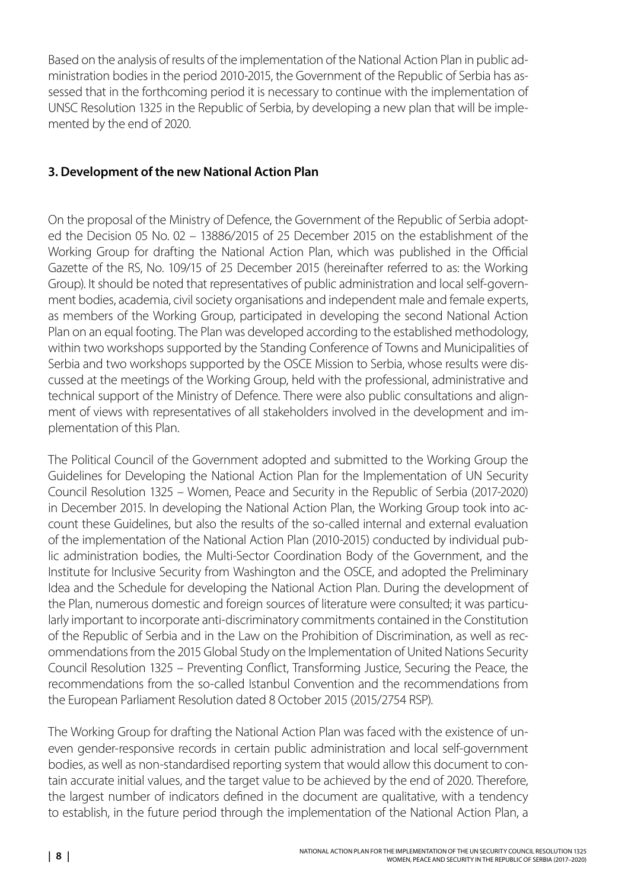<span id="page-7-0"></span>Based on the analysis of results of the implementation of the National Action Plan in public administration bodies in the period 2010-2015, the Government of the Republic of Serbia has assessed that in the forthcoming period it is necessary to continue with the implementation of UNSC Resolution 1325 in the Republic of Serbia, by developing a new plan that will be implemented by the end of 2020.

## **3. Development of the new National Action Plan**

On the proposal of the Ministry of Defence, the Government of the Republic of Serbia adopted the Decision 05 No. 02 – 13886/2015 of 25 December 2015 on the establishment of the Working Group for drafting the National Action Plan, which was published in the Official Gazette of the RS, No. 109/15 of 25 December 2015 (hereinafter referred to as: the Working Group). It should be noted that representatives of public administration and local self-government bodies, academia, civil society organisations and independent male and female experts, as members of the Working Group, participated in developing the second National Action Plan on an equal footing. The Plan was developed according to the established methodology, within two workshops supported by the Standing Conference of Towns and Municipalities of Serbia and two workshops supported by the OSCE Mission to Serbia, whose results were discussed at the meetings of the Working Group, held with the professional, administrative and technical support of the Ministry of Defence. There were also public consultations and alignment of views with representatives of all stakeholders involved in the development and implementation of this Plan.

The Political Council of the Government adopted and submitted to the Working Group the Guidelines for Developing the National Action Plan for the Implementation of UN Security Council Resolution 1325 – Women, Peace and Security in the Republic of Serbia (2017-2020) in December 2015. In developing the National Action Plan, the Working Group took into account these Guidelines, but also the results of the so-called internal and external evaluation of the implementation of the National Action Plan (2010-2015) conducted by individual public administration bodies, the Multi-Sector Coordination Body of the Government, and the Institute for Inclusive Security from Washington and the OSCE, and adopted the Preliminary Idea and the Schedule for developing the National Action Plan. During the development of the Plan, numerous domestic and foreign sources of literature were consulted; it was particularly important to incorporate anti-discriminatory commitments contained in the Constitution of the Republic of Serbia and in the Law on the Prohibition of Discrimination, as well as recommendations from the 2015 Global Study on the Implementation of United Nations Security Council Resolution 1325 – Preventing Conflict, Transforming Justice, Securing the Peace, the recommendations from the so-called Istanbul Convention and the recommendations from the European Parliament Resolution dated 8 October 2015 (2015/2754 RSP).

The Working Group for drafting the National Action Plan was faced with the existence of uneven gender-responsive records in certain public administration and local self-government bodies, as well as non-standardised reporting system that would allow this document to contain accurate initial values, and the target value to be achieved by the end of 2020. Therefore, the largest number of indicators defined in the document are qualitative, with a tendency to establish, in the future period through the implementation of the National Action Plan, a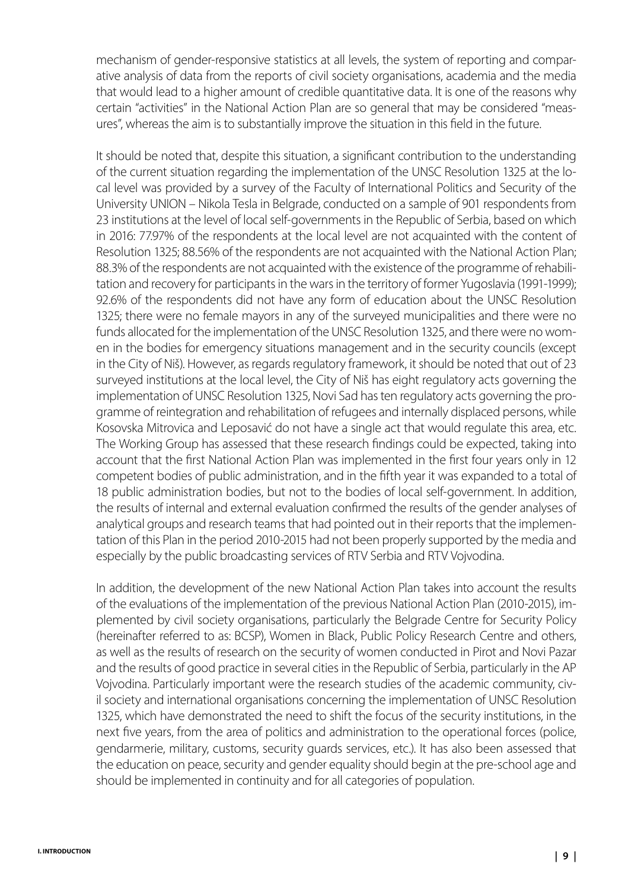mechanism of gender-responsive statistics at all levels, the system of reporting and comparative analysis of data from the reports of civil society organisations, academia and the media that would lead to a higher amount of credible quantitative data. It is one of the reasons why certain "activities" in the National Action Plan are so general that may be considered "measures", whereas the aim is to substantially improve the situation in this field in the future.

It should be noted that, despite this situation, a significant contribution to the understanding of the current situation regarding the implementation of the UNSC Resolution 1325 at the local level was provided by a survey of the Faculty of International Politics and Security of the University UNION – Nikola Tesla in Belgrade, conducted on a sample of 901 respondents from 23 institutions at the level of local self-governments in the Republic of Serbia, based on which in 2016: 77.97% of the respondents at the local level are not acquainted with the content of Resolution 1325; 88.56% of the respondents are not acquainted with the National Action Plan; 88.3% of the respondents are not acquainted with the existence of the programme of rehabilitation and recovery for participants in the wars in the territory of former Yugoslavia (1991-1999); 92.6% of the respondents did not have any form of education about the UNSC Resolution 1325; there were no female mayors in any of the surveyed municipalities and there were no funds allocated for the implementation of the UNSC Resolution 1325, and there were no women in the bodies for emergency situations management and in the security councils (except in the City of Niš). However, as regards regulatory framework, it should be noted that out of 23 surveyed institutions at the local level, the City of Niš has eight regulatory acts governing the implementation of UNSC Resolution 1325, Novi Sad has ten regulatory acts governing the programme of reintegration and rehabilitation of refugees and internally displaced persons, while Kosovska Mitrovica and Leposavić do not have a single act that would regulate this area, etc. The Working Group has assessed that these research findings could be expected, taking into account that the first National Action Plan was implemented in the first four years only in 12 competent bodies of public administration, and in the fifth year it was expanded to a total of 18 public administration bodies, but not to the bodies of local self-government. In addition, the results of internal and external evaluation confirmed the results of the gender analyses of analytical groups and research teams that had pointed out in their reports that the implementation of this Plan in the period 2010-2015 had not been properly supported by the media and especially by the public broadcasting services of RTV Serbia and RTV Vojvodina.

In addition, the development of the new National Action Plan takes into account the results of the evaluations of the implementation of the previous National Action Plan (2010-2015), implemented by civil society organisations, particularly the Belgrade Centre for Security Policy (hereinafter referred to as: BCSP), Women in Black, Public Policy Research Centre and others, as well as the results of research on the security of women conducted in Pirot and Novi Pazar and the results of good practice in several cities in the Republic of Serbia, particularly in the AP Vojvodina. Particularly important were the research studies of the academic community, civil society and international organisations concerning the implementation of UNSC Resolution 1325, which have demonstrated the need to shift the focus of the security institutions, in the next five years, from the area of politics and administration to the operational forces (police, gendarmerie, military, customs, security guards services, etc.). It has also been assessed that the education on peace, security and gender equality should begin at the pre-school age and should be implemented in continuity and for all categories of population.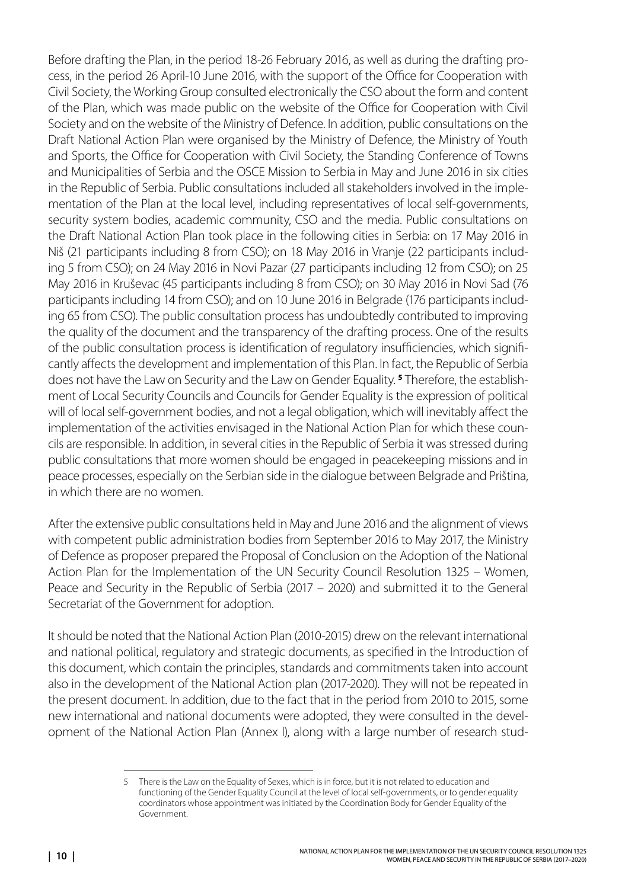Before drafting the Plan, in the period 18-26 February 2016, as well as during the drafting process, in the period 26 April-10 June 2016, with the support of the Office for Cooperation with Civil Society, the Working Group consulted electronically the CSO about the form and content of the Plan, which was made public on the website of the Office for Cooperation with Civil Society and on the website of the Ministry of Defence. In addition, public consultations on the Draft National Action Plan were organised by the Ministry of Defence, the Ministry of Youth and Sports, the Office for Cooperation with Civil Society, the Standing Conference of Towns and Municipalities of Serbia and the OSCE Mission to Serbia in May and June 2016 in six cities in the Republic of Serbia. Public consultations included all stakeholders involved in the implementation of the Plan at the local level, including representatives of local self-governments, security system bodies, academic community, CSO and the media. Public consultations on the Draft National Action Plan took place in the following cities in Serbia: on 17 May 2016 in Niš (21 participants including 8 from CSO); on 18 May 2016 in Vranje (22 participants including 5 from CSO); on 24 May 2016 in Novi Pazar (27 participants including 12 from CSO); on 25 May 2016 in Kruševac (45 participants including 8 from CSO); on 30 May 2016 in Novi Sad (76 participants including 14 from CSO); and on 10 June 2016 in Belgrade (176 participants including 65 from CSO). The public consultation process has undoubtedly contributed to improving the quality of the document and the transparency of the drafting process. One of the results of the public consultation process is identification of regulatory insufficiencies, which significantly affects the development and implementation of this Plan. In fact, the Republic of Serbia does not have the Law on Security and the Law on Gender Equality. **<sup>5</sup>** Therefore, the establishment of Local Security Councils and Councils for Gender Equality is the expression of political will of local self-government bodies, and not a legal obligation, which will inevitably affect the implementation of the activities envisaged in the National Action Plan for which these councils are responsible. In addition, in several cities in the Republic of Serbia it was stressed during public consultations that more women should be engaged in peacekeeping missions and in peace processes, especially on the Serbian side in the dialogue between Belgrade and Priština, in which there are no women.

After the extensive public consultations held in May and June 2016 and the alignment of views with competent public administration bodies from September 2016 to May 2017, the Ministry of Defence as proposer prepared the Proposal of Conclusion on the Adoption of the National Action Plan for the Implementation of the UN Security Council Resolution 1325 – Women, Peace and Security in the Republic of Serbia (2017 – 2020) and submitted it to the General Secretariat of the Government for adoption.

It should be noted that the National Action Plan (2010-2015) drew on the relevant international and national political, regulatory and strategic documents, as specified in the Introduction of this document, which contain the principles, standards and commitments taken into account also in the development of the National Action plan (2017-2020). They will not be repeated in the present document. In addition, due to the fact that in the period from 2010 to 2015, some new international and national documents were adopted, they were consulted in the development of the National Action Plan (Annex I), along with a large number of research stud-

There is the Law on the Equality of Sexes, which is in force, but it is not related to education and functioning of the Gender Equality Council at the level of local self-governments, or to gender equality coordinators whose appointment was initiated by the Coordination Body for Gender Equality of the Government.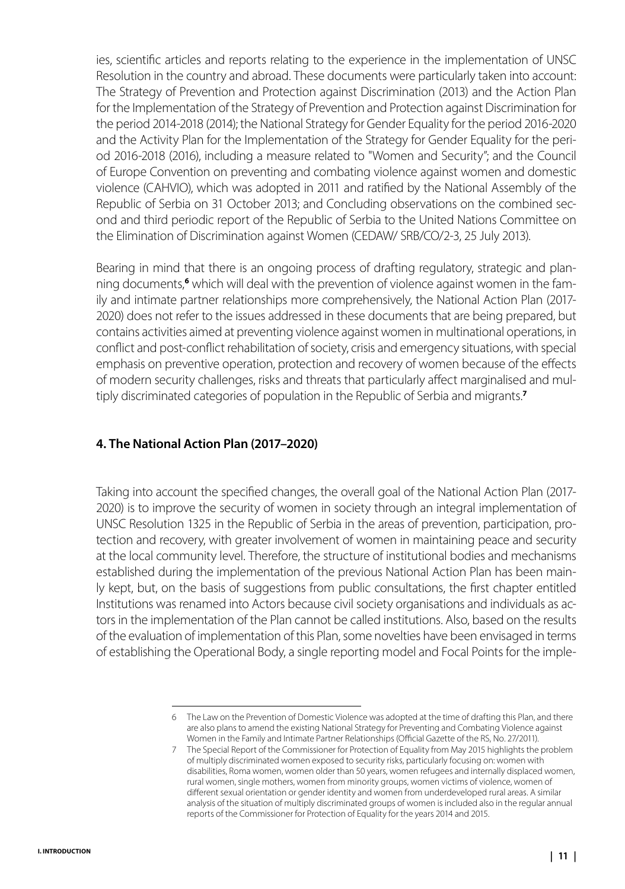<span id="page-10-0"></span>ies, scientific articles and reports relating to the experience in the implementation of UNSC Resolution in the country and abroad. These documents were particularly taken into account: The Strategy of Prevention and Protection against Discrimination (2013) and the Action Plan for the Implementation of the Strategy of Prevention and Protection against Discrimination for the period 2014-2018 (2014); the National Strategy for Gender Equality for the period 2016-2020 and the Activity Plan for the Implementation of the Strategy for Gender Equality for the period 2016-2018 (2016), including a measure related to "Women and Security"; and the Council of Europe Convention on preventing and combating violence against women and domestic violence (CAHVIO), which was adopted in 2011 and ratified by the National Assembly of the Republic of Serbia on 31 October 2013; and Concluding observations on the combined second and third periodic report of the Republic of Serbia to the United Nations Committee on the Elimination of Discrimination against Women (CEDAW/ SRB/CO/2-3, 25 July 2013).

Bearing in mind that there is an ongoing process of drafting regulatory, strategic and planning documents,**<sup>6</sup>** which will deal with the prevention of violence against women in the family and intimate partner relationships more comprehensively, the National Action Plan (2017- 2020) does not refer to the issues addressed in these documents that are being prepared, but contains activities aimed at preventing violence against women in multinational operations, in conflict and post-conflict rehabilitation of society, crisis and emergency situations, with special emphasis on preventive operation, protection and recovery of women because of the effects of modern security challenges, risks and threats that particularly affect marginalised and multiply discriminated categories of population in the Republic of Serbia and migrants.**<sup>7</sup>**

## **4. The National Action Plan (2017–2020)**

Taking into account the specified changes, the overall goal of the National Action Plan (2017- 2020) is to improve the security of women in society through an integral implementation of UNSC Resolution 1325 in the Republic of Serbia in the areas of prevention, participation, protection and recovery, with greater involvement of women in maintaining peace and security at the local community level. Therefore, the structure of institutional bodies and mechanisms established during the implementation of the previous National Action Plan has been mainly kept, but, on the basis of suggestions from public consultations, the first chapter entitled Institutions was renamed into Actors because civil society organisations and individuals as actors in the implementation of the Plan cannot be called institutions. Also, based on the results of the evaluation of implementation of this Plan, some novelties have been envisaged in terms of establishing the Operational Body, a single reporting model and Focal Points for the imple-

<sup>6</sup> The Law on the Prevention of Domestic Violence was adopted at the time of drafting this Plan, and there are also plans to amend the existing National Strategy for Preventing and Combating Violence against Women in the Family and Intimate Partner Relationships (Official Gazette of the RS, No. 27/2011).

<sup>7</sup> The Special Report of the Commissioner for Protection of Equality from May 2015 highlights the problem of multiply discriminated women exposed to security risks, particularly focusing on: women with disabilities, Roma women, women older than 50 years, women refugees and internally displaced women, rural women, single mothers, women from minority groups, women victims of violence, women of different sexual orientation or gender identity and women from underdeveloped rural areas. A similar analysis of the situation of multiply discriminated groups of women is included also in the regular annual reports of the Commissioner for Protection of Equality for the years 2014 and 2015.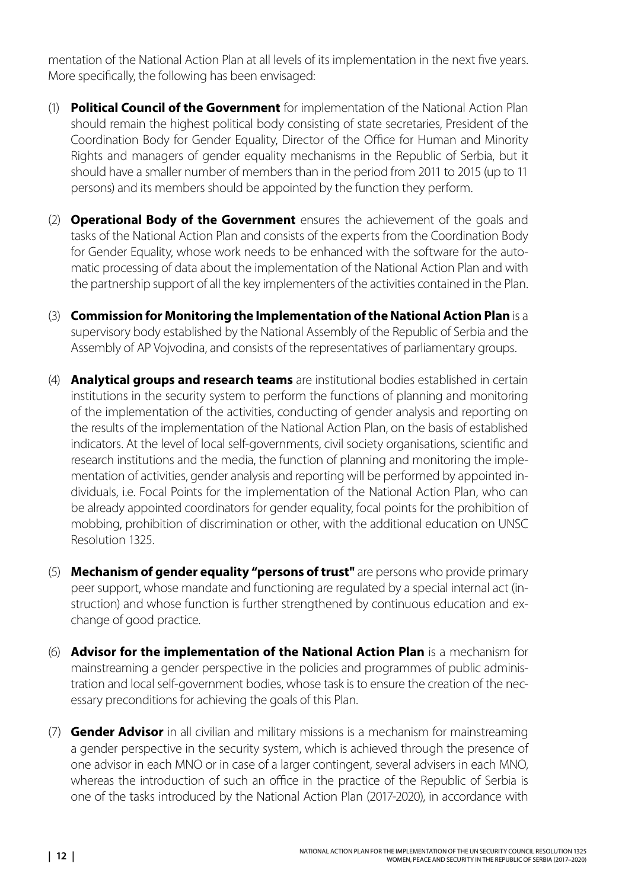mentation of the National Action Plan at all levels of its implementation in the next five years. More specifically, the following has been envisaged:

- (1) **Political Council of the Government** for implementation of the National Action Plan should remain the highest political body consisting of state secretaries, President of the Coordination Body for Gender Equality, Director of the Office for Human and Minority Rights and managers of gender equality mechanisms in the Republic of Serbia, but it should have a smaller number of members than in the period from 2011 to 2015 (up to 11 persons) and its members should be appointed by the function they perform.
- (2) **Operational Body of the Government** ensures the achievement of the goals and tasks of the National Action Plan and consists of the experts from the Coordination Body for Gender Equality, whose work needs to be enhanced with the software for the automatic processing of data about the implementation of the National Action Plan and with the partnership support of all the key implementers of the activities contained in the Plan.
- (3) **Commission for Monitoring the Implementation of the National Action Plan** is a supervisory body established by the National Assembly of the Republic of Serbia and the Assembly of AP Vojvodina, and consists of the representatives of parliamentary groups.
- (4) **Analytical groups and research teams** are institutional bodies established in certain institutions in the security system to perform the functions of planning and monitoring of the implementation of the activities, conducting of gender analysis and reporting on the results of the implementation of the National Action Plan, on the basis of established indicators. At the level of local self-governments, civil society organisations, scientific and research institutions and the media, the function of planning and monitoring the implementation of activities, gender analysis and reporting will be performed by appointed individuals, i.e. Focal Points for the implementation of the National Action Plan, who can be already appointed coordinators for gender equality, focal points for the prohibition of mobbing, prohibition of discrimination or other, with the additional education on UNSC Resolution 1325.
- (5) **Mechanism of gender equality "persons of trust"** are persons who provide primary peer support, whose mandate and functioning are regulated by a special internal act (instruction) and whose function is further strengthened by continuous education and exchange of good practice.
- (6) **Advisor for the implementation of the National Action Plan** is a mechanism for mainstreaming a gender perspective in the policies and programmes of public administration and local self-government bodies, whose task is to ensure the creation of the necessary preconditions for achieving the goals of this Plan.
- (7) **Gender Advisor** in all civilian and military missions is a mechanism for mainstreaming a gender perspective in the security system, which is achieved through the presence of one advisor in each MNO or in case of a larger contingent, several advisers in each MNO, whereas the introduction of such an office in the practice of the Republic of Serbia is one of the tasks introduced by the National Action Plan (2017-2020), in accordance with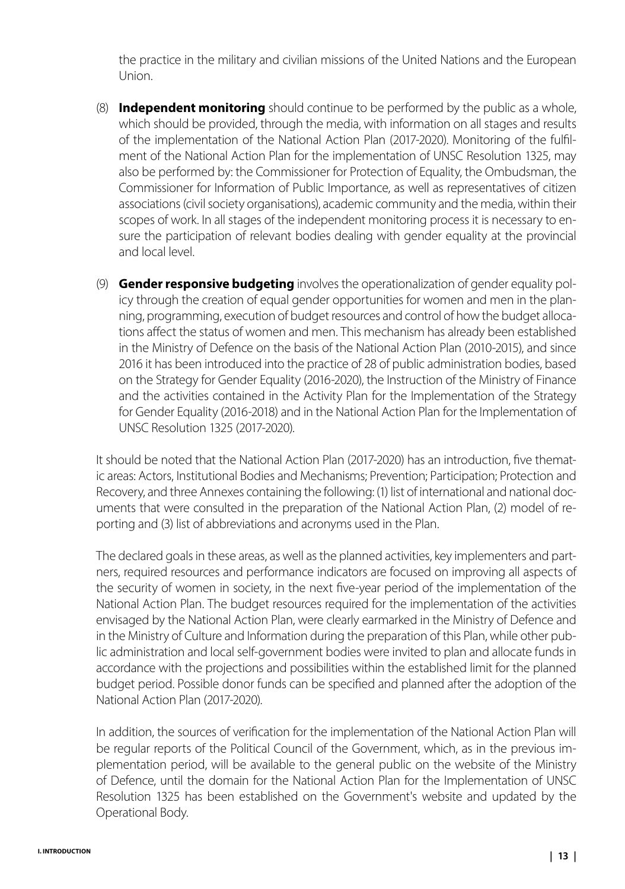the practice in the military and civilian missions of the United Nations and the European Union.

- (8) **Independent monitoring** should continue to be performed by the public as a whole, which should be provided, through the media, with information on all stages and results of the implementation of the National Action Plan (2017-2020). Monitoring of the fulfilment of the National Action Plan for the implementation of UNSC Resolution 1325, may also be performed by: the Commissioner for Protection of Equality, the Ombudsman, the Commissioner for Information of Public Importance, as well as representatives of citizen associations (civil society organisations), academic community and the media, within their scopes of work. In all stages of the independent monitoring process it is necessary to ensure the participation of relevant bodies dealing with gender equality at the provincial and local level.
- (9) **Gender responsive budgeting** involves the operationalization of gender equality policy through the creation of equal gender opportunities for women and men in the planning, programming, execution of budget resources and control of how the budget allocations affect the status of women and men. This mechanism has already been established in the Ministry of Defence on the basis of the National Action Plan (2010-2015), and since 2016 it has been introduced into the practice of 28 of public administration bodies, based on the Strategy for Gender Equality (2016-2020), the Instruction of the Ministry of Finance and the activities contained in the Activity Plan for the Implementation of the Strategy for Gender Equality (2016-2018) and in the National Action Plan for the Implementation of UNSC Resolution 1325 (2017-2020).

It should be noted that the National Action Plan (2017-2020) has an introduction, five thematic areas: Actors, Institutional Bodies and Mechanisms; Prevention; Participation; Protection and Recovery, and three Annexes containing the following: (1) list of international and national documents that were consulted in the preparation of the National Action Plan, (2) model of reporting and (3) list of abbreviations and acronyms used in the Plan.

The declared goals in these areas, as well as the planned activities, key implementers and partners, required resources and performance indicators are focused on improving all aspects of the security of women in society, in the next five-year period of the implementation of the National Action Plan. The budget resources required for the implementation of the activities envisaged by the National Action Plan, were clearly earmarked in the Ministry of Defence and in the Ministry of Culture and Information during the preparation of this Plan, while other public administration and local self-government bodies were invited to plan and allocate funds in accordance with the projections and possibilities within the established limit for the planned budget period. Possible donor funds can be specified and planned after the adoption of the National Action Plan (2017-2020).

In addition, the sources of verification for the implementation of the National Action Plan will be regular reports of the Political Council of the Government, which, as in the previous implementation period, will be available to the general public on the website of the Ministry of Defence, until the domain for the National Action Plan for the Implementation of UNSC Resolution 1325 has been established on the Government's website and updated by the Operational Body.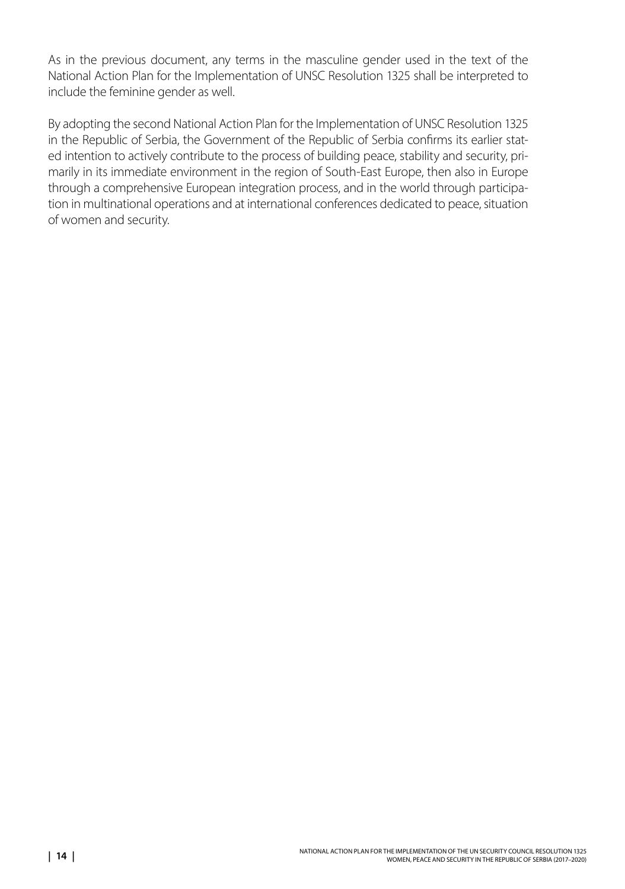As in the previous document, any terms in the masculine gender used in the text of the National Action Plan for the Implementation of UNSC Resolution 1325 shall be interpreted to include the feminine gender as well.

By adopting the second National Action Plan for the Implementation of UNSC Resolution 1325 in the Republic of Serbia, the Government of the Republic of Serbia confirms its earlier stated intention to actively contribute to the process of building peace, stability and security, primarily in its immediate environment in the region of South-East Europe, then also in Europe through a comprehensive European integration process, and in the world through participation in multinational operations and at international conferences dedicated to peace, situation of women and security.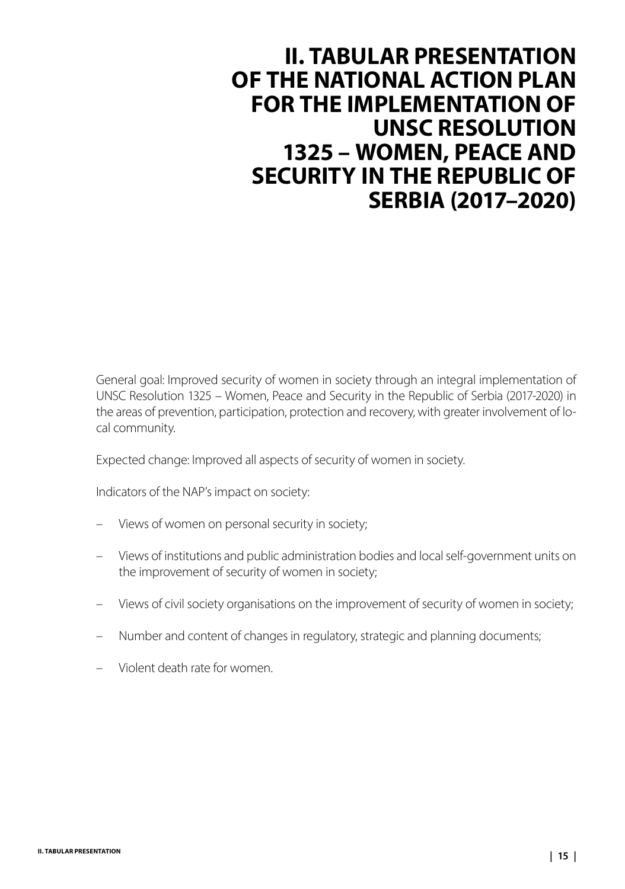## <span id="page-14-0"></span>**II. TABULAR PRESENTATION OF THE NATIONAL ACTION PLAN FOR THE IMPLEMENTATION OF UNSC RESOLUTION 1325 – WOMEN, PEACE AND SECURITY IN THE REPUBLIC OF SERBIA (2017–2020)**

General goal: Improved security of women in society through an integral implementation of UNSC Resolution 1325 – Women, Peace and Security in the Republic of Serbia (2017-2020) in the areas of prevention, participation, protection and recovery, with greater involvement of local community.

Expected change: Improved all aspects of security of women in society.

Indicators of the NAP's impact on society:

- Views of women on personal security in society;
- Views of institutions and public administration bodies and local self-government units on the improvement of security of women in society;
- Views of civil society organisations on the improvement of security of women in society;
- Number and content of changes in regulatory, strategic and planning documents;
- Violent death rate for women.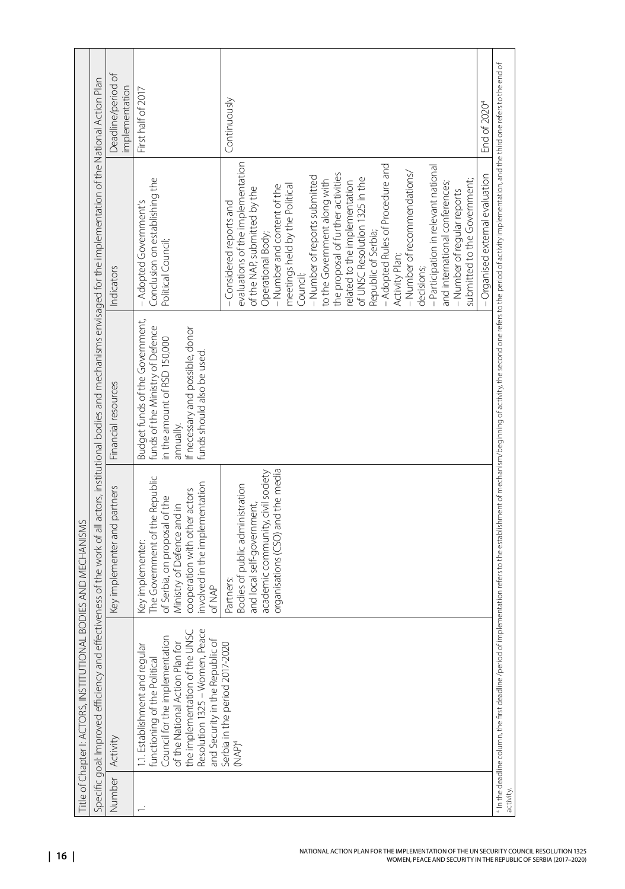|          | Title of Chapter I: ACTORS, INSTITUTION.                                                                                                                                                                                                                                                  | AL BODIES AND MECHANISMS                                                                                                                                                                                                                                                                                                                               |                                                                                                                                                                                                                                |                                                                                                                                                                                                                                                                                                                                                                                                                                                                                                                                                                                                                                                                                                                                                                   |                                                                |
|----------|-------------------------------------------------------------------------------------------------------------------------------------------------------------------------------------------------------------------------------------------------------------------------------------------|--------------------------------------------------------------------------------------------------------------------------------------------------------------------------------------------------------------------------------------------------------------------------------------------------------------------------------------------------------|--------------------------------------------------------------------------------------------------------------------------------------------------------------------------------------------------------------------------------|-------------------------------------------------------------------------------------------------------------------------------------------------------------------------------------------------------------------------------------------------------------------------------------------------------------------------------------------------------------------------------------------------------------------------------------------------------------------------------------------------------------------------------------------------------------------------------------------------------------------------------------------------------------------------------------------------------------------------------------------------------------------|----------------------------------------------------------------|
|          |                                                                                                                                                                                                                                                                                           |                                                                                                                                                                                                                                                                                                                                                        | Specific goal: Improved efficiency and effectiveness of the work of all actors, institutional bodies and mechanisms envisaged for the implementation of the National Action Plan                                               |                                                                                                                                                                                                                                                                                                                                                                                                                                                                                                                                                                                                                                                                                                                                                                   |                                                                |
| Number   | Activity                                                                                                                                                                                                                                                                                  | Key implementer and partners                                                                                                                                                                                                                                                                                                                           | Financial resources                                                                                                                                                                                                            | Indicators                                                                                                                                                                                                                                                                                                                                                                                                                                                                                                                                                                                                                                                                                                                                                        | Deadline/period of<br>implementation                           |
|          | Resolution 1325 - Women, Peace<br>the implementation of the UNSC<br>Council for the implementation<br>and Security in the Republic of<br>of the National Action Plan for<br>Serbia in the period 2017-2020<br>1.1. Establishment and regular<br>functioning of the Political<br>$(MAP)^4$ | organisations (CSO) and the media<br>academic community, civil society<br>The Government of the Republic<br>involved in the implementation<br>Bodies of public administration<br>cooperation with other actors<br>of Serbia, on proposal of the<br>and local self-government,<br>Ministry of Defence and in<br>Key implementer:<br>Partners:<br>of NAP | Budget funds of the Government,<br>funds of the Ministry of Defence<br>If necessary and possible, donor<br>in the amount of RSD 150,000<br>funds should also be used.<br>annually.                                             | evaluations of the implementation<br>- Adopted Rules of Procedure and<br>- Participation in relevant national<br>- Number of recommendations/<br>- Organised external evaluation<br>the proposal of further activities<br>- Number of reports submitted<br>Conclusion on establishing the<br>of UNSC Resolution 1325 in the<br>to the Government along with<br>submitted to the Government;<br>related to the implementation<br>and international conferences;<br>meetings held by the Political<br>- Number and content of the<br>of the NAP, submitted by the<br>- Number of regular reports<br>- Adopted Government's<br>-Considered reports and<br>Republic of Serbia;<br>Operational Body;<br>Political Council;<br>Activity Plan;<br>decisions;<br>Council; | First half of 2017<br>Continuously<br>End of 2020 <sup>4</sup> |
| activity |                                                                                                                                                                                                                                                                                           |                                                                                                                                                                                                                                                                                                                                                        | "In the deadline column, the first deadline /period of implementation refers to the establishment of nechanism/beginning of activity, the second one refers to the period of activity implementation, and the third one refers |                                                                                                                                                                                                                                                                                                                                                                                                                                                                                                                                                                                                                                                                                                                                                                   |                                                                |
|          |                                                                                                                                                                                                                                                                                           |                                                                                                                                                                                                                                                                                                                                                        |                                                                                                                                                                                                                                |                                                                                                                                                                                                                                                                                                                                                                                                                                                                                                                                                                                                                                                                                                                                                                   |                                                                |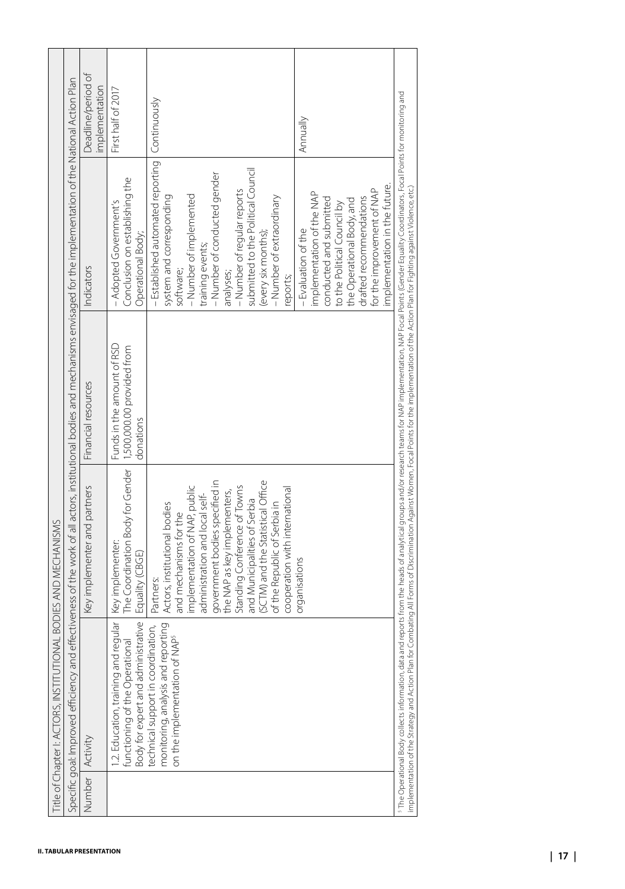|        | Specific goal: Improved efficiency and                                                                                                                                                              | effectiveness of the work of all actors, institutional bodies and mechanisms envisaged for the implementation of the National Action Plan                                                                                                                                                                                                                                                        |                                                                       |                                                                                                                                                                                                                                                                                                                                                                                                                                                                                   |                                      |
|--------|-----------------------------------------------------------------------------------------------------------------------------------------------------------------------------------------------------|--------------------------------------------------------------------------------------------------------------------------------------------------------------------------------------------------------------------------------------------------------------------------------------------------------------------------------------------------------------------------------------------------|-----------------------------------------------------------------------|-----------------------------------------------------------------------------------------------------------------------------------------------------------------------------------------------------------------------------------------------------------------------------------------------------------------------------------------------------------------------------------------------------------------------------------------------------------------------------------|--------------------------------------|
| Number | Activity                                                                                                                                                                                            | Key implementer and partners                                                                                                                                                                                                                                                                                                                                                                     | Financial resources                                                   | Indicators                                                                                                                                                                                                                                                                                                                                                                                                                                                                        | Deadline/period of<br>implementation |
|        | Body for expert and administrative<br>1.2. Education, training and regular<br>functioning of the Operational                                                                                        | The Coordination Body for Gender<br>Key implementer:<br>Equality (CBGE)                                                                                                                                                                                                                                                                                                                          | Funds in the amount of RSD<br>1,500,000.00 provided from<br>donations | Conclusion on establishing the<br>- Adopted Government's<br>Operational Body;                                                                                                                                                                                                                                                                                                                                                                                                     | First half of 2017                   |
|        | monitoring, analysis and reporting<br>technical support in coordination,<br>on the implementation of NAP <sup>5</sup>                                                                               | government bodies specified in<br>(SCTM) and the Statistical Office<br>Standing Conference of Towns<br>implementation of NAP, public<br>cooperation with international<br>the NAP as key implementers,<br>administration and local self-<br>and Municipalities of Serbia<br>of the Republic of Serbia in<br>Actors, institutional bodies<br>and mechanisms for the<br>organisations<br>Partners: |                                                                       | - Established automated reporting<br>submitted to the Political Council<br>- Number of conducted gender<br>- Number of regular reports<br>implementation of the NAP<br>system and corresponding<br>- Number of implemented<br>- Number of extraordinary<br>drafted recommendations<br>conducted and submitted<br>the Operational Body, and<br>to the Political Council by<br>- Evaluation of the<br>(every six months);<br>training events;<br>software;<br>analyses;<br>reports; | Continuously<br>Annually             |
|        |                                                                                                                                                                                                     |                                                                                                                                                                                                                                                                                                                                                                                                  |                                                                       | implementation in the future.<br>for the improvement of NAP                                                                                                                                                                                                                                                                                                                                                                                                                       |                                      |
|        | implementation of the Strategy and Action Plan for Combating All Forms of Discrimination Against Women, Focal Points for the implementation of the Action Plan for Fighting against Violence, etc.) |                                                                                                                                                                                                                                                                                                                                                                                                  |                                                                       | <sup>7</sup> The Operational Body collects information, data and reports from the heads of a nalytical groups and korresearch teams for NAP implementation, NAP Focal Points (Gender Equality Coordinatos, Focal Points for monitoring a                                                                                                                                                                                                                                          |                                      |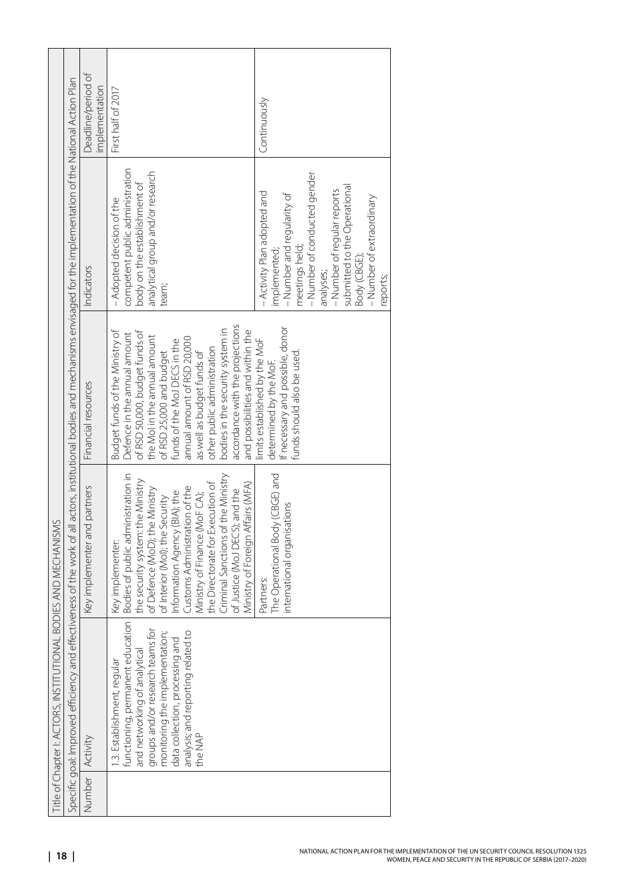|                                         |                                                                                                                                                                                  | Deadline/period of<br>implementation | First half of 2017                                                                                                                                                                                                                                                                                                                                                                                   | Continuously                                                                                                                                                                                                                                                    |
|-----------------------------------------|----------------------------------------------------------------------------------------------------------------------------------------------------------------------------------|--------------------------------------|------------------------------------------------------------------------------------------------------------------------------------------------------------------------------------------------------------------------------------------------------------------------------------------------------------------------------------------------------------------------------------------------------|-----------------------------------------------------------------------------------------------------------------------------------------------------------------------------------------------------------------------------------------------------------------|
|                                         | Specific goal: Improved efficiency and effectiveness of the work of all actors, institutional bodies and mechanisms envisaged for the implementation of the National Action Plan | Indicators                           | competent public administration<br>analytical group and/or research<br>body on the establishment of<br>- Adopted decision of the<br>team;                                                                                                                                                                                                                                                            | – Number of conducted gender<br>submitted to the Operational<br>- Number of regular reports<br>- Activity Plan adopted and<br>- Number and regularity of<br>- Number of extraordinary<br>meetings held;<br>implemented;<br>Body (CBGE);<br>analyses;<br>eports; |
|                                         |                                                                                                                                                                                  | Financial resources                  | accordance with the projections<br>bodies in the security system in<br>and possibilities and within the<br>of RSD 50,000, budget funds of<br>Budget funds of the Ministry of<br>Defence in the annual amount<br>the MoI in the annual amount<br>annual amount of RSD 20,000<br>funds of the MoJ DECS in the<br>other public administration<br>as well as budget funds of<br>of RSD 25,000 and budget | If necessary and possible, donor<br>limits established by the MoF<br>funds should also be used.<br>determined by the MoF.                                                                                                                                       |
| <b>IAL BODIES AND MECHANISMS</b>        |                                                                                                                                                                                  | Key implementer and partners         | Criminal Sanctions of the Ministry<br>the security system: the Ministry<br>the Directorate for Execution of<br>Ministry of Foreign Affairs (MFA)<br>Customs Administration of the<br>of Defence (MoD); the Ministry<br>of Justice (MoJ DECS); and the<br>Information Agency (BIA); the<br>Ministry of Finance (MoF CA);<br>of Interior (Mol); the Security<br>Key implementer:                       | The Operational Body (CBGE) and<br>international organisations<br>Partners:                                                                                                                                                                                     |
| Title of Chapter I: ACTORS, INSTITUTION |                                                                                                                                                                                  |                                      | functioning, permanent education   Bodies of public administration in<br>and networking of analytical<br>groups and/or research teams for<br>monitoring the implementation;<br>analysis; and reporting related to<br>data collection, processing and<br>.3. Establishment, regular<br>the NAP                                                                                                        |                                                                                                                                                                                                                                                                 |
|                                         |                                                                                                                                                                                  | Number Activity                      |                                                                                                                                                                                                                                                                                                                                                                                                      |                                                                                                                                                                                                                                                                 |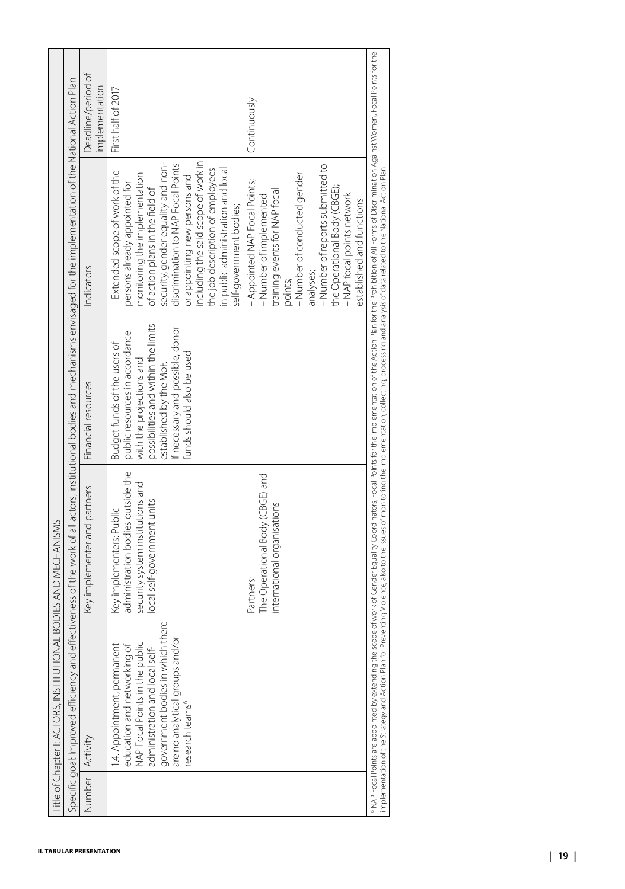|                                                                                                                                                                                                                               | Specific goal: Improved efficiency and                                                                                                                                                                                                  |                                                                                                                                  |                                                                                                                                                                                                                               | effectiveness of the work of all actors, institutional bodies and mechanisms envisaged for the implementation of the National Action Plan                                                                                                                                                                                                                                                    |                                      |
|-------------------------------------------------------------------------------------------------------------------------------------------------------------------------------------------------------------------------------|-----------------------------------------------------------------------------------------------------------------------------------------------------------------------------------------------------------------------------------------|----------------------------------------------------------------------------------------------------------------------------------|-------------------------------------------------------------------------------------------------------------------------------------------------------------------------------------------------------------------------------|----------------------------------------------------------------------------------------------------------------------------------------------------------------------------------------------------------------------------------------------------------------------------------------------------------------------------------------------------------------------------------------------|--------------------------------------|
| Number                                                                                                                                                                                                                        | Activity                                                                                                                                                                                                                                | Key implementer and partners                                                                                                     | Financial resources                                                                                                                                                                                                           | Indicators                                                                                                                                                                                                                                                                                                                                                                                   | Deadline/period of<br>implementation |
|                                                                                                                                                                                                                               | ithere<br>are no analytical groups and/or<br>education and networking of<br>NAP Focal Points in the public<br>administration and local self-<br>government bodies in which<br>1.4. Appointment, permanen<br>research teams <sup>6</sup> | administration bodies outside the<br>security system institutions and<br>local self-government units<br>Key implementers: Public | possibilities and within the limits<br>If necessary and possible, donor<br>public resources in accordance<br>Budget funds of the users of<br>funds should also be used<br>with the projections and<br>established by the MoF. | including the said scope of work in<br>security, gender equality and non-<br>discrimination to NAP Focal Points<br>the job description of employees<br>in public administration and local<br>-Extended scope of work of the<br>monitoring the implementation<br>or appointing new persons and<br>persons already appointed for<br>of action plans in the field of<br>self-government bodies; | First half of 2017                   |
|                                                                                                                                                                                                                               |                                                                                                                                                                                                                                         | The Operational Body (CBGE) and<br>international organisations<br>Partners:                                                      |                                                                                                                                                                                                                               | - Number of reports submitted to<br>- Number of conducted gender<br>- Appointed NAP Focal Points;<br>the Operational Body (CBGE);<br>training events for NAP focal<br>- NAP focal points network<br>- Number of implemented<br>established and functions<br>analyses;<br>points;                                                                                                             | Continuously                         |
| *NAP Focal Points are appointed by extending the scope of work of Gender Equality Coordinators, Focal Points to the implementation of the Action Plan for the Prohibition of All Forms of Discrimination Against Women, Focal |                                                                                                                                                                                                                                         |                                                                                                                                  |                                                                                                                                                                                                                               |                                                                                                                                                                                                                                                                                                                                                                                              |                                      |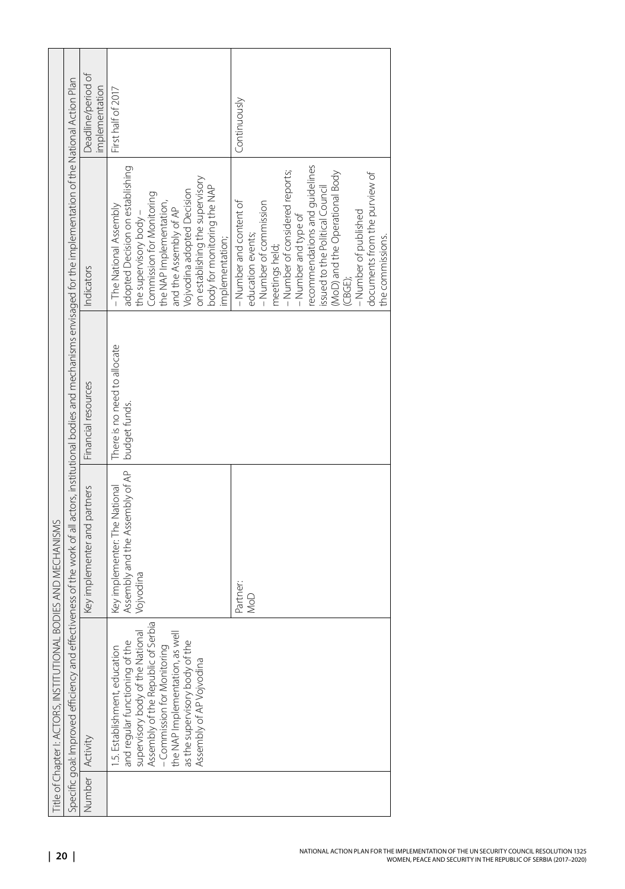| Title of Chapter I: ACTORS, INSTITUTIONAL BODIES AND MECHANISMS                                                                                                                                                                                                           |                                                                               |                                               |                                                                                                                                                                                                                                                                                                                                                   |                                      |
|---------------------------------------------------------------------------------------------------------------------------------------------------------------------------------------------------------------------------------------------------------------------------|-------------------------------------------------------------------------------|-----------------------------------------------|---------------------------------------------------------------------------------------------------------------------------------------------------------------------------------------------------------------------------------------------------------------------------------------------------------------------------------------------------|--------------------------------------|
| Specific goal: Improved efficiency and effectiveness of the work of all actors, institutional bodies and mechanisms envisaged for the implementation of the National Action Plan                                                                                          |                                                                               |                                               |                                                                                                                                                                                                                                                                                                                                                   |                                      |
| Number   Activity                                                                                                                                                                                                                                                         | Key implementer and partners                                                  | Financial resources                           | Indicators                                                                                                                                                                                                                                                                                                                                        | Deadline/period of<br>implementation |
| supervisory body of the National<br>Assembly of the Republic of Serbia<br>the NAP Implementation, as well<br>as the supervisory body of the<br>and regular functioning of the<br>1.5. Establishment, education<br>- Commission for Monitoring<br>Assembly of AP Vojvodina | Assembly and the Assembly of AP<br>Key implementer: The National<br>Vojvodina | There is no need to allocate<br>budget funds. | adopted Decision on establishing<br>on establishing the supervisory<br>body for monitoring the NAP<br>Vojvodina adopted Decision<br>Commission for Monitoring<br>the NAP Implementation,<br>and the Assembly of AP<br>-The National Assembly<br>the supervisory body -<br>implementation;                                                         | First half of 2017                   |
|                                                                                                                                                                                                                                                                           | Partner<br>NoD                                                                |                                               | recommendations and guidelines<br>issued to the Political Council<br>- Number of considered reports;<br>(MoD) and the Operational Body<br>documents from the purview of<br>-Number of commission<br>- Number and content of<br>- Number of published<br>-Number and type of<br>education events;<br>the commissions.<br>meetings held;<br>(CBGE); | Continuously                         |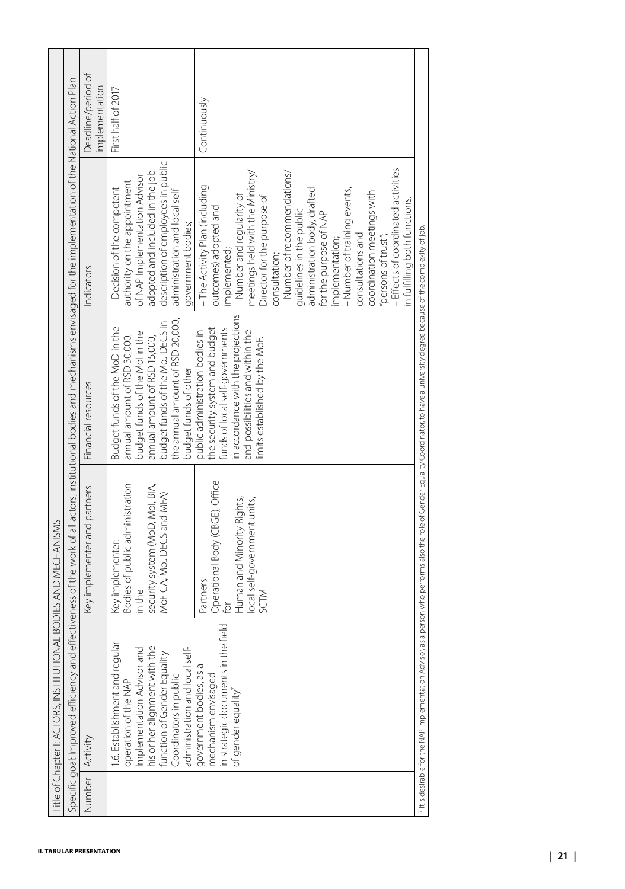|        | Specific goal: Improved efficiency and                                                                                                                                                                           | effectiveness of the work of all actors, institutional bodies and mechanisms envisaged for the implementation of the National Action Plan |                                                                                                                                                                                                                                 |                                                                                                                                                                                                                                                                                                                                                                                                                                                                                                                     |                                      |
|--------|------------------------------------------------------------------------------------------------------------------------------------------------------------------------------------------------------------------|-------------------------------------------------------------------------------------------------------------------------------------------|---------------------------------------------------------------------------------------------------------------------------------------------------------------------------------------------------------------------------------|---------------------------------------------------------------------------------------------------------------------------------------------------------------------------------------------------------------------------------------------------------------------------------------------------------------------------------------------------------------------------------------------------------------------------------------------------------------------------------------------------------------------|--------------------------------------|
| Number | Activity                                                                                                                                                                                                         | Key implementer and partners                                                                                                              | Financial resources                                                                                                                                                                                                             | Indicators                                                                                                                                                                                                                                                                                                                                                                                                                                                                                                          | Deadline/period of<br>implementation |
|        | 1.6. Establishment and regular<br>Implementation Advisor and<br>his or her alignment with the<br>administration and local self-<br>function of Gender Equality<br>Coordinators in public<br>operation of the NAP | Bodies of public administration<br>security system (MoD, Mol, BIA,<br>MoF CA, MoJ DECS and MFA)<br>Key implementer:<br>in the             | the annual amount of RSD 20,000,<br>budget funds of the MoJ DECS in<br>Budget funds of the MoD in the<br>budget funds of the Molin the<br>annual amount of RSD 30,000,<br>annual amount of RSD 15,000,<br>budget funds of other | description of employees in public<br>adopted and included in the job<br>of NAP Implementation Advisor<br>authority on the appointment<br>- Decision of the competent<br>administration and local self-<br>government bodies;                                                                                                                                                                                                                                                                                       | First half of 2017                   |
|        | field<br>in strategic documents in the<br>government bodies, as a<br>mechanism envisaged<br>of gender equality <sup>7</sup>                                                                                      | Operational Body (CBGE), Office<br>Human and Minority Rights,<br>local self-government units,<br>Partners:<br>SCTM<br>$\overline{6}$      | in accordance with the projections<br>the security system and budget<br>funds of local self-governments<br>and possibilities and within the<br>public administration bodies in<br>limits established by the MoF.                | - Effects of coordinated activities<br>meetings held with the Ministry/<br>- Number of recommendations/<br>-The Activity Plan (including<br>administration body, drafted<br>- Number of training events,<br>coordination meetings with<br>- Number and regularity of<br>Director for the purpose of<br>in fulfilling both functions.<br>outcomes) adopted and<br>guidelines in the public<br>for the purpose of NAP<br>consultations and<br>"persons of trust";<br>implementation;<br>implemented;<br>consultation; | Continuously                         |
|        | 7 It is desirable for the NAP Implementation Advisor,                                                                                                                                                            |                                                                                                                                           | as a person who performs also the role of Gender Equality Coordinator, to have a university degree because of the complexity of job                                                                                             |                                                                                                                                                                                                                                                                                                                                                                                                                                                                                                                     |                                      |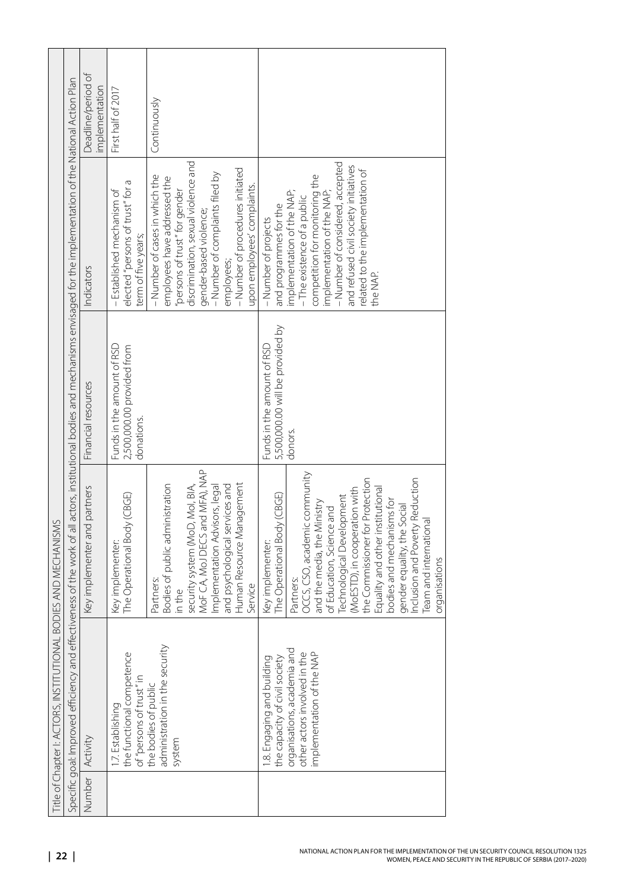|                 | Title of Chapter I: ACTORS, INSTITUTIONAL BODIES AND MECHANISMS                                                                                         |                                                                                                                                                                                                                                                                                                                                                                                                                                                 |                                                                                                                                                                                  |                                                                                                                                                                                                                                                                                                          |                                      |
|-----------------|---------------------------------------------------------------------------------------------------------------------------------------------------------|-------------------------------------------------------------------------------------------------------------------------------------------------------------------------------------------------------------------------------------------------------------------------------------------------------------------------------------------------------------------------------------------------------------------------------------------------|----------------------------------------------------------------------------------------------------------------------------------------------------------------------------------|----------------------------------------------------------------------------------------------------------------------------------------------------------------------------------------------------------------------------------------------------------------------------------------------------------|--------------------------------------|
|                 |                                                                                                                                                         |                                                                                                                                                                                                                                                                                                                                                                                                                                                 | Specific goal: Improved efficiency and effectiveness of the work of all actors, institutional bodies and mechanisms envisaged for the implementation of the National Action Plan |                                                                                                                                                                                                                                                                                                          |                                      |
| Number Activity |                                                                                                                                                         | Key implementer and partners                                                                                                                                                                                                                                                                                                                                                                                                                    | Financial resources                                                                                                                                                              | Indicators                                                                                                                                                                                                                                                                                               | Deadline/period of<br>implementation |
|                 | the functional competence<br>of "persons of trust" in<br>the bodies of public<br>I.7. Establishing                                                      | The Operational Body (CBGE)<br>Key implementer:                                                                                                                                                                                                                                                                                                                                                                                                 | Funds in the amount of RSD<br>2,500,000.00 provided from<br>donations.                                                                                                           | elected "persons of trust" for a<br>- Established mechanism of<br>term of five years;                                                                                                                                                                                                                    | First half of 2017                   |
|                 | administration in the security<br>system                                                                                                                | MoF CA, MoJ DECS and MFA), NAP<br>Bodies of public administration<br>Human Resource Management<br>and psychological services and<br>security system (MoD, MoI, BIA,<br>Implementation Advisors, legal<br>Partners:<br>Service<br>in the                                                                                                                                                                                                         |                                                                                                                                                                                  | discrimination, sexual violence and<br>- Number of procedures initiated<br>- Number of complaints filed by<br>- Number of cases in which the<br>employees have addressed the<br>upon employees' complaints.<br>"persons of trust" for gender<br>gender-based violence;<br>employees;                     | Continuously                         |
|                 | organisations, academia and<br>other actors involved in the<br>implementation of the NAP<br>1.8. Engaging and building<br>the capacity of civil society | OCCS, CSO, academic community<br>the Commissioner for Protection<br>Inclusion and Poverty Reduction<br>Equality and other institutional<br>(MoESTD), in cooperation with<br>The Operational Body (CBGE)<br>Technological Development<br>bodies and mechanisms for<br>and the media, the Ministry<br>gender equality, the Social<br>of Education, Science and<br><b>Team and international</b><br>Key implementer:<br>organisations<br>Partners: | 5,500,000.00 will be provided by<br>Funds in the amount of RSD<br>donors.                                                                                                        | - Number of considered, accepted<br>and refused civil society initiatives<br>related to the implementation of<br>competition for monitoring the<br>implementation of the NAP;<br>implementation of the NAP;<br>- The existence of a public<br>and programmes for the<br>- Number of projects<br>the NAP. |                                      |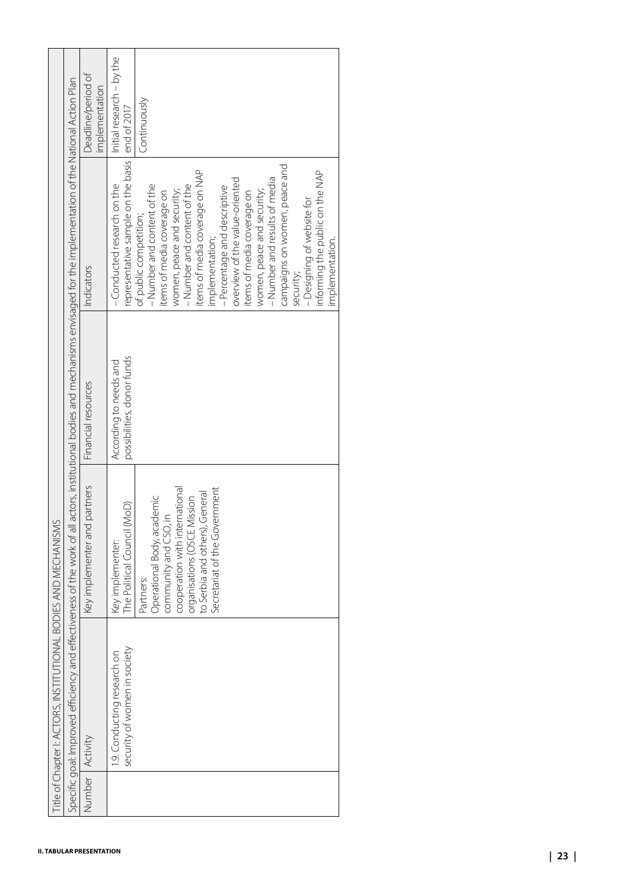| Number | Specific goal: Improved efficiency and                      |                                                                                                                                                                                                      |                                                      | effectiveness of the work of all actors, institutional bodies and mechanisms envisaged for the implementation of the National Action Plan                                                                                                                                                                                                                                                                                                                                                             |                                          |
|--------|-------------------------------------------------------------|------------------------------------------------------------------------------------------------------------------------------------------------------------------------------------------------------|------------------------------------------------------|-------------------------------------------------------------------------------------------------------------------------------------------------------------------------------------------------------------------------------------------------------------------------------------------------------------------------------------------------------------------------------------------------------------------------------------------------------------------------------------------------------|------------------------------------------|
|        | Activity                                                    | Key implementer and partners                                                                                                                                                                         | Financial resources                                  | Indicators                                                                                                                                                                                                                                                                                                                                                                                                                                                                                            | Deadline/period of<br>implementation     |
|        | security of women in society<br>1.9. Conducting research on | The Political Council (MoD)<br>Key implementer:                                                                                                                                                      | possibilities, donor funds<br>According to needs and | representative sample on the basis<br>-Conducted research on the                                                                                                                                                                                                                                                                                                                                                                                                                                      | Initial research - by the<br>end of 2017 |
|        |                                                             | Secretariat of the Government<br>cooperation with international<br>to Serbia and others), General<br>Operational Body, academic<br>organisations (OSCE Mission<br>community and CSO, in<br>Partners: |                                                      | campaigns on women, peace and<br>items of media coverage on NAP<br>informing the public on the NAP<br>- Number and results of media<br>overview of the value-oriented<br>- Number and content of the<br>-Number and content of the<br>- Percentage and descriptive<br>women, peace and security;<br>women, peace and security;<br>items of media coverage on<br>items of media coverage on<br>- Designing of website for<br>of public competition;<br>implementation;<br>implementation.<br>security; | Continuously                             |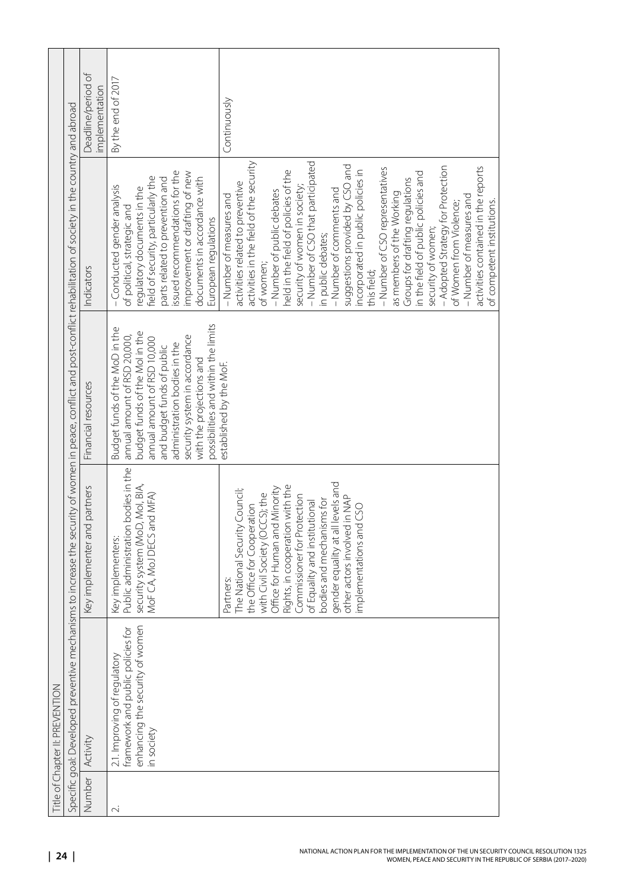|                                 |                                                                                                                                                                           | Deadline/period of<br>implementation | By the end of 2017                                                                                                                                                                                                                                                                               | Continuously                                                                                                                                                                                                                                                                                                                                                                                                                                                                                                                                                                                                                                                                                                                                |
|---------------------------------|---------------------------------------------------------------------------------------------------------------------------------------------------------------------------|--------------------------------------|--------------------------------------------------------------------------------------------------------------------------------------------------------------------------------------------------------------------------------------------------------------------------------------------------|---------------------------------------------------------------------------------------------------------------------------------------------------------------------------------------------------------------------------------------------------------------------------------------------------------------------------------------------------------------------------------------------------------------------------------------------------------------------------------------------------------------------------------------------------------------------------------------------------------------------------------------------------------------------------------------------------------------------------------------------|
|                                 | Specific goal: Developed preventive mechanisms to increase the security of women in peace, conflict and post-conflict rehabilitation of society in the country and abroad | Indicators                           | issued recommendations for the<br>improvement or drafting of new<br>field of security, particularly the<br>parts related to prevention and<br>documents in accordance with<br>- Conducted gender analysis<br>regulatory documents in the<br>of political, strategic and<br>European regulations  | - Number of CSO that participated<br>activities in the field of the security<br>suggestions provided by CSO and<br>- Adopted Strategy for Protection<br>activities contained in the reports<br>- Number of CSO representatives<br>held in the field of policies of the<br>incorporated in public policies in<br>in the field of public policies and<br>Groups for drafting regulations<br>activities related to preventive<br>security of women in society;<br>- Number of comments and<br>- Number of public debates<br>as members of the Working<br>- Number of measures and<br>- Number of measures and<br>of competent institutions.<br>of Women from Violence;<br>security of women;<br>in public debates;<br>of women;<br>this field; |
|                                 |                                                                                                                                                                           | Financial resources                  | possibilities and within the limits<br>Budget funds of the MoD in the<br>budget funds of the Molin the<br>annual amount of RSD 20,000,<br>security system in accordance<br>annual amount of RSD 10,000<br>administration bodies in the<br>and budget funds of public<br>with the projections and | established by the MoF.                                                                                                                                                                                                                                                                                                                                                                                                                                                                                                                                                                                                                                                                                                                     |
|                                 |                                                                                                                                                                           | Key implementer and partners         | Public administration bodies in the<br>security system (MoD, MoI, BIA,<br>MoF CA, MoJ DECS and MFA)<br>Key implementers:                                                                                                                                                                         | gender equality at all levels and<br>Rights, in cooperation with the<br>Office for Human and Minority<br>The National Security Council;<br>with Civil Society (OCCS); the<br>Commissioner for Protection<br>other actors involved in NAP<br>bodies and mechanisms for<br>of Equality and institutional<br>the Office for Cooperation<br>implementations and CSO<br>Partners:                                                                                                                                                                                                                                                                                                                                                                |
| Title of Chapter II: PREVENTION |                                                                                                                                                                           |                                      | enhancing the security of women<br>framework and public policies for<br>2.1. Improving of regulatory<br>in society                                                                                                                                                                               |                                                                                                                                                                                                                                                                                                                                                                                                                                                                                                                                                                                                                                                                                                                                             |
|                                 |                                                                                                                                                                           | Number Activity                      | N                                                                                                                                                                                                                                                                                                |                                                                                                                                                                                                                                                                                                                                                                                                                                                                                                                                                                                                                                                                                                                                             |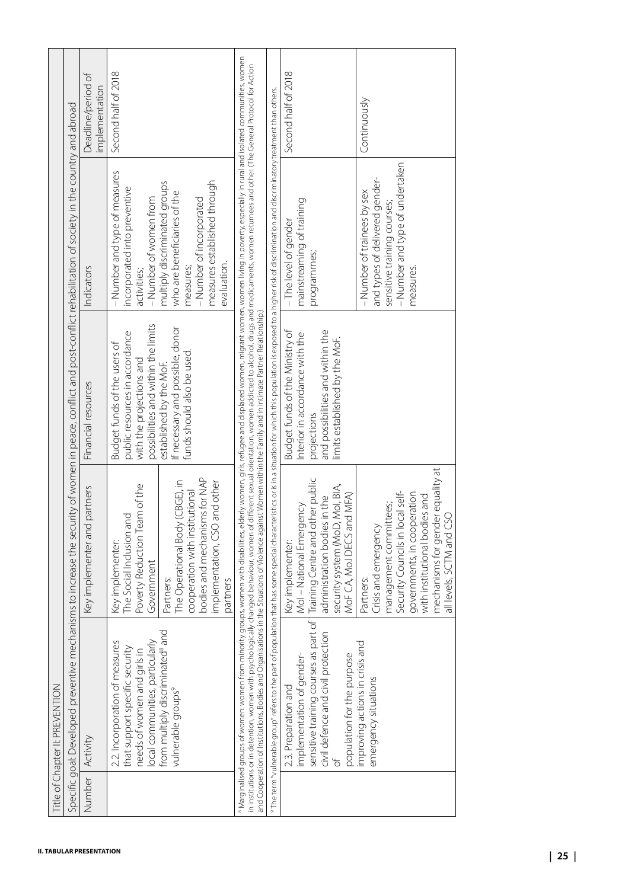|        |                                                                                                                                                                         | Specific goal: Developed preventive mechanisms to increase the security of women in peace, conflict and post-conflict rehabilitation of society in the country and abroad                                                                                                                                                                                                                                                                                                                                                                                                                                         |                                                                                                                                                         |                                                                                                                                                       |                                      |
|--------|-------------------------------------------------------------------------------------------------------------------------------------------------------------------------|-------------------------------------------------------------------------------------------------------------------------------------------------------------------------------------------------------------------------------------------------------------------------------------------------------------------------------------------------------------------------------------------------------------------------------------------------------------------------------------------------------------------------------------------------------------------------------------------------------------------|---------------------------------------------------------------------------------------------------------------------------------------------------------|-------------------------------------------------------------------------------------------------------------------------------------------------------|--------------------------------------|
| Number | Activity                                                                                                                                                                | Key implementer and partners                                                                                                                                                                                                                                                                                                                                                                                                                                                                                                                                                                                      | Financial resources                                                                                                                                     | Indicators                                                                                                                                            | Deadline/period of<br>implementation |
|        | 2.2. Incorporation of measures<br>that support specific security<br>local communities, particular<br>needs of women and girls in                                        | Poverty Reduction Team of the<br>The Social Inclusion and<br>Key implementer:<br>Government                                                                                                                                                                                                                                                                                                                                                                                                                                                                                                                       | possibilities and within the limits<br>public resources in accordance<br>Budget funds of the users of<br>with the projections and                       | - Number and type of measures<br>incorporated into preventive<br>- Number of women from<br>activities;                                                | Second half of 2018                  |
|        | pue<br>from multiply discriminated <sup>8</sup><br>vulnerable groups <sup>9</sup>                                                                                       | bodies and mechanisms for NAP<br>The Operational Body (CBGE), in<br>implementation, CSO and other<br>cooperation with institutional<br>Partners:<br>partners                                                                                                                                                                                                                                                                                                                                                                                                                                                      | If necessary and possible, donor<br>funds should also be used.<br>established by the MoF.                                                               | measures established through<br>multiply discriminated groups<br>who are beneficiaries of the<br>- Number of incorporated<br>evaluation.<br>measures; |                                      |
|        |                                                                                                                                                                         | Marginalised groups of women: women from minority groups, women with disabilities, elderly women, girls, refugee and displaced women, migrant women, women, in ing in poverty, especially in rural and isolated communities, w<br>in insttutions or in detention, women with psychologically changed behaviour, women of different sexual orientation, women carolical medicaments, women returnees and other. (The General Protocol for Action<br>and Cooperation of Institutions, Bodies and Organisations in the Situations of Violence against Women within the Family and in Intimate Partner Relationship.) |                                                                                                                                                         |                                                                                                                                                       |                                      |
|        |                                                                                                                                                                         | <sup>9</sup> The term "vulnerable group" refers to the part of population that has some special characteristics or is in a situation for which this population is exposed to a higher risk of discrimination and discriminationy treatm                                                                                                                                                                                                                                                                                                                                                                           |                                                                                                                                                         |                                                                                                                                                       |                                      |
|        | sensitive training courses as part of<br>ion<br>civil defence and civil protect<br>implementation of gender-<br>population for the purpose<br>2.3. Preparation and<br>ď | Training Centre and other public<br>security system (MoD, Mol, BIA,<br>MoF CA, MoJ DECS and MFA)<br>administration bodies in the<br>Mol - National Emergency<br>Key implementer:                                                                                                                                                                                                                                                                                                                                                                                                                                  | and possibilities and within the<br>Budget funds of the Ministry of<br>Interior in accordance with the<br>limits established by the MoF.<br>projections | mainstreaming of training<br>- The level of gender<br>programmes;                                                                                     | Second half of 2018                  |
|        | ℧<br>improving actions in crisis an<br>emergency situations                                                                                                             | mechanisms for gender equality at<br>Security Councils in local self-<br>governments, in cooperation<br>with institutional bodies and<br>management committees;<br>all levels, SCTM and CSO<br>Crisis and emergency<br>Partners:                                                                                                                                                                                                                                                                                                                                                                                  |                                                                                                                                                         | - Number and type of undertaken<br>and types of delivered gender-<br>- Number of trainees by sex<br>sensitive training courses;<br>measures.          | Continuously                         |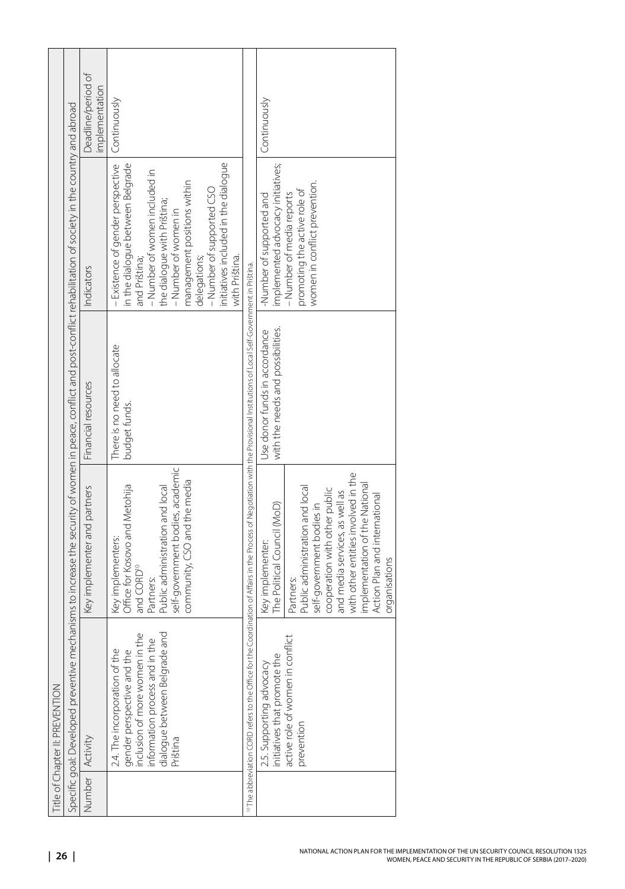| Title of Chapter II: PREVENTION                                                                                                                                               |                                                                                                                                                                                                                                                                                                                            |                                                                    |                                                                                                                                                                                                                                                                                                                    |                                      |
|-------------------------------------------------------------------------------------------------------------------------------------------------------------------------------|----------------------------------------------------------------------------------------------------------------------------------------------------------------------------------------------------------------------------------------------------------------------------------------------------------------------------|--------------------------------------------------------------------|--------------------------------------------------------------------------------------------------------------------------------------------------------------------------------------------------------------------------------------------------------------------------------------------------------------------|--------------------------------------|
|                                                                                                                                                                               | Specific goal: Developed preventive mechanisms to increase the security of women in peace, conflict and post-conflict rehabilitation of society in the country and abroad                                                                                                                                                  |                                                                    |                                                                                                                                                                                                                                                                                                                    |                                      |
| Number Activity                                                                                                                                                               | Key implementer and partners                                                                                                                                                                                                                                                                                               | Financial resources                                                | Indicators                                                                                                                                                                                                                                                                                                         | Deadline/period of<br>implementation |
| dialogue between Belgrade and<br>the<br>nformation process and in the<br>2.4. The incorporation of the<br>gender perspective and the<br>nclusion of more women in<br>Priština | self-government bodies, academic<br>community, CSO and the media<br>Office for Kosovo and Metohija<br>Public administration and local<br>Key implementers:<br>and CORD <sup>10</sup><br>Partners:                                                                                                                          | There is no need to allocate<br>budget funds.                      | - Existence of gender perspective<br>initiatives included in the dialogue<br>in the dialogue between Belgrade<br>- Number of women included in<br>management positions within<br>-Number of supported CSO<br>the dialogue with Priština;<br>-Number of women in<br>delegations;<br>and Priština;<br>with Priština. | Continuously                         |
|                                                                                                                                                                               | <sup>10</sup> The abbreviation CORD refers to the Office for the Coordination of Affairs in the Process of Negotiation with the Provisional Institutions of Local Self-Government in Pristina.                                                                                                                             |                                                                    |                                                                                                                                                                                                                                                                                                                    |                                      |
| iict<br>active role of women in conf<br>initiatives that promote the<br>2.5. Supporting advocacy<br>prevention                                                                | with other entities involved in the<br>implementation of the National<br>Public administration and local<br>cooperation with other public<br>and media services, as well as<br>Action Plan and international<br>The Political Council (MoD)<br>self-government bodies in<br>Key implementer:<br>organisations<br>Partners: | with the needs and possibilities.<br>Use donor funds in accordance | implemented advocacy initiatives;<br>women in conflict prevention.<br>promoting the active role of<br>- Number of media reports<br>-Number of supported and                                                                                                                                                        | Continuously                         |
|                                                                                                                                                                               |                                                                                                                                                                                                                                                                                                                            |                                                                    |                                                                                                                                                                                                                                                                                                                    |                                      |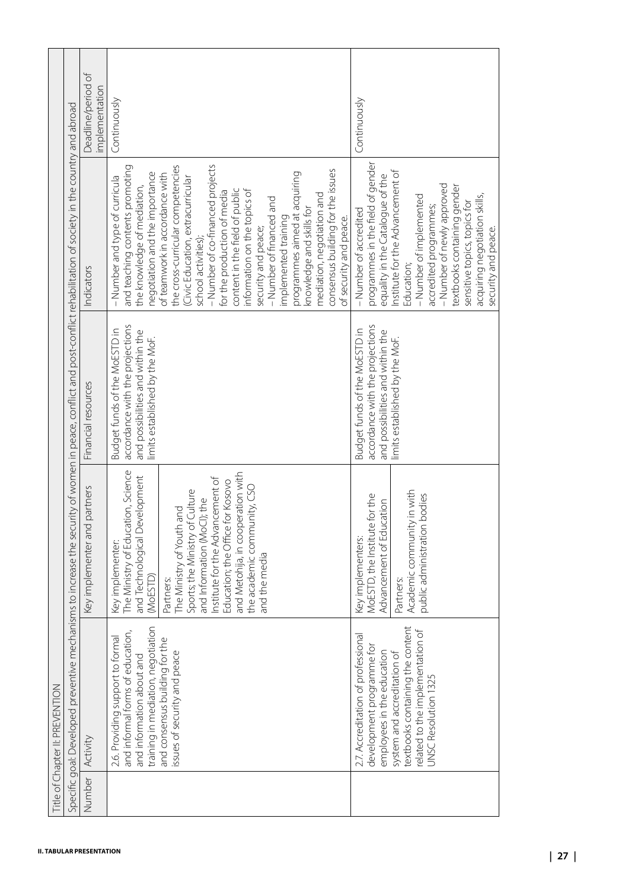|        | Specific goal: Developed preventive mechanisms to increase the security of women in peace, conflict and post-conflict rehabilitation of society in the country and abroad                                                    |                                                                                                                                                                                                                                                                                                                                                                              |                                                                                                                                        |                                                                                                                                                                                                                                                                                                                                                                                                                                                                                                                                                                                                                       |                                      |
|--------|------------------------------------------------------------------------------------------------------------------------------------------------------------------------------------------------------------------------------|------------------------------------------------------------------------------------------------------------------------------------------------------------------------------------------------------------------------------------------------------------------------------------------------------------------------------------------------------------------------------|----------------------------------------------------------------------------------------------------------------------------------------|-----------------------------------------------------------------------------------------------------------------------------------------------------------------------------------------------------------------------------------------------------------------------------------------------------------------------------------------------------------------------------------------------------------------------------------------------------------------------------------------------------------------------------------------------------------------------------------------------------------------------|--------------------------------------|
| Number | Activity                                                                                                                                                                                                                     | Key implementer and partners                                                                                                                                                                                                                                                                                                                                                 | Financial resources                                                                                                                    | Indicators                                                                                                                                                                                                                                                                                                                                                                                                                                                                                                                                                                                                            | Deadline/period of<br>implementation |
|        | training in mediation, negotiation<br>and informal forms of education,<br>2.6. Providing support to formal<br>and consensus building for the<br>issues of security and peace<br>and information about and                    | The Ministry of Education, Science<br>and Metohija, in cooperation with<br>and Technological Development<br>Institute for the Advancement of<br>Education; the Office for Kosovo<br>the academic community, CSO<br>Sports; the Ministry of Culture<br>and Information (MoCI); the<br>The Ministry of Youth and<br>Key implementer:<br>and the media<br>(MoESTD)<br>Partners: | accordance with the projections<br>Budget funds of the MoESTD in<br>and possibilities and within the<br>limits established by the MoF. | - Number of co-financed projects<br>the cross-curricular competencies<br>and teaching contents promoting<br>consensus building for the issues<br>negotiation and the importance<br>programmes aimed at acquiring<br>of teamwork in accordance with<br>- Number and type of curricula<br>(Civic Education, extracurricular<br>the knowledge of mediation,<br>content in the field of public<br>information on the topics of<br>for the production of media<br>mediation, negotiation and<br>- Number of financed and<br>knowledge and skills for<br>implemented training<br>security and peace;<br>school activities); | Continuously                         |
|        | textbooks containing the content<br>related to the implementation of<br>2.7. Accreditation of professional<br>development programme for<br>employees in the education<br>system and accreditation of<br>UNSC Resolution 1325 | Academic community in with<br>MoESTD, the Institute for the<br>public administration bodies<br>Advancement of Education<br>Key implementers:<br>Partners:                                                                                                                                                                                                                    | accordance with the projections<br>Budget funds of the MoESTD in<br>and possibilities and within the<br>limits established by the MoF. | programmes in the field of gender<br>Institute for the Advancement of<br>equality in the Catalogue of the<br>- Number of newly approved<br>textbooks containing gender<br>acquiring negotiation skills,<br>- Number of implemented<br>sensitive topics, topics for<br>accredited programmes;<br>- Number of accredited<br>of security and peace.<br>security and peace.<br>Education;                                                                                                                                                                                                                                 | Continuously                         |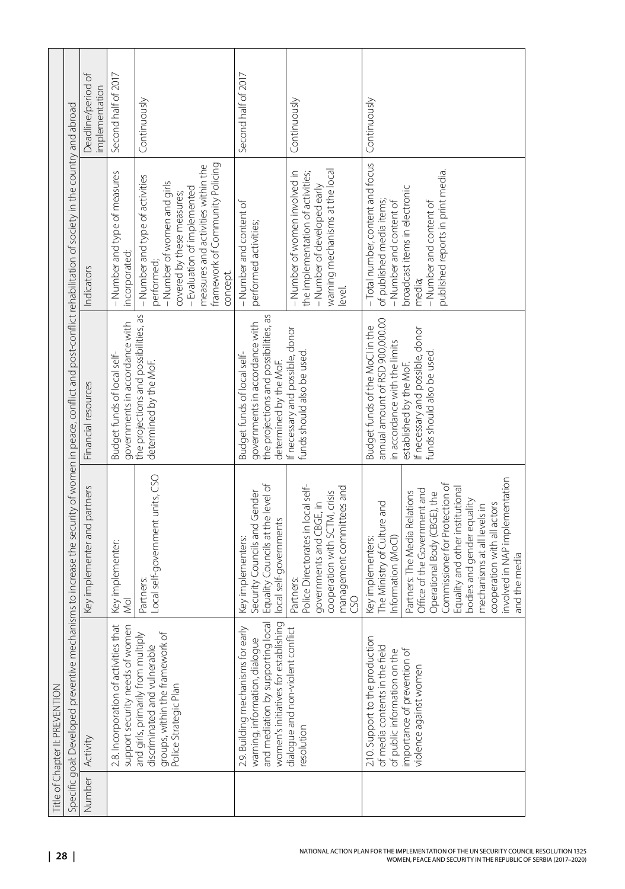| Title of Chapter II: PREVENTION                                                                                                                                           |                                                                                                                                                                                                                                                                                                                                                                                              |                                                                                                                                                                                                |                                                                                                                                                                                                                                |                                      |
|---------------------------------------------------------------------------------------------------------------------------------------------------------------------------|----------------------------------------------------------------------------------------------------------------------------------------------------------------------------------------------------------------------------------------------------------------------------------------------------------------------------------------------------------------------------------------------|------------------------------------------------------------------------------------------------------------------------------------------------------------------------------------------------|--------------------------------------------------------------------------------------------------------------------------------------------------------------------------------------------------------------------------------|--------------------------------------|
| Specific goal: Developed preventive mechanisms to increase the security of women in peace, conflict and post-conflict rehabilitation of society in the country and abroad |                                                                                                                                                                                                                                                                                                                                                                                              |                                                                                                                                                                                                |                                                                                                                                                                                                                                |                                      |
| Number Activity                                                                                                                                                           | Key implementer and partners                                                                                                                                                                                                                                                                                                                                                                 | Financial resources                                                                                                                                                                            | Indicators                                                                                                                                                                                                                     | Deadline/period of<br>implementation |
| 2.8. Incorporation of activities that<br>support security needs of women                                                                                                  | Key implementer:<br>Mol                                                                                                                                                                                                                                                                                                                                                                      | governments in accordance with<br>Budget funds of local self-                                                                                                                                  | - Number and type of measures<br>incorporated;                                                                                                                                                                                 | Second half of 2017                  |
| and girls, primarily from multiply<br>groups, within the framework of<br>discriminated and vulnerable<br>Police Strategic Plan                                            | Local self-government units, CSO<br>Partners:                                                                                                                                                                                                                                                                                                                                                | the projections and possibilities, as<br>determined by the MoF.                                                                                                                                | framework of Community Policing<br>measures and activities within the<br>- Number and type of activities<br>- Number of women and girls<br>- Evaluation of implemented<br>covered by these measures;<br>performed;<br>concept. | Continuously                         |
| women's initiatives for establishing<br>and mediation by supporting local<br>early<br>warning, information, dialogue<br>2.9. Building mechanisms for                      | Equality Councils at the level of<br>Security Councils and Gender<br>local self-governments<br>Key implementers:                                                                                                                                                                                                                                                                             | the projections and possibilities, as<br>governments in accordance with<br>Budget funds of local self-<br>determined by the MoF.                                                               | - Number and content of<br>performed activities;                                                                                                                                                                               | Second half of 2017                  |
| dialogue and non-violent conflict<br>resolution                                                                                                                           | Police Directorates in local self-<br>management committees and<br>cooperation with SCTM, crisis<br>governments and CBGE, in<br>Partners:<br>SO                                                                                                                                                                                                                                              | If necessary and possible, donor<br>funds should also be used                                                                                                                                  | warning mechanisms at the local<br>-Number of women involved in<br>the implementation of activities;<br>- Number of developed early<br>level.                                                                                  | Continuously                         |
| 2.10. Support to the production<br>of media contents in the field<br>of public information on the<br>importance of prevention of<br>violence against women                | involved in NAP implementation<br>Commissioner for Protection of<br>Equality and other institutional<br>Office of the Government and<br>Partners: The Media Relations<br>Operational Body (CBGE), the<br>bodies and gender equality<br>The Ministry of Culture and<br>cooperation with all actors<br>mechanisms at all levels in<br>Information (MoCI)<br>Key implementers:<br>and the media | annual amount of RSD 900,000.00<br>Budget funds of the MoClin the<br>If necessary and possible, donor<br>in accordance with the limits<br>funds should also be used<br>established by the MoF. | - Total number, content and focus<br>published reports in print media.<br>broadcast items in electronic<br>of published media items;<br>- Number and content of<br>- Number and content of<br>media;                           | Continuously                         |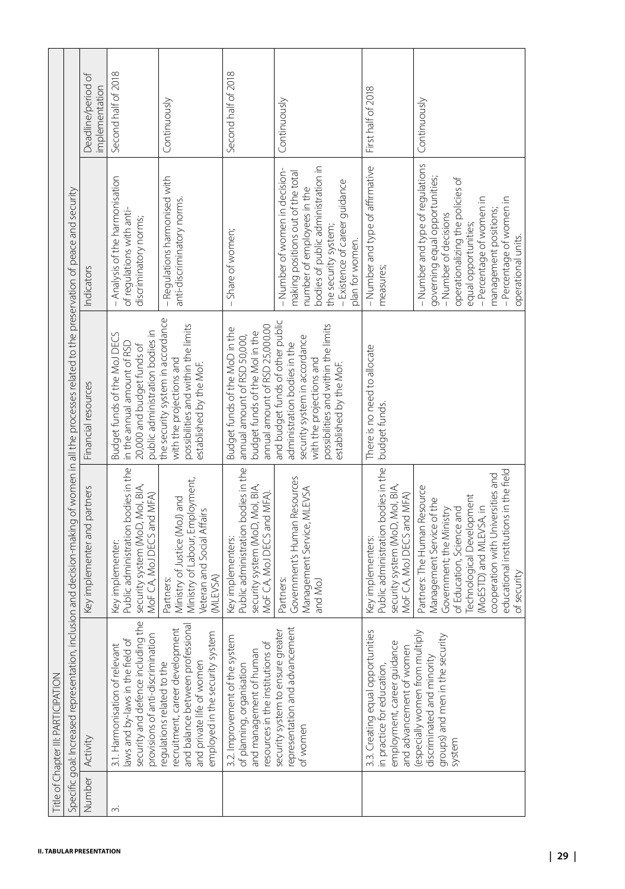|        | Specific goal: Increased representation,                                                                                                                          |                                                                                                                                                                                                                                                                         | inclusion and decision-making of women in all the processes related to the preservation of peace and security                                                                                   |                                                                                                                                                                                                                                                             |                                      |
|--------|-------------------------------------------------------------------------------------------------------------------------------------------------------------------|-------------------------------------------------------------------------------------------------------------------------------------------------------------------------------------------------------------------------------------------------------------------------|-------------------------------------------------------------------------------------------------------------------------------------------------------------------------------------------------|-------------------------------------------------------------------------------------------------------------------------------------------------------------------------------------------------------------------------------------------------------------|--------------------------------------|
| Number | Activity                                                                                                                                                          | Key implementer and partners                                                                                                                                                                                                                                            | Financial resources                                                                                                                                                                             | Indicators                                                                                                                                                                                                                                                  | Deadline/period of<br>implementation |
| $\sim$ | ng the<br>provisions of anti-discrimination<br>ð<br>3.1. Harmonisation of relevan<br>security and defence includin<br>laws and by-laws in the field               | Public administration bodies in the<br>security system (MoD, MoI, BIA,<br>MoF CA, MoJ DECS and MFA)<br>Key implementer:                                                                                                                                                 | public administration bodies in<br>Budget funds of the MoJ DECS<br>in the annual amount of RSD<br>20,000 and budget funds of                                                                    | - Analysis of the harmonisation<br>of regulations with anti-<br>discriminatory norms;                                                                                                                                                                       | Second half of 2018                  |
|        | and balance between professional<br>recruitment, career development<br>employed in the security system<br>and private life of women<br>regulations related to the | Ministry of Labour, Employment,<br>Ministry of Justice (MoJ) and<br>Veteran and Social Affairs<br>(MLEVSA)<br>Partners:                                                                                                                                                 | the security system in accordance<br>possibilities and within the limits<br>with the projections and<br>established by the MoF.                                                                 | - Regulations harmonised with<br>anti-discriminatory norms.                                                                                                                                                                                                 | Continuously                         |
|        | 3.2. Improvement of the system<br>resources in the institutions of<br>and management of human<br>of planning, organisation                                        | Public administration bodies in the<br>security system (MoD, Mol, BIA,<br>MoF CA, MoJ DECS and MFA).<br>Key implementers:                                                                                                                                               | annual amount of RSD 25,000.00<br>Budget funds of the MoD in the<br>budget funds of the Molin the<br>annual amount of RSD 50,000,                                                               | - Share of women;                                                                                                                                                                                                                                           | Second half of 2018                  |
|        | representation and advancement<br>security system to ensure greater<br>of women                                                                                   | Government's Human Resources<br>Management Service, MLEVSA<br>and MoJ<br>Partners:                                                                                                                                                                                      | and budget funds of other public<br>possibilities and within the limits<br>security system in accordance<br>administration bodies in the<br>with the projections and<br>established by the MoF. | bodies of public administration in<br>-Number of women in decision-<br>making positions out of the total<br>- Existence of career guidance<br>number of employees in the<br>the security system;<br>plan for women.                                         | Continuously                         |
|        | 3.3. Creating equal opportunities<br>employment, career guidance<br>and advancement of women<br>in practice for education                                         | Public administration bodies in the<br>security system (MoD, Mol, BIA,<br>MoF CA, MoJ DECS and MFA)<br>Key implementers:                                                                                                                                                | There is no need to allocate<br>budget funds.                                                                                                                                                   | - Number and type of affirmative<br>measures;                                                                                                                                                                                                               | First half of 2018                   |
|        | tiply<br>groups) and men in the security<br>especially women from mult<br>discriminated and minority<br>system                                                    | educational institutions in the field<br>cooperation with Universities and<br>Partners: The Human Resource<br>Technological Development<br>Management Service of the<br>(MoESTD) and MLEVSA, in<br>of Education, Science and<br>Government; the Ministry<br>of security |                                                                                                                                                                                                 | - Number and type of regulations<br>governing equal opportunities;<br>operationalizing the policies of<br>-Percentage of women in<br>-Percentage of women in<br>management positions;<br>-Number of decisions<br>equal opportunities;<br>operational units. | Continuously                         |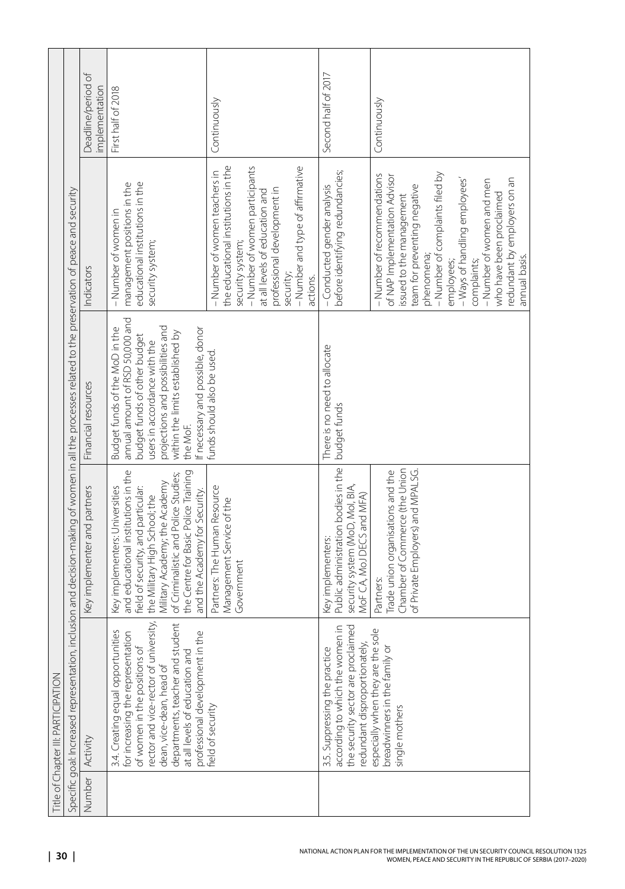|                 | <b>Title of Chapter III: PARTICIPATION</b>                                                                                                                                                                                                                                                |                                                                                                                                                                                                                                                                                                |                                                                                                                                                                                                                                                            |                                                                                                                                                                                                                                                                                                                                                  |                                      |
|-----------------|-------------------------------------------------------------------------------------------------------------------------------------------------------------------------------------------------------------------------------------------------------------------------------------------|------------------------------------------------------------------------------------------------------------------------------------------------------------------------------------------------------------------------------------------------------------------------------------------------|------------------------------------------------------------------------------------------------------------------------------------------------------------------------------------------------------------------------------------------------------------|--------------------------------------------------------------------------------------------------------------------------------------------------------------------------------------------------------------------------------------------------------------------------------------------------------------------------------------------------|--------------------------------------|
|                 | Specific goal: Increased representation,                                                                                                                                                                                                                                                  | inclusion and decision-making of women in all the processes related to the preservation of peace and security                                                                                                                                                                                  |                                                                                                                                                                                                                                                            |                                                                                                                                                                                                                                                                                                                                                  |                                      |
| Number Activity |                                                                                                                                                                                                                                                                                           | Key implementer and partners                                                                                                                                                                                                                                                                   | Financial resources                                                                                                                                                                                                                                        | Indicators                                                                                                                                                                                                                                                                                                                                       | Deadline/period of<br>implementation |
|                 | /ersity,<br>departments, teacher and student<br>3.4. Creating equal opportunities<br>for increasing the representation<br>professional development in the<br>of women in the positions of<br>rector and vice-rector of univ<br>at all levels of education and<br>dean, vice-dean, head of | and educational institutions in the<br>the Centre for Basic Police Training<br>of Criminalistic and Police Studies;<br>Military Academy; the Academy<br>Key implementers: Universities<br>field of security, and particular:<br>and the Academy for Security.<br>the Military High School; the | annual amount of RSD 50,000 and<br>Budget funds of the MoD in the<br>projections and possibilities and<br>If necessary and possible, donor<br>within the limits established by<br>budget funds of other budget<br>users in accordance with the<br>the MoF. | educational institutions in the<br>management positions in the<br>-Number of women in<br>security system;                                                                                                                                                                                                                                        | First half of 2018                   |
|                 | Teld of security                                                                                                                                                                                                                                                                          | Partners: The Human Resource<br>Management Service of the<br>Government                                                                                                                                                                                                                        | funds should also be used.                                                                                                                                                                                                                                 | the educational institutions in the<br>- Number of women participants<br>- Number and type of affirmative<br>- Number of women teachers in<br>professional development in<br>at all levels of education and<br>security system;<br>security;<br>actions.                                                                                         | Continuously                         |
|                 | according to which the women in<br>the security sector are proclaimed<br>redundant disproportionately,<br>3.5. Suppressing the practice                                                                                                                                                   | Public administration bodies in the<br>security system (MoD, Mol, BIA,<br>MoF CA, MoJ DECS and MFA)<br>Key implementers:                                                                                                                                                                       | There is no need to allocate<br>budget funds                                                                                                                                                                                                               | before identifying redundancies;<br>-Conducted gender analysis                                                                                                                                                                                                                                                                                   | Second half of 2017                  |
|                 | sole<br>especially when they are the<br>breadwinners in the family or<br>single mothers                                                                                                                                                                                                   | Chamber of Commerce (the Union<br>of Private Employers) and MPALSG.<br>Trade union organisations and the<br>Partners:                                                                                                                                                                          |                                                                                                                                                                                                                                                            | - Number of complaints filed by<br>-Number of recommendations<br>of NAP Implementation Advisor<br>redundant by employers on an<br>- Ways of handling employees'<br>- Number of women and men<br>team for preventing negative<br>who have been proclaimed<br>issued to the management<br>phenomena;<br>annual basis.<br>complaints;<br>employees; | Continuously                         |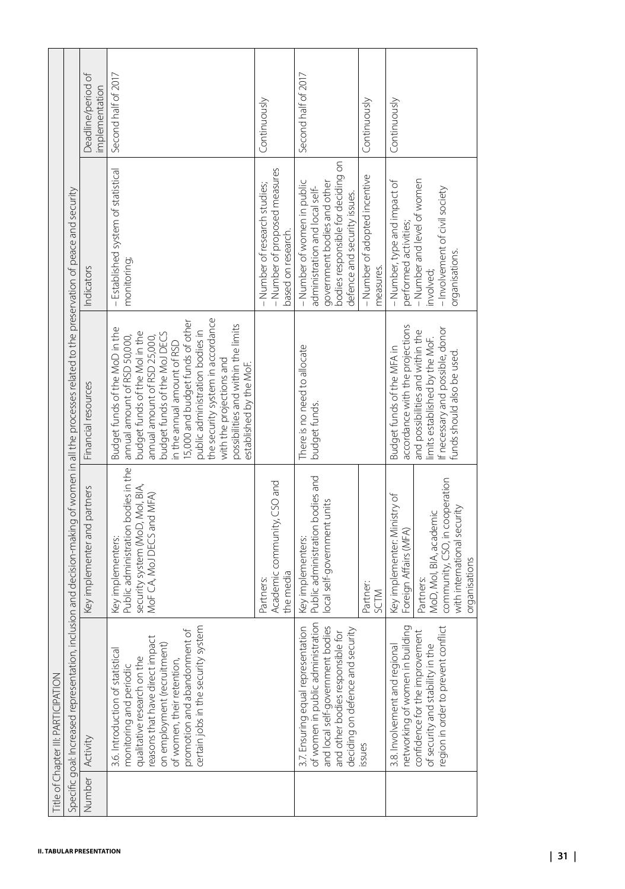|        | Specific goal: Increased representation,                                                                                                                                                                                                                                     | inclusion and decision-making of women in all the processes related to the preservation of peace and security                   |                                                                                                                                                                                                                                                                                                                                                                                                         |                                                                                                                                                                    |                                      |
|--------|------------------------------------------------------------------------------------------------------------------------------------------------------------------------------------------------------------------------------------------------------------------------------|---------------------------------------------------------------------------------------------------------------------------------|---------------------------------------------------------------------------------------------------------------------------------------------------------------------------------------------------------------------------------------------------------------------------------------------------------------------------------------------------------------------------------------------------------|--------------------------------------------------------------------------------------------------------------------------------------------------------------------|--------------------------------------|
| Number | Activity                                                                                                                                                                                                                                                                     | Key implementer and partners                                                                                                    | Financial resources                                                                                                                                                                                                                                                                                                                                                                                     | Indicators                                                                                                                                                         | Deadline/period of<br>implementation |
|        | certain jobs in the security system<br>promotion and abandonment of<br>reasons that have direct impact<br>$\hat{t}$<br>3.6. Introduction of statistical<br>on employment (recruitmen<br>qualitative research on the<br>of women, their retention,<br>monitoring and periodic | Public administration bodies in the<br>security system (MoD, Mol, BIA,<br>MoF CA, MoJ DECS and MFA)<br>Key implementers:        | the security system in accordance<br>15,000 and budget funds of other<br>possibilities and within the limits<br>Budget funds of the MoD in the<br>public administration bodies in<br>budget funds of the Molin the<br>budget funds of the MoJ DECS<br>annual amount of RSD 50,000,<br>annual amount of RSD 25,000,<br>n the annual amount of RSD<br>with the projections and<br>established by the MoF. | - Established system of statistical<br>monitoring;                                                                                                                 | Second half of 2017                  |
|        |                                                                                                                                                                                                                                                                              | Academic community, CSO and<br>the media<br>Partners:                                                                           |                                                                                                                                                                                                                                                                                                                                                                                                         | - Number of proposed measures<br>- Number of research studies;<br>based on research.                                                                               | Continuously                         |
|        | of women in public administration<br>and local self-government bodies<br>ation<br>deciding on defence and security<br>and other bodies responsible for<br>3.7. Ensuring equal represent                                                                                      | Public administration bodies and<br>local self-government units<br>Key implementers:                                            | There is no need to allocate<br>budget funds.                                                                                                                                                                                                                                                                                                                                                           | bodies responsible for deciding on<br>- Number of women in public<br>government bodies and other<br>administration and local self-<br>defence and security issues. | Second half of 2017                  |
|        | issues                                                                                                                                                                                                                                                                       | Partner:<br>SCTM                                                                                                                |                                                                                                                                                                                                                                                                                                                                                                                                         | - Number of adopted incentive<br>measures.                                                                                                                         | Continuously                         |
|        | networking of women in building<br>egion in order to prevent conflict<br>confidence for the improvement<br>of security and stability in the<br>3.8. Involvement and regiona                                                                                                  | community, CSO, in cooperation<br>Key implementer: Ministry of<br>MoD, Mol, BIA, academic<br>Foreign Affairs (MFA)<br>Partners: | accordance with the projections<br>If necessary and possible, donor<br>and possibilities and within the<br>limits established by the MoF.<br>Budget funds of the MFA in                                                                                                                                                                                                                                 | - Number and level of women<br>- Number, type and impact of<br>- Involvement of civil society<br>performed activities;<br>involved;                                | Continuously                         |
|        |                                                                                                                                                                                                                                                                              | with international security<br>organisations                                                                                    | funds should also be used.                                                                                                                                                                                                                                                                                                                                                                              | organisations.                                                                                                                                                     |                                      |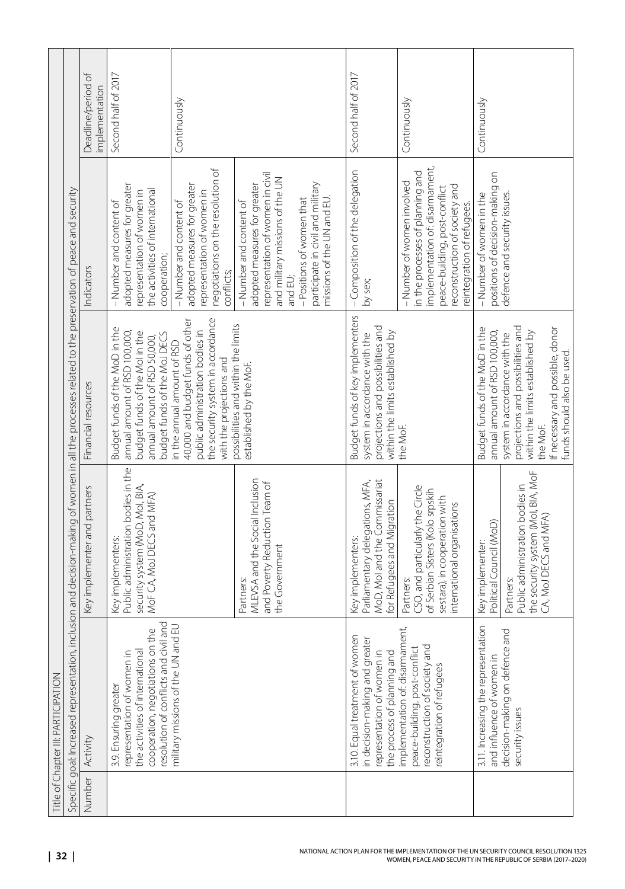|        | Title of Chapter III: PARTICIPATION                                                                                                                                    |                                                                                                                                                   |                                                                                                                                                                                     |                                                                                                                                                                                                                                         |                                      |
|--------|------------------------------------------------------------------------------------------------------------------------------------------------------------------------|---------------------------------------------------------------------------------------------------------------------------------------------------|-------------------------------------------------------------------------------------------------------------------------------------------------------------------------------------|-----------------------------------------------------------------------------------------------------------------------------------------------------------------------------------------------------------------------------------------|--------------------------------------|
|        | Specific goal: Increased representation,                                                                                                                               |                                                                                                                                                   | inclusion and decision-making of women in all the processes related to the preservation of peace and security                                                                       |                                                                                                                                                                                                                                         |                                      |
| Number | Activity                                                                                                                                                               | Key implementer and partners                                                                                                                      | Financial resources                                                                                                                                                                 | Indicators                                                                                                                                                                                                                              | Deadline/period of<br>implementation |
|        | resolution of conflicts and civil and<br>the<br>cooperation, negotiations on<br>the activities of international<br>representation of women in<br>3.9. Ensuring greater | Public administration bodies in the<br>security system (MoD, Mol, BIA,<br>MoF CA, MoJ DECS and MFA)<br>Key implementers:                          | Budget funds of the MoD in the<br>annual amount of RSD 100,000,<br>budget funds of the Molin the<br>budget funds of the MoJ DECS<br>annual amount of RSD 50,000,                    | adopted measures for greater<br>the activities of international<br>representation of women in<br>-Number and content of<br>cooperation;                                                                                                 | Second half of 2017                  |
|        | military missions of the UN and EU                                                                                                                                     |                                                                                                                                                   | the security system in accordance<br>40,000 and budget funds of other<br>public administration bodies in<br>in the annual amount of RSD<br>with the projections and                 | negotiations on the resolution of<br>adopted measures for greater<br>representation of women in<br>-Number and content of<br>conflicts;                                                                                                 | Continuously                         |
|        |                                                                                                                                                                        | MLEVSA and the Social Inclusion<br>and Poverty Reduction Team of<br>the Government<br>Partners:                                                   | possibilities and within the limits<br>established by the MoF.                                                                                                                      | representation of women in civil<br>and military missions of the UN<br>participate in civil and military<br>adopted measures for greater<br>missions of the UN and EU.<br>-Positions of women that<br>-Number and content of<br>and EU; |                                      |
|        | 3.10. Equal treatment of women<br>in decision-making and greater<br>the process of planning and<br>representation of women in                                          | MoD, Mol and the Commissariat<br>Parliamentary delegations, MFA,<br>for Refugees and Migration<br>Key implementers:                               | Budget funds of key implementers<br>projections and possibilities and<br>within the limits established by<br>system in accordance with the                                          | - Composition of the delegation<br>by sex;                                                                                                                                                                                              | Second half of 2017                  |
|        | implementation of: disarmament,<br>peace-building, post-conflict<br>reconstruction of society and<br>reintegration of refugees                                         | CSO, and particularly the Circle<br>of Serbian Sisters (Kolo srpskih<br>sestara), in cooperation with<br>international organisations<br>Partners: | the MoF.                                                                                                                                                                            | implementation of: disarmament,<br>in the processes of planning and<br>- Number of women involved<br>reconstruction of society and<br>peace-building, post-conflict<br>reintegration of refugees.                                       | Continuously                         |
|        | 3.11. Increasing the representation<br>and influence of women in                                                                                                       | Political Council (MoD)<br>Key implementer:                                                                                                       | Budget funds of the MoD in the<br>annual amount of RSD 100,000,                                                                                                                     | positions of decision-making on<br>- Number of women in the                                                                                                                                                                             | Continuously                         |
|        | pue<br>decision-making on defence<br>security issues                                                                                                                   | the security system (Mol, BIA, MoF<br>Public administration bodies in<br>CA, MoJ DECS and MFA)<br>Partners:                                       | projections and possibilities and<br>If necessary and possible, donor<br>within the limits established by<br>system in accordance with the<br>funds should also be used<br>the MoF. | defence and security issues.                                                                                                                                                                                                            |                                      |
|        |                                                                                                                                                                        |                                                                                                                                                   |                                                                                                                                                                                     |                                                                                                                                                                                                                                         |                                      |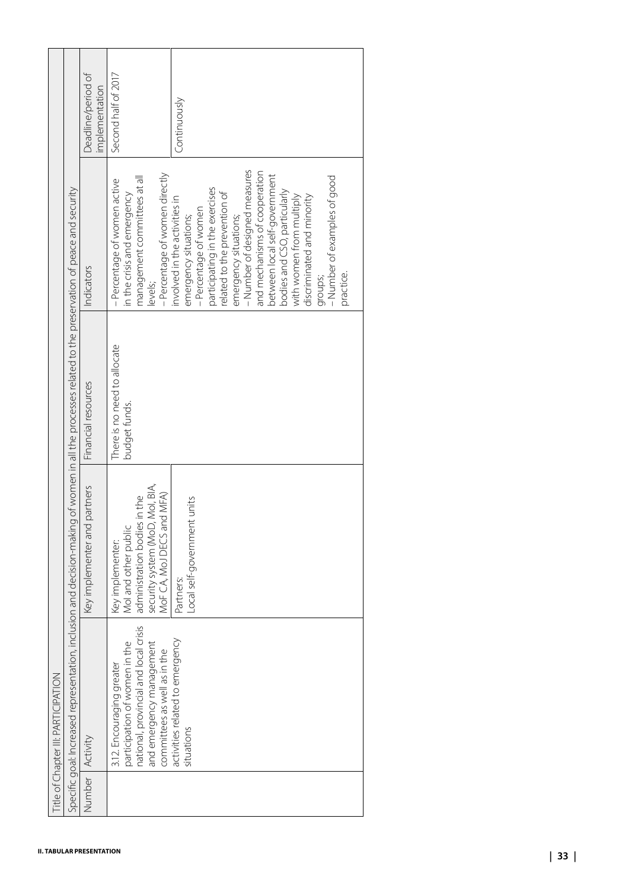|        | Specific goal: Increased representation,                                                                                                                                | inclusion and decision-making of women in all the processes related to the preservation of peace and security                            |                                               |                                                                                                                                                                                                                                                                                                                                                                                                                                |                                      |
|--------|-------------------------------------------------------------------------------------------------------------------------------------------------------------------------|------------------------------------------------------------------------------------------------------------------------------------------|-----------------------------------------------|--------------------------------------------------------------------------------------------------------------------------------------------------------------------------------------------------------------------------------------------------------------------------------------------------------------------------------------------------------------------------------------------------------------------------------|--------------------------------------|
| Number | Activity                                                                                                                                                                | Key implementer and partners                                                                                                             | Financial resources                           | Indicators                                                                                                                                                                                                                                                                                                                                                                                                                     | Deadline/period of<br>implementation |
|        | e<br>crisis<br>and emergency management<br>committees as well as in the<br>participation of women in the<br>national, provincial and local<br>3.12. Encouraging greater | security system (MoD, MoI, BIA,<br>MoF CA, MoJ DECS and MFA)<br>administration bodies in the<br>Mol and other public<br>Key implementer: | There is no need to allocate<br>budget funds. | -Percentage of women directly<br>management committees at all<br>- Percentage of women active<br>in the crisis and emergency<br>levels;                                                                                                                                                                                                                                                                                        | Second half of 2017                  |
|        | activities related to emergency<br>situations                                                                                                                           | Local self-government units<br>Partners:                                                                                                 |                                               | - Number of designed measures<br>and mechanisms of cooperation<br>between local self-government<br>- Number of examples of good<br>participating in the exercises<br>bodies and CSO, particularly<br>related to the prevention of<br>discriminated and minority<br>with women from multiply<br>involved in the activities in<br>-Percentage of women<br>emergency situations;<br>emergency situations;<br>practice.<br>groups; | Continuously                         |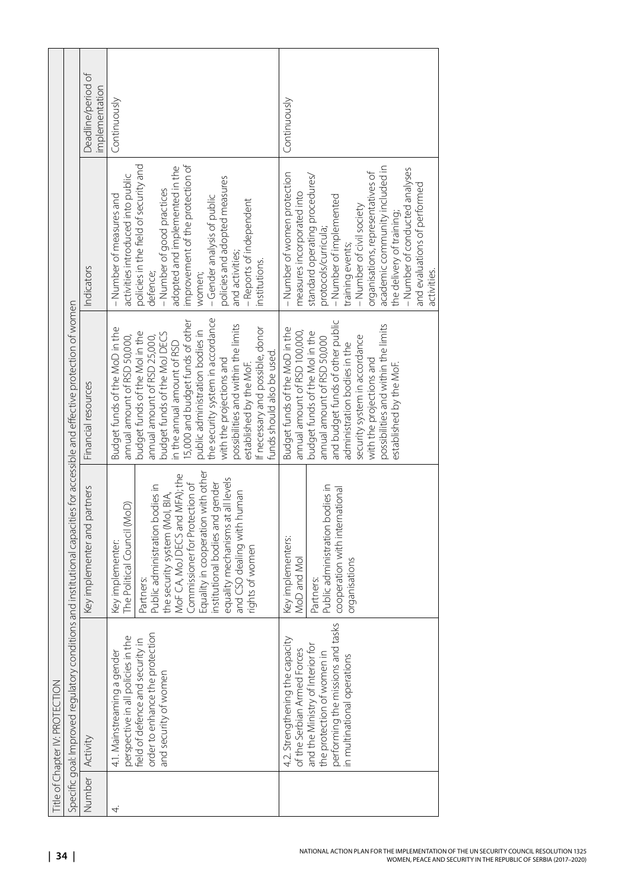|                   | Title of Chapter IV: PROTECTION                                                                                                                                                                     |                                                                                                                                                                                                                                                                                                                                                                     |                                                                                                                                                                                                                                                                                                                                                                                                                                                                           |                                                                                                                                                                                                                                                                                                                                                                                      |                                      |
|-------------------|-----------------------------------------------------------------------------------------------------------------------------------------------------------------------------------------------------|---------------------------------------------------------------------------------------------------------------------------------------------------------------------------------------------------------------------------------------------------------------------------------------------------------------------------------------------------------------------|---------------------------------------------------------------------------------------------------------------------------------------------------------------------------------------------------------------------------------------------------------------------------------------------------------------------------------------------------------------------------------------------------------------------------------------------------------------------------|--------------------------------------------------------------------------------------------------------------------------------------------------------------------------------------------------------------------------------------------------------------------------------------------------------------------------------------------------------------------------------------|--------------------------------------|
|                   |                                                                                                                                                                                                     |                                                                                                                                                                                                                                                                                                                                                                     | Specific goal: Improved regulatory conditions and institutional capacities for accessible and effective protection of women                                                                                                                                                                                                                                                                                                                                               |                                                                                                                                                                                                                                                                                                                                                                                      |                                      |
| Number   Activity |                                                                                                                                                                                                     | Key implementer and partners                                                                                                                                                                                                                                                                                                                                        | Financial resources                                                                                                                                                                                                                                                                                                                                                                                                                                                       | Indicators                                                                                                                                                                                                                                                                                                                                                                           | Deadline/period of<br>implementation |
| 4                 | tion<br>perspective in all policies in the<br>field of defence and security in<br>order to enhance the protect<br>4.1. Mainstreaming a gender<br>and security of women                              | Equality in cooperation with other<br>MoF CA, MoJ DECS and MFA); the<br>equality mechanisms at all levels<br>nstitutional bodies and gender<br>Commissioner for Protection of<br>Public administration bodies in<br>and CSO dealing with human<br>the security system (Mol, BIA,<br>The Political Council (MoD)<br>Kev implementer:<br>rights of women<br>Partners: | the security system in accordance<br>5,000 and budget funds of other<br>possibilities and within the limits<br>Budget funds of the MoD in the<br>If necessary and possible, donor<br>public administration bodies in<br>budget funds of the Molin the<br>budget funds of the MoJ DECS<br>annual amount of RSD 50,000,<br>annual amount of RSD 25,000,<br>in the annual amount of RSD<br>funds should also be used.<br>with the projections and<br>established by the MoF. | improvement of the protection of<br>policies in the field of security and<br>adopted and implemented in the<br>activities introduced into public<br>policies and adopted measures<br>-Number of good practices<br>- Number of measures and<br>-Gender analysis of public<br>- Reports of independent<br>and activities;<br>institutions.<br>defence;<br>women;                       | Continuously                         |
|                   | performing the missions and tasks<br>4.2. Strengthening the capacity<br>and the Ministry of Interior for<br>of the Serbian Armed Forces<br>the protection of women in<br>n multinational operations | Public administration bodies in<br>cooperation with international<br>Key implementers:<br>MoD and Mol<br>organisations<br>Partners:                                                                                                                                                                                                                                 | and budget funds of other public<br>possibilities and within the limits<br>Budget funds of the MoD in the<br>annual amount of RSD 100,000,<br>budget funds of the Mol in the<br>security system in accordance<br>annual amount of RSD 50,000<br>administration bodies in the<br>with the projections and<br>established by the MoF.                                                                                                                                       | academic community included in<br>- Number of conducted analyses<br>organisations, representatives of<br>- Number of women protection<br>standard operating procedures/<br>and evaluations of performed<br>measures incorporated into<br>- Number of implemented<br>-Number of civil society<br>the delivery of training;<br>protocols/curricula;<br>training events;<br>activities. | Continuously                         |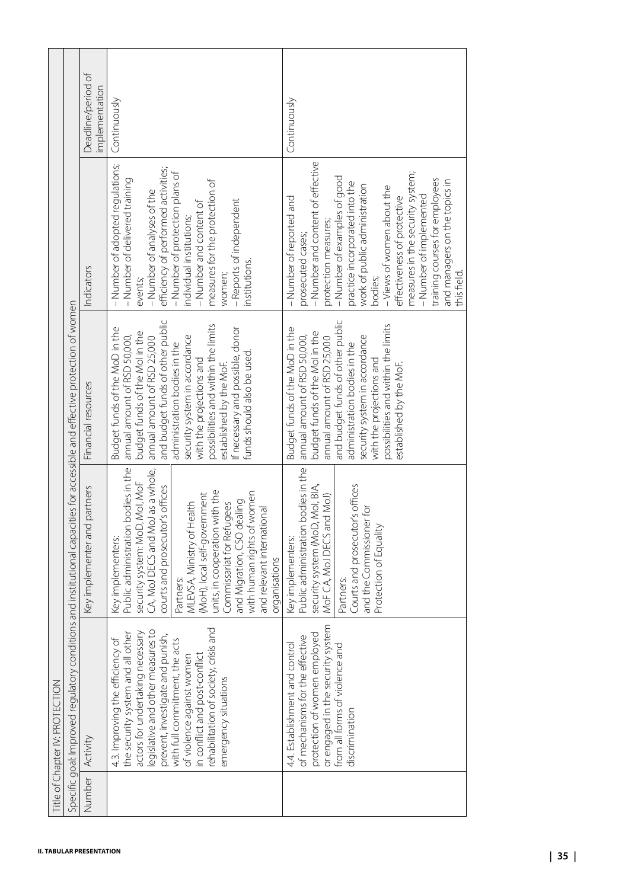|        |                                                                                                                                                                                                                                                                                                                                                                      | Specific goal: Improved regulatory conditions and institutional capacities for accessible and effective protection of women                                                                                                                                                                                                                                                                                            |                                                                                                                                                                                                                                                                                                                                                                                                    |                                                                                                                                                                                                                                                                                                                                                                                                                                       |                                     |
|--------|----------------------------------------------------------------------------------------------------------------------------------------------------------------------------------------------------------------------------------------------------------------------------------------------------------------------------------------------------------------------|------------------------------------------------------------------------------------------------------------------------------------------------------------------------------------------------------------------------------------------------------------------------------------------------------------------------------------------------------------------------------------------------------------------------|----------------------------------------------------------------------------------------------------------------------------------------------------------------------------------------------------------------------------------------------------------------------------------------------------------------------------------------------------------------------------------------------------|---------------------------------------------------------------------------------------------------------------------------------------------------------------------------------------------------------------------------------------------------------------------------------------------------------------------------------------------------------------------------------------------------------------------------------------|-------------------------------------|
| Number | Activity                                                                                                                                                                                                                                                                                                                                                             | Key implementer and partners                                                                                                                                                                                                                                                                                                                                                                                           | Financial resources                                                                                                                                                                                                                                                                                                                                                                                | Indicators                                                                                                                                                                                                                                                                                                                                                                                                                            | Deadline/period of<br>mplementation |
|        | pue<br>legislative and other measures to<br>actors for undertaking necessary<br>ther<br>prevent, investigate and punish,<br>$\sigma$<br>with full commitment, the acts<br>rehabilitation of society, crisis<br>the security system and all ot<br>4.3. Improving the efficiency<br>in conflict and post-conflict<br>of violence against women<br>emergency situations | Public administration bodies in the<br>CA, MoJ DECS and MoJ as a whole,<br>security system: MoD, MoI, MoF<br>courts and prosecutor's offices<br>units, in cooperation with the<br>with human rights of women<br>(MoH), local self-government<br>and Migration, CSO dealing<br>MLEVSA, Ministry of Health<br>Commissariat for Refugees<br>and relevant international<br>Key implementers:<br>organisations<br>Partners: | and budget funds of other public<br>possibilities and within the limits<br>Budget funds of the MoD in the<br>If necessary and possible, donor<br>budget funds of the Molin the<br>annual amount of RSD 50,000,<br>security system in accordance<br>annual amount of RSD 25,000<br>administration bodies in the<br>funds should also be used<br>with the projections and<br>established by the MoF. | - Number of adopted regulations;<br>efficiency of performed activities;<br>- Number of protection plans of<br>- Number of delivered training<br>measures for the protection of<br>-Number of analyses of the<br>- Reports of independent<br>-Number and content of<br>individual institutions;<br>institutions.<br>women;<br>events;                                                                                                  | Continuously                        |
|        | or engaged in the security system<br>protection of women employed<br>of mechanisms for the effective<br>4.4. Establishment and control<br>from all forms of violence and<br>discrimination                                                                                                                                                                           | Public administration bodies in the<br>security system (MoD, Mol, BIA,<br>Courts and prosecutor's offices<br>MoF CA, MoJ DECS and MoJ)<br>and the Commissioner for<br>Protection of Equality<br>Key implementers:<br>Partners:                                                                                                                                                                                         | and budget funds of other public<br>possibilities and within the limits<br>Budget funds of the MoD in the<br>budget funds of the Molin the<br>annual amount of RSD 50,000,<br>security system in accordance<br>annual amount of RSD 25,000<br>administration bodies in the<br>with the projections and<br>established by the MoF.                                                                  | - Number and content of effective<br>measures in the security system;<br>- Number of examples of good<br>training courses for employees<br>and managers on the topics in<br>practice incorporated into the<br>work of public administration<br>- Views of women about the<br>- Number of implemented<br>effectiveness of protective<br>-Number of reported and<br>protection measures;<br>prosecuted cases;<br>this field.<br>bodies; | Continuously                        |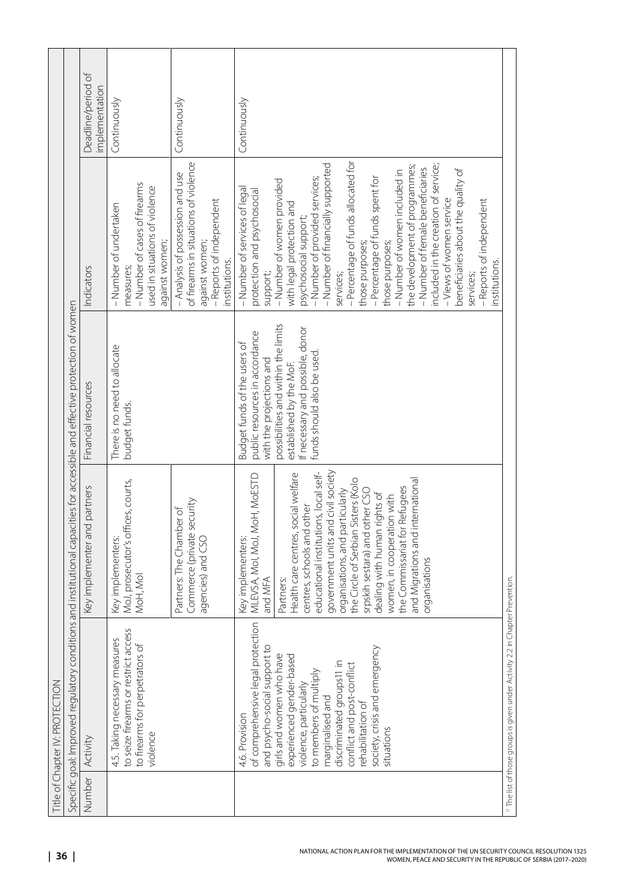|                   | Title of Chapter IV: PROTECTION                                                                                                                                                                                                                             |                                                                                                                                                                                                                                                                                                                                                                                                                               |                                                                                                                                 |                                                                                                                                                                                                                                                                                                                                                                                                                                                                                                                                                                 |                                     |
|-------------------|-------------------------------------------------------------------------------------------------------------------------------------------------------------------------------------------------------------------------------------------------------------|-------------------------------------------------------------------------------------------------------------------------------------------------------------------------------------------------------------------------------------------------------------------------------------------------------------------------------------------------------------------------------------------------------------------------------|---------------------------------------------------------------------------------------------------------------------------------|-----------------------------------------------------------------------------------------------------------------------------------------------------------------------------------------------------------------------------------------------------------------------------------------------------------------------------------------------------------------------------------------------------------------------------------------------------------------------------------------------------------------------------------------------------------------|-------------------------------------|
|                   | Specific goal: Improved regulatory conditions and institutional capacities for accessible and effective protection of women                                                                                                                                 |                                                                                                                                                                                                                                                                                                                                                                                                                               |                                                                                                                                 |                                                                                                                                                                                                                                                                                                                                                                                                                                                                                                                                                                 |                                     |
| Number   Activity |                                                                                                                                                                                                                                                             | Key implementer and partners                                                                                                                                                                                                                                                                                                                                                                                                  | Financial resources                                                                                                             | Indicators                                                                                                                                                                                                                                                                                                                                                                                                                                                                                                                                                      | Deadline/period of<br>mplementation |
|                   | to seize firearms or restrict access<br>4.5. Taking necessary measures<br>to firearms for perpetrators of<br>violence                                                                                                                                       | MoJ, prosecutor's offices, courts,<br>Key implementers:<br>MoH, Mol                                                                                                                                                                                                                                                                                                                                                           | There is no need to allocate<br>budget funds.                                                                                   | - Number of cases of firearms<br>used in situations of violence<br>- Number of undertaken<br>against women;<br>measures;                                                                                                                                                                                                                                                                                                                                                                                                                                        | Continuously                        |
|                   |                                                                                                                                                                                                                                                             | Commerce (private security<br>Partners: The Chamber of<br>agencies) and CSO                                                                                                                                                                                                                                                                                                                                                   |                                                                                                                                 | of firearms in situations of violence<br>- Analysis of possession and use<br>- Reports of independent<br>against women;<br>institutions.                                                                                                                                                                                                                                                                                                                                                                                                                        | Continuously                        |
|                   | of comprehensive legal protection<br>and psycho-social support to<br>4.6. Provision                                                                                                                                                                         | MLEVSA, Mol, MoJ, MoH, MoESTD<br>Key implementers:<br>and MFA                                                                                                                                                                                                                                                                                                                                                                 | public resources in accordance<br>Budget funds of the users of<br>with the projections and                                      | - Number of services of legal<br>protection and psychosocial<br>support;                                                                                                                                                                                                                                                                                                                                                                                                                                                                                        | Continuously                        |
|                   | society, crisis and emergency<br>girls and women who have<br>experienced gender-based<br>discriminated groups11 in<br>conflict and post-conflict<br>to members of multiply<br>violence, particularly<br>marginalised and<br>rehabilitation of<br>situations | educational institutions, local self-<br>government units and civil society<br>Health care centres, social welfare<br>the Circle of Serbian Sisters (Kolo<br>and Migrations and international<br>the Commissariat for Refugees<br>srpskih sestara) and other CSO<br>organisations, and particularly<br>dealing with human rights of<br>women, in cooperation with<br>centres, schools and other<br>organisations<br>Partners: | possibilities and within the limits<br>If necessary and possible, donor<br>funds should also be used<br>established by the MoF. | - Percentage of funds allocated for<br>- Number of financially supported<br>included in the creation of service;<br>the development of programmes;<br>- Number of female beneficiaries<br>beneficiaries about the quality of<br>- Number of women included in<br>- Percentage of funds spent for<br>- Number of provided services;<br>- Number of women provided<br>- Views of women service<br>- Reports of independent<br>with legal protection and<br>psychosocial support;<br>those purposes;<br>those purposes;<br>institutions.<br>services;<br>services; |                                     |
|                   | <sup>11</sup> The list of those groups is given under Activity 2.2 in Chapter Prevention.                                                                                                                                                                   |                                                                                                                                                                                                                                                                                                                                                                                                                               |                                                                                                                                 |                                                                                                                                                                                                                                                                                                                                                                                                                                                                                                                                                                 |                                     |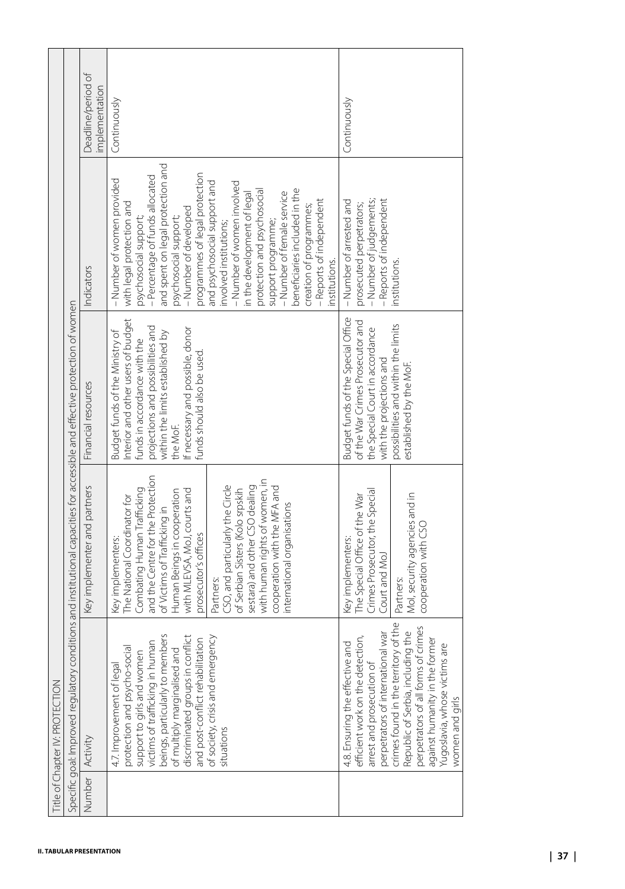|        |                                                                                                                                                                                                                                                                                                                                                                | Specific goal: Improved regulatory conditions and institutional capacities for accessible and effective protection of women                                                                                                                                                                                                                                                                                                                                          |                                                                                                                                                                                                                                                             |                                                                                                                                                                                                                                                                                                                                                                                                                                                                                                                                                               |                                      |
|--------|----------------------------------------------------------------------------------------------------------------------------------------------------------------------------------------------------------------------------------------------------------------------------------------------------------------------------------------------------------------|----------------------------------------------------------------------------------------------------------------------------------------------------------------------------------------------------------------------------------------------------------------------------------------------------------------------------------------------------------------------------------------------------------------------------------------------------------------------|-------------------------------------------------------------------------------------------------------------------------------------------------------------------------------------------------------------------------------------------------------------|---------------------------------------------------------------------------------------------------------------------------------------------------------------------------------------------------------------------------------------------------------------------------------------------------------------------------------------------------------------------------------------------------------------------------------------------------------------------------------------------------------------------------------------------------------------|--------------------------------------|
| Number | Activity                                                                                                                                                                                                                                                                                                                                                       | Key implementer and partners                                                                                                                                                                                                                                                                                                                                                                                                                                         | Financial resources                                                                                                                                                                                                                                         | Indicators                                                                                                                                                                                                                                                                                                                                                                                                                                                                                                                                                    | Deadline/period of<br>implementation |
|        | beings, particularly to members<br>discriminated groups in conflict<br>of society, crisis and emergency<br>and post-conflict rehabilitation<br>victims of trafficking in human<br>protection and psycho-social<br>of multiply marginalised and<br>support to girls and women<br>4.7. Improvement of legal<br>situations                                        | and the Centre for the Protection<br>with human rights of women, in<br>sestara) and other CSO dealing<br>CSO, and particularly the Circle<br>cooperation with the MFA and<br>Combating Human Trafficking<br>of Serbian Sisters (Kolo srpskih<br>with MLEVSA, MoJ, courts and<br>Human Beings in cooperation<br>The National Coordinator for<br>international organisations<br>of Victims of Trafficking in<br>prosecutor's offices<br>Key implementers:<br>Partners: | nterior and other users of budget<br>projections and possibilities and<br>If necessary and possible, donor<br>Budget funds of the Ministry of<br>within the limits established by<br>funds in accordance with the<br>funds should also be used.<br>the MoF. | and spent on legal protection and<br>programmes of legal protection<br>- Percentage of funds allocated<br>- Number of women provided<br>and psychosocial support and<br>- Number of women involved<br>beneficiaries included in the<br>protection and psychosocial<br>-Number of female service<br>in the development of legal<br>- Reports of independent<br>with legal protection and<br>creation of programmes;<br>-Number of developed<br>psychosocial support;<br>psychosocial support;<br>support programme;<br>involved institutions;<br>institutions. | Continuously                         |
|        | crimes found in the territory of the<br>perpetrators of all forms of crimes<br>the<br>war<br>ρń,<br>against humanity in the former<br>℧<br>Yugoslavia, whose victims are<br>efficient work on the detectio<br>Republic of Serbia, including<br>4.8. Ensuring the effective an<br>perpetrators of international<br>arrest and prosecution of<br>women and girls | Crimes Prosecutor, the Special<br>Mol, security agencies and in<br>The Special Office of the War<br>cooperation with CSO<br>Key implementers:<br>Court and MoJ<br>Partners:                                                                                                                                                                                                                                                                                          | Budget funds of the Special Office<br>of the War Crimes Prosecutor and<br>possibilities and within the limits<br>the Special Court in accordance<br>with the projections and<br>established by the MoF.                                                     | - Number of judgements;<br>- Reports of independent<br>- Number of arrested and<br>prosecuted perpetrators;<br>institutions.                                                                                                                                                                                                                                                                                                                                                                                                                                  | Continuously                         |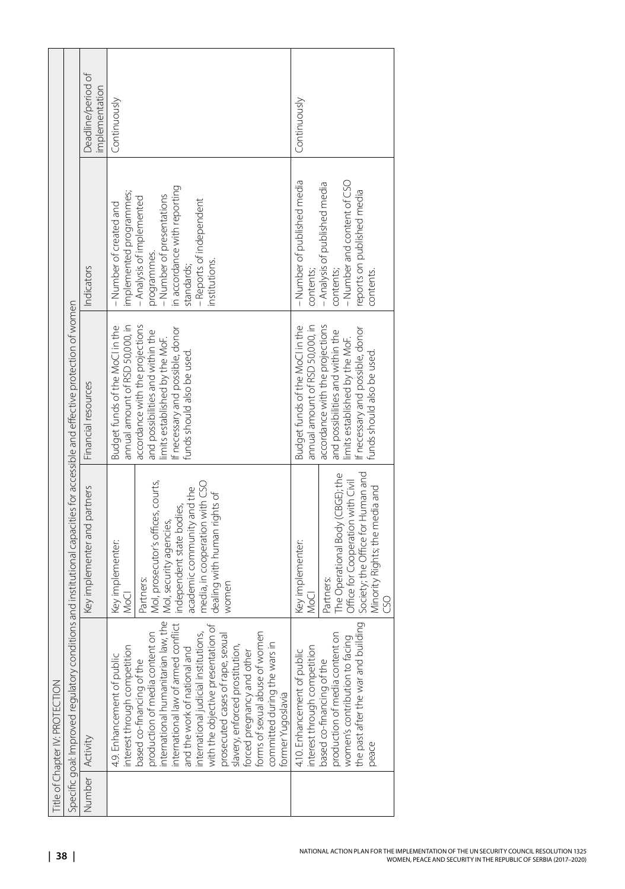| Title of Chapter IV: PROTECTION                                                                                                                                                                                                                                                                                                                                                                                                                                                                                                       |                                                                                                                                                                                                                                              |                                                                                                                                                                                                                                               |                                                                                                                                                                                                                        |                                      |
|---------------------------------------------------------------------------------------------------------------------------------------------------------------------------------------------------------------------------------------------------------------------------------------------------------------------------------------------------------------------------------------------------------------------------------------------------------------------------------------------------------------------------------------|----------------------------------------------------------------------------------------------------------------------------------------------------------------------------------------------------------------------------------------------|-----------------------------------------------------------------------------------------------------------------------------------------------------------------------------------------------------------------------------------------------|------------------------------------------------------------------------------------------------------------------------------------------------------------------------------------------------------------------------|--------------------------------------|
| Specific goal: Improved regulatory conditions and institutional capacities for accessible and effective protection of women                                                                                                                                                                                                                                                                                                                                                                                                           |                                                                                                                                                                                                                                              |                                                                                                                                                                                                                                               |                                                                                                                                                                                                                        |                                      |
| Number   Activity                                                                                                                                                                                                                                                                                                                                                                                                                                                                                                                     | Key implementer and partners                                                                                                                                                                                                                 | Financial resources                                                                                                                                                                                                                           | Indicators                                                                                                                                                                                                             | Deadline/period of<br>implementation |
| international humanitarian law, the<br>international law of armed conflict<br>with the objective presentation of<br>and the work of national and<br>international judicial institutions,<br>nen<br>S <sub>0</sub><br>prosecuted cases of rape, sexual<br>committed during the wars in<br>based co-financing of the<br>production of media content<br>slavery, enforced prostitution,<br>forced pregnancy and other<br>forms of sexual abuse of won<br>interest through competition<br>4.9. Enhancement of public<br>former Yugoslavia | Mol, prosecutor's offices, courts,<br>media, in cooperation with CSO<br>academic community and the<br>dealing with human rights of<br>independent state bodies,<br>Mol, security agencies,<br>Key implementer:<br>Partners:<br>women<br>Voci | annual amount of RSD 50,000, in<br>accordance with the projections<br>Budget funds of the MoClin the<br>If necessary and possible, donor<br>and possibilities and within the<br>limits established by the MoF.<br>funds should also be used.  | in accordance with reporting<br>implemented programmes;<br>- Number of presentations<br>- Analysis of implemented<br>- Reports of independent<br>- Number of created and<br>programmes.<br>institutions.<br>standards; | Continuously                         |
| $\left  \begin{array}{c} \text{diag} \\ \text{diag} \end{array} \right $<br>δ<br>4.10. Enhancement of public<br>interest through competition<br>women's contribution to faci<br>the past after the war and bu<br>based co-financing of the<br>production of media content<br>peace                                                                                                                                                                                                                                                    | The Operational Body (CBGE); the<br>Society; the Office for Human and<br>Office for Cooperation with Civil<br>Minority Rights; the media and<br>Key implementer:<br>Partners:<br>Ş<br>8                                                      | annual amount of RSD 50,000, in<br>accordance with the projections<br>Budget funds of the MoCl in the<br>If necessary and possible, donor<br>and possibilities and within the<br>limits established by the MoF.<br>funds should also be used. | - Number of published media<br>- Number and content of CSO<br>- Analysis of published media<br>reports on published media<br>contents;<br>contents;<br>contents.                                                       | Continuously                         |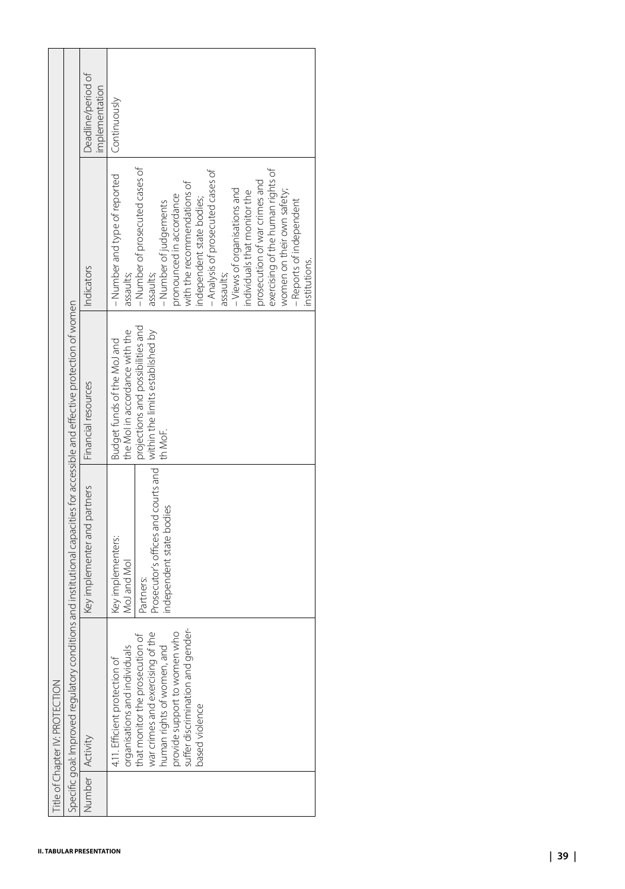| Activity<br>Number                                                                                                                                                                                                                                      | Specific goal: Improved regulatory cond | itions and institutional capacities for accessible and effective protection of women                             |                                                                                                                                                   |                                                                                                                                                                                                                                                                                                                                                                                                                                                                                |                                      |
|---------------------------------------------------------------------------------------------------------------------------------------------------------------------------------------------------------------------------------------------------------|-----------------------------------------|------------------------------------------------------------------------------------------------------------------|---------------------------------------------------------------------------------------------------------------------------------------------------|--------------------------------------------------------------------------------------------------------------------------------------------------------------------------------------------------------------------------------------------------------------------------------------------------------------------------------------------------------------------------------------------------------------------------------------------------------------------------------|--------------------------------------|
|                                                                                                                                                                                                                                                         |                                         | Key implementer and partners                                                                                     | Financial resources                                                                                                                               | Indicators                                                                                                                                                                                                                                                                                                                                                                                                                                                                     | Deadline/period of<br>implementation |
| suffer discrimination and gender-<br>provide support to women who<br>war crimes and exercising of the<br>organisations and individuals<br>human rights of women, and<br>that monitor the prosecution<br>4.11. Efficient protection of<br>based violence | $\sigma$                                | Prosecutor's offices and courts and<br>independent state bodies<br>Key implementers:<br>MoJ and Mol<br>Partners: | projections and possibilities and<br>the MoI in accordance with the<br>within the limits established by<br>Budget funds of the MoJ and<br>th MoF. | - Number of prosecuted cases of<br>exercising of the human rights of<br>- Analysis of prosecuted cases of<br>- Number and type of reported<br>prosecution of war crimes and<br>with the recommendations of<br>- Views of organisations and<br>women on their own safety;<br>individuals that monitor the<br>pronounced in accordance<br>independent state bodies;<br>- Reports of independent<br>-Number of judgements<br>institutions.<br>assaults;<br>assaults;<br>assaults; | Continuously                         |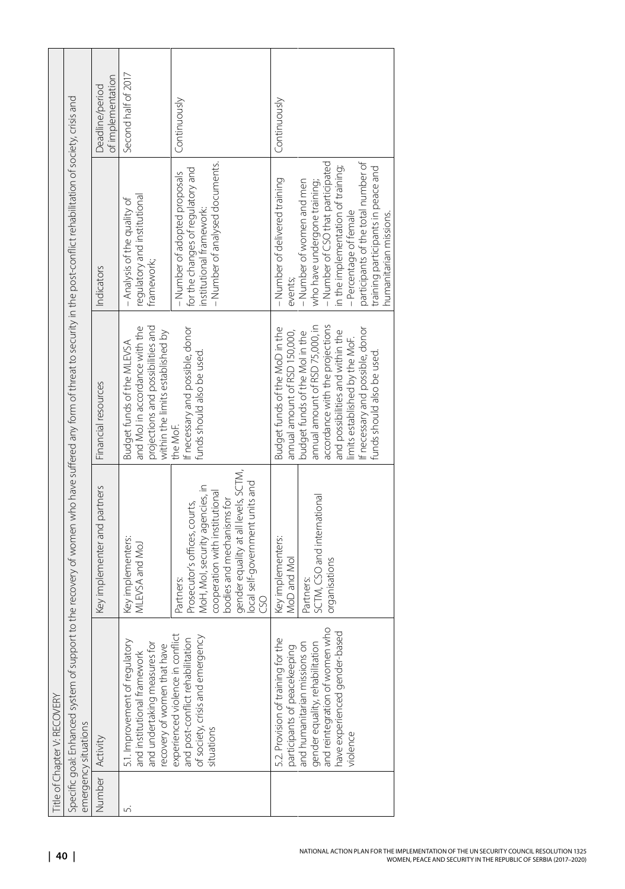| <b>Title of Chapter V: RECOVERY</b>                                                                                                                                                                    |                                                                                                                                                                                                                              |                                                                                                                                                                                                                                              |                                                                                                                                                                                                                                                                     |                                      |
|--------------------------------------------------------------------------------------------------------------------------------------------------------------------------------------------------------|------------------------------------------------------------------------------------------------------------------------------------------------------------------------------------------------------------------------------|----------------------------------------------------------------------------------------------------------------------------------------------------------------------------------------------------------------------------------------------|---------------------------------------------------------------------------------------------------------------------------------------------------------------------------------------------------------------------------------------------------------------------|--------------------------------------|
| Specific goal: Enhanced system of support to the recovery of women who have suffered any form of threat to security in the post-conflict rehabilitation of society, crisis and<br>emergency situations |                                                                                                                                                                                                                              |                                                                                                                                                                                                                                              |                                                                                                                                                                                                                                                                     |                                      |
| Number Activity                                                                                                                                                                                        | Key implementer and partners                                                                                                                                                                                                 | Financial resources                                                                                                                                                                                                                          | Indicators                                                                                                                                                                                                                                                          | of implementation<br>Deadline/period |
| 5.1. Improvement of regulatory<br>and undertaking measures fo<br>recovery of women that have<br>and institutional framework                                                                            | Key implementers:<br>MLEVSA and MoJ                                                                                                                                                                                          | projections and possibilities and<br>and MoJ in accordance with the<br>within the limits established by<br>Budget funds of the MLEVSA                                                                                                        | regulatory and institutional<br>- Analysis of the quality of<br>framework;                                                                                                                                                                                          | Second half of 2017                  |
| experienced violence in conflict<br>and post-conflict rehabilitation<br>of society, crisis and emergency<br>situations                                                                                 | gender equality at all levels, SCTM,<br>local self-government units and<br>MoH, Mol, security agencies, in<br>cooperation with institutional<br>bodies and mechanisms for<br>Prosecutor's offices, courts,<br>Partners:<br>S | If necessary and possible, donor<br>funds should also be used.<br>the MoF.                                                                                                                                                                   | - Number of analysed documents.<br>for the changes of regulatory and<br>- Number of adopted proposals<br>institutional framework:                                                                                                                                   | Continuously                         |
| $\approx$<br>5.2. Provision of training for th<br>participants of peacekeeping                                                                                                                         | Key implementers:<br>MoD and Mol                                                                                                                                                                                             | Budget funds of the MoD in the<br>annual amount of RSD 150,000,                                                                                                                                                                              | - Number of delivered training<br>events:                                                                                                                                                                                                                           | Continuously                         |
| $\frac{1}{2}$<br>have experienced gender-based<br>and humanitarian missions on<br>gender equality, rehabilitation<br>and reintegration of women v<br>violence                                          | SCTM, CSO and international<br>organisations<br>Partners:                                                                                                                                                                    | accordance with the projections<br>annual amount of RSD 75,000, in<br>If necessary and possible, donor<br>and possibilities and within the<br>budget funds of the Mol in the<br>limits established by the MoF.<br>funds should also be used. | participants of the total number of<br>- Number of CSO that participated<br>in the implementation of training;<br>training participants in peace and<br>-Number of women and men<br>who have undergone training;<br>-Percentage of female<br>humanitarian missions. |                                      |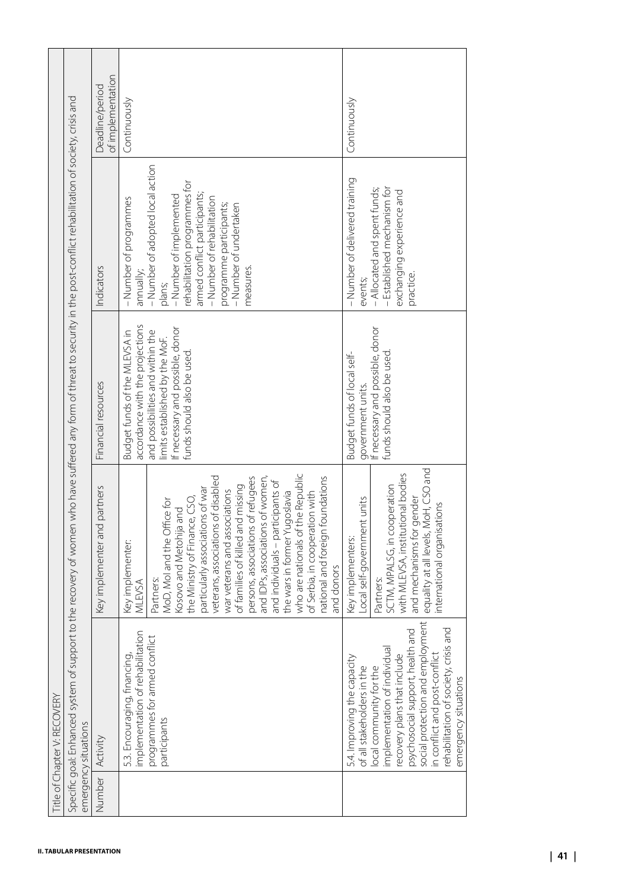| Number | Activity                                                                                                                                                                                                                                                                                                                            | Key implementer and partners                                                                                                                                                                                                                                                                                                                                                                                                                                                                                                                               | Financial resources                                                                                                                                                                                      | Indicators                                                                                                                                                                                                                                                                    | of implementation<br>Deadline/period |
|--------|-------------------------------------------------------------------------------------------------------------------------------------------------------------------------------------------------------------------------------------------------------------------------------------------------------------------------------------|------------------------------------------------------------------------------------------------------------------------------------------------------------------------------------------------------------------------------------------------------------------------------------------------------------------------------------------------------------------------------------------------------------------------------------------------------------------------------------------------------------------------------------------------------------|----------------------------------------------------------------------------------------------------------------------------------------------------------------------------------------------------------|-------------------------------------------------------------------------------------------------------------------------------------------------------------------------------------------------------------------------------------------------------------------------------|--------------------------------------|
|        | ion<br>$\overline{C}$<br>implementation of rehabilitat<br>programmes for armed confli<br>5.3. Encouraging, financing,<br>participants                                                                                                                                                                                               | who are nationals of the Republic<br>veterans, associations of disabled<br>persons, associations of refugees<br>national and foreign foundations<br>and IDPs, associations of women,<br>and individuals - participants of<br>of families of killed and missing<br>particularly associations of war<br>war veterans and associations<br>the wars in former Yugoslavia<br>of Serbia, in cooperation with<br>the Ministry of Finance, CSO,<br>MoD, MoI and the Office for<br>Kosovo and Metohija and<br>Key implementer:<br>and donors<br>Partners:<br>MLEVSA | accordance with the projections<br>If necessary and possible, donor<br>and possibilities and within the<br>Budget funds of the MLEVSA in<br>limits established by the MoF.<br>funds should also be used. | - Number of adopted local action<br>rehabilitation programmes for<br>armed conflict participants;<br>- Number of implemented<br>- Number of rehabilitation<br>- Number of programmes<br>programme participants;<br>- Number of undertaken<br>measures.<br>annually;<br>plans; | Continuously                         |
|        | ment<br>rehabilitation of society, crisis and<br>pue<br>social protection and employ<br>implementation of individual<br>psychosocial support, health<br>n conflict and post-conflict<br>recovery plans that include<br>5.4. Improving the capacity<br>of all stakeholders in the<br>local community for the<br>emergency situations | equality at all levels, MoH, CSO and<br>with MLEVSA, institutional bodies<br>SCTM, MPALSG, in cooperation<br>and mechanisms for gender<br>Local self-government units<br>international organisations<br>Key implementers:<br>Partners:                                                                                                                                                                                                                                                                                                                     | government units.<br>If necessary and possible, donor<br>funds should also be used.<br>Budget funds of local self-                                                                                       | - Number of delivered training<br>- Established mechanism for<br>- Allocated and spent funds;<br>exchanging experience and<br>practice.<br>events;                                                                                                                            | Continuously                         |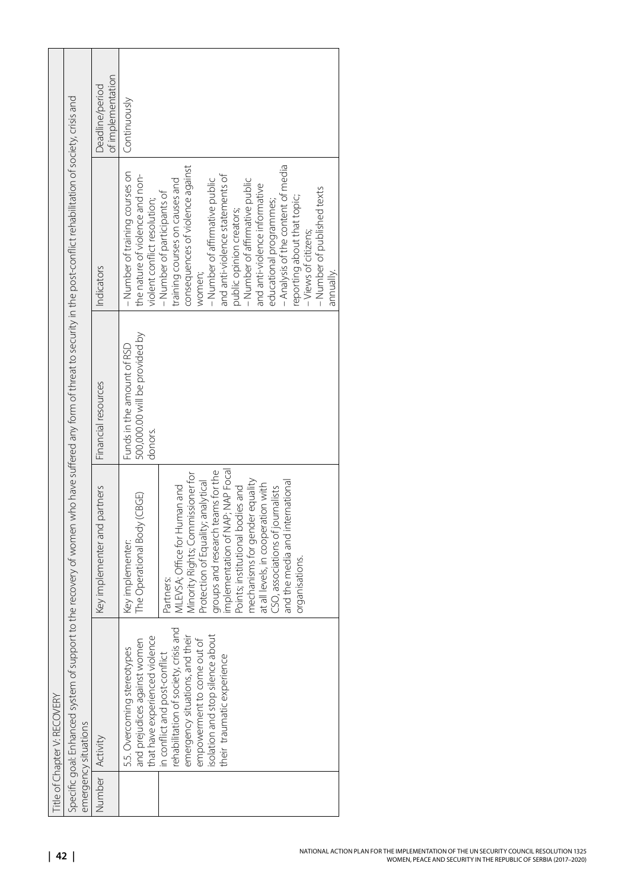| Title of Chapter V: RECOVERY                                                                                                                                                                           |                                                                                                                                                                                                                                                                                                                                                       |                                                                         |                                                                                                                                                                                                                                                                                                                                                                                   |                                      |
|--------------------------------------------------------------------------------------------------------------------------------------------------------------------------------------------------------|-------------------------------------------------------------------------------------------------------------------------------------------------------------------------------------------------------------------------------------------------------------------------------------------------------------------------------------------------------|-------------------------------------------------------------------------|-----------------------------------------------------------------------------------------------------------------------------------------------------------------------------------------------------------------------------------------------------------------------------------------------------------------------------------------------------------------------------------|--------------------------------------|
| Specific goal: Enhanced system of support to the recovery of women who have suffered any form of threat to security in the post-conflict rehabilitation of society, crisis and<br>emergency situations |                                                                                                                                                                                                                                                                                                                                                       |                                                                         |                                                                                                                                                                                                                                                                                                                                                                                   |                                      |
| Number Activity                                                                                                                                                                                        | Key implementer and partners                                                                                                                                                                                                                                                                                                                          | Financial resources                                                     | Indicators                                                                                                                                                                                                                                                                                                                                                                        | of implementation<br>Deadline/period |
| and<br>that have experienced violence<br>and prejudices against women<br>5.5. Overcoming stereotypes<br>rehabilitation of society, crisis<br>n conflict and post-conflict                              | MLEVSA; Office for Human and<br>The Operational Body (CBGE)<br>Key implementer:<br>Partners:                                                                                                                                                                                                                                                          | 500,000.00 will be provided by<br>Funds in the amount of RSD<br>donors. | - Number of training courses on<br>the nature of violence and non-<br>training courses on causes and<br>- Number of participants of<br>violent conflict resolution;                                                                                                                                                                                                               | Continuously                         |
| ήī<br>solation and stop silence about<br>empowerment to come out of<br>emergency situations, and th<br>their traumatic experience                                                                      | implementation of NAP; NAP Focal<br>groups and research teams for the<br>Minority Rights; Commissioner for<br>mechanisms for gender equality<br>Protection of Equality; analytical<br>and the media and international<br>at all levels, in cooperation with<br>Points; institutional bodies and<br>CSO, associations of journalists<br>organisations. |                                                                         | - Analysis of the content of media<br>consequences of violence against<br>and anti-violence statements of<br>- Number of affirmative public<br>- Number of affirmative public<br>and anti-violence informative<br>- Number of published texts<br>reporting about that topic;<br>educational programmes;<br>public opinion creators;<br>-Views of citizens;<br>annually.<br>women; |                                      |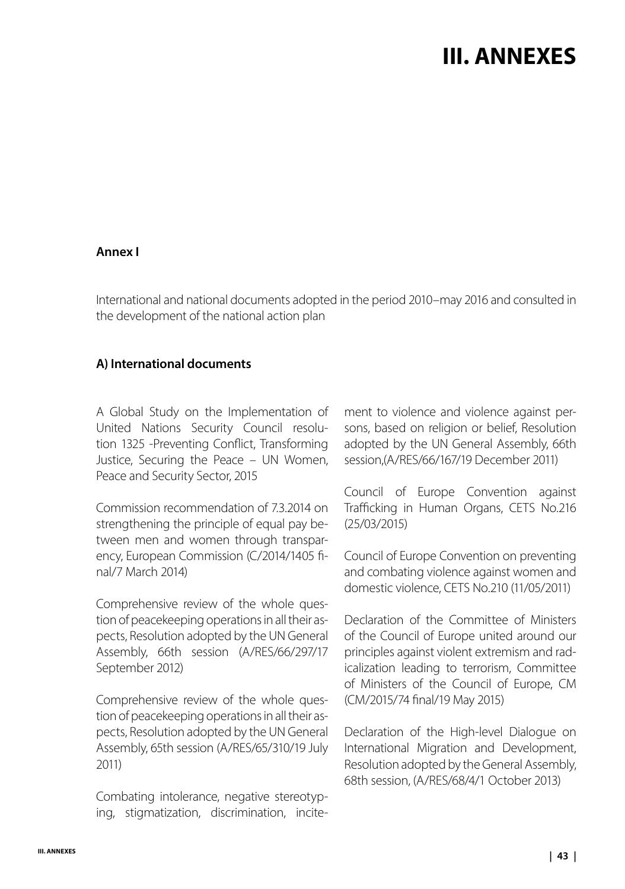## **III. ANNEXES**

#### <span id="page-42-0"></span>**Annex I**

International and national documents adopted in the period 2010–may 2016 and consulted in the development of the national action plan

### **А) International documents**

A Global Study on the Implementation of United Nations Security Council resolution 1325 -Preventing Conflict, Transforming Justice, Securing the Peace – UN Women, Peace and Security Sector, 2015

Commission recommendation of 7.3.2014 on strengthening the principle of equal pay between men and women through transparency, European Commission (C/2014/1405 final/7 March 2014)

Comprehensive review of the whole question of peacekeeping operations in all their aspects, Resolution adopted by the UN General Assembly, 66th session (A/RES/66/297/17 September 2012)

Comprehensive review of the whole question of peacekeeping operations in all their aspects, Resolution adopted by the UN General Assembly, 65th session (A/RES/65/310/19 July 2011)

Combating intolerance, negative stereotyping, stigmatization, discrimination, incitement to violence and violence against persons, based on religion or belief, Resolution adopted by the UN General Assembly, 66th session,(A/RES/66/167/19 December 2011)

Council of Europe Convention against Trafficking in Human Organs, CETS No.216 (25/03/2015)

Council of Europe Convention on preventing and combating violence against women and domestic violence, CETS No.210 (11/05/2011)

Declaration of the Committee of Ministers of the Council of Europe united around our principles against violent extremism and radicalization leading to terrorism, Committee of Ministers of the Council of Europe, CM (CM/2015/74 final/19 May 2015)

Declaration of the High-level Dialogue on International Migration and Development, Resolution adopted by the General Assembly, 68th session, (A/RES/68/4/1 October 2013)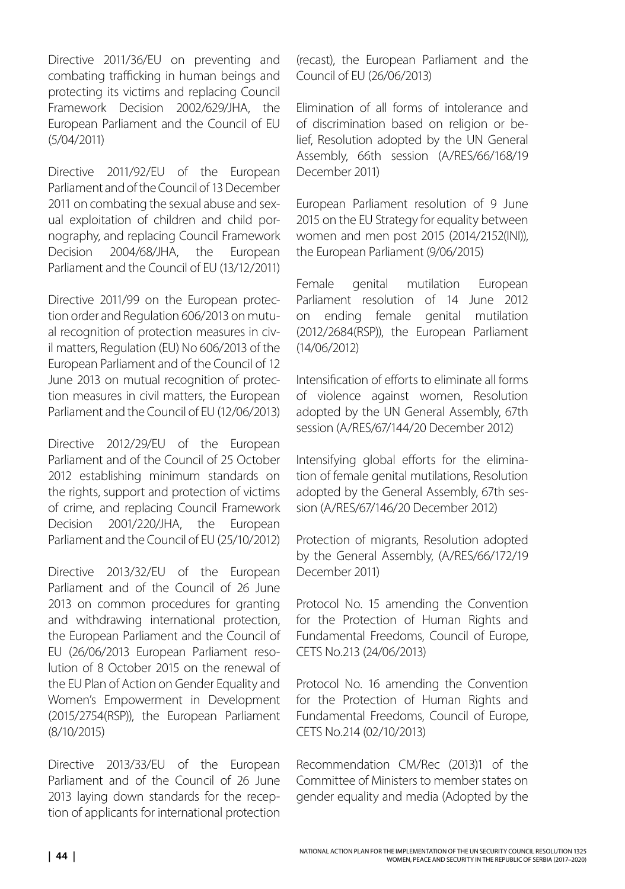Directive 2011/36/EU on preventing and combating trafficking in human beings and protecting its victims and replacing Council Framework Decision 2002/629/JHA, the European Parliament and the Council of EU (5/04/2011)

Directive 2011/92/EU of the European Parliament and of the Council of 13 December 2011 on combating the sexual abuse and sexual exploitation of children and child pornography, and replacing Council Framework Decision 2004/68/JHA, the European Parliament and the Council of EU (13/12/2011)

Directive 2011/99 on the European protection order and Regulation 606/2013 on mutual recognition of protection measures in civil matters, Regulation (EU) No 606/2013 of the European Parliament and of the Council of 12 June 2013 on mutual recognition of protection measures in civil matters, the European Parliament and the Council of EU (12/06/2013)

Directive 2012/29/EU of the European Parliament and of the Council of 25 October 2012 establishing minimum standards on the rights, support and protection of victims of crime, and replacing Council Framework Decision 2001/220/JHA, the European Parliament and the Council of EU (25/10/2012)

Directive 2013/32/EU of the European Parliament and of the Council of 26 June 2013 on common procedures for granting and withdrawing international protection, the European Parliament and the Council of EU (26/06/2013 European Parliament resolution of 8 October 2015 on the renewal of the EU Plan of Action on Gender Equality and Women's Empowerment in Development (2015/2754(RSP)), the European Parliament (8/10/2015)

Directive 2013/33/EU of the European Parliament and of the Council of 26 June 2013 laying down standards for the reception of applicants for international protection (recast), the European Parliament and the Council of EU (26/06/2013)

Elimination of all forms of intolerance and of discrimination based on religion or belief, Resolution adopted by the UN General Assembly, 66th session (A/RES/66/168/19 December 2011)

European Parliament resolution of 9 June 2015 on the EU Strategy for equality between women and men post 2015 (2014/2152(INI)), the European Parliament (9/06/2015)

Female genital mutilation European Parliament resolution of 14 June 2012 on ending female genital mutilation (2012/2684(RSP)), the European Parliament (14/06/2012)

Intensification of efforts to eliminate all forms of violence against women, Resolution adopted by the UN General Assembly, 67th session (A/RES/67/144/20 December 2012)

Intensifying global efforts for the elimination of female genital mutilations, Resolution adopted by the General Assembly, 67th session (A/RES/67/146/20 December 2012)

Protection of migrants, Resolution adopted by the General Assembly, (A/RES/66/172/19 December 2011)

Protocol No. 15 amending the Convention for the Protection of Human Rights and Fundamental Freedoms, Council of Europe, CETS No.213 (24/06/2013)

Protocol No. 16 amending the Convention for the Protection of Human Rights and Fundamental Freedoms, Council of Europe, CETS No.214 (02/10/2013)

Recommendation CM/Rec (2013)1 of the Committee of Ministers to member states on gender equality and media (Adopted by the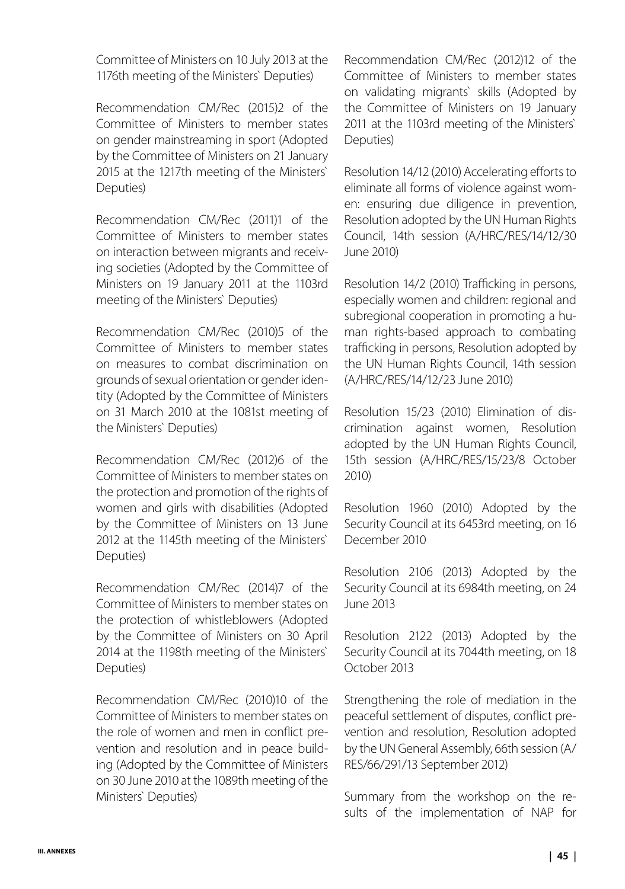Committee of Ministers on 10 July 2013 at the 1176th meeting of the Ministers` Deputies)

Recommendation CM/Rec (2015)2 of the Committee of Ministers to member states on gender mainstreaming in sport (Adopted by the Committee of Ministers on 21 January 2015 at the 1217th meeting of the Ministers` Deputies)

Recommendation CM/Rec (2011)1 of the Committee of Ministers to member states on interaction between migrants and receiving societies (Adopted by the Committee of Ministers on 19 January 2011 at the 1103rd meeting of the Ministers` Deputies)

Recommendation CM/Rec (2010)5 of the Committee of Ministers to member states on measures to combat discrimination on grounds of sexual orientation or gender identity (Adopted by the Committee of Ministers on 31 March 2010 at the 1081st meeting of the Ministers` Deputies)

Recommendation CM/Rec (2012)6 of the Committee of Ministers to member states on the protection and promotion of the rights of women and girls with disabilities (Adopted by the Committee of Ministers on 13 June 2012 at the 1145th meeting of the Ministers` Deputies)

Recommendation CM/Rec (2014)7 of the Committee of Ministers to member states on the protection of whistleblowers (Adopted by the Committee of Ministers on 30 April 2014 at the 1198th meeting of the Ministers` Deputies)

Recommendation CM/Rec (2010)10 of the Committee of Ministers to member states on the role of women and men in conflict prevention and resolution and in peace building (Adopted by the Committee of Ministers on 30 June 2010 at the 1089th meeting of the Ministers` Deputies)

Recommendation CM/Rec (2012)12 of the Committee of Ministers to member states on validating migrants` skills (Adopted by the Committee of Ministers on 19 January 2011 at the 1103rd meeting of the Ministers` Deputies)

Resolution 14/12 (2010) Accelerating efforts to eliminate all forms of violence against women: ensuring due diligence in prevention, Resolution adopted by the UN Human Rights Council, 14th session (A/HRC/RES/14/12/30 June 2010)

Resolution 14/2 (2010) Trafficking in persons, especially women and children: regional and subregional cooperation in promoting a human rights-based approach to combating trafficking in persons, Resolution adopted by the UN Human Rights Council, 14th session (A/HRC/RES/14/12/23 June 2010)

Resolution 15/23 (2010) Elimination of discrimination against women, Resolution adopted by the UN Human Rights Council, 15th session (A/HRC/RES/15/23/8 October 2010)

Resolution 1960 (2010) Adopted by the Security Council at its 6453rd meeting, on 16 December 2010

Resolution 2106 (2013) Adopted by the Security Council at its 6984th meeting, on 24 June 2013

Resolution 2122 (2013) Adopted by the Security Council at its 7044th meeting, on 18 October 2013

Strengthening the role of mediation in the peaceful settlement of disputes, conflict prevention and resolution, Resolution adopted by the UN General Assembly, 66th session (A/ RES/66/291/13 September 2012)

Summary from the workshop on the results of the implementation of NAP for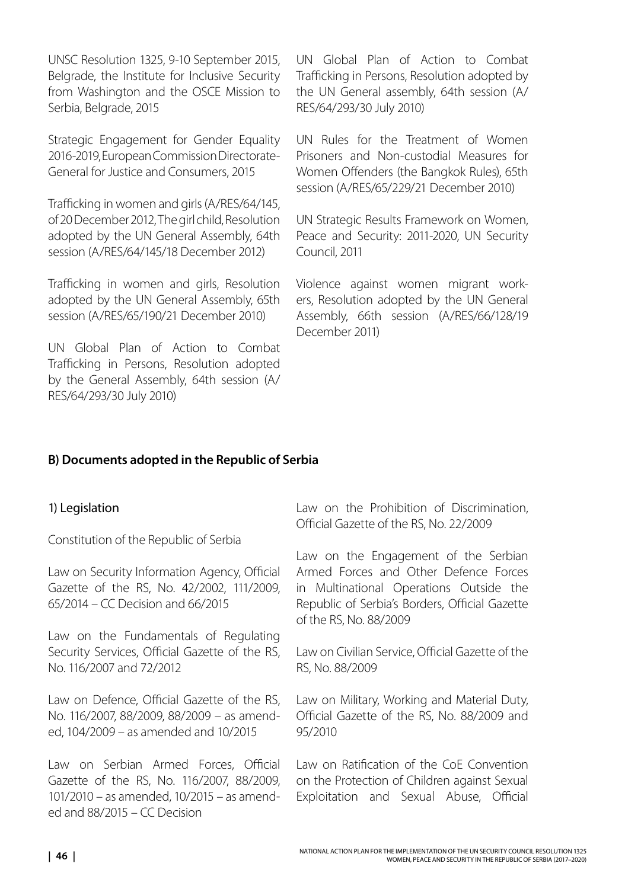UNSC Resolution 1325, 9-10 September 2015, Belgrade, the Institute for Inclusive Security from Washington and the OSCE Mission to Serbia, Belgrade, 2015

Strategic Engagement for Gender Equality 2016-2019, European Commission Directorate-General for Justice and Consumers, 2015

Trafficking in women and girls (A/RES/64/145, of 20 December 2012, The girl child, Resolution adopted by the UN General Assembly, 64th session (A/RES/64/145/18 December 2012)

Trafficking in women and girls, Resolution adopted by the UN General Assembly, 65th session (A/RES/65/190/21 December 2010)

UN Global Plan of Action to Combat Trafficking in Persons, Resolution adopted by the General Assembly, 64th session (A/ RES/64/293/30 July 2010)

UN Global Plan of Action to Combat Trafficking in Persons, Resolution adopted by the UN General assembly, 64th session (A/ RES/64/293/30 July 2010)

UN Rules for the Treatment of Women Prisoners and Non-custodial Measures for Women Offenders (the Bangkok Rules), 65th session (A/RES/65/229/21 December 2010)

UN Strategic Results Framework on Women, Peace and Security: 2011-2020, UN Security Council, 2011

Violence against women migrant workers, Resolution adopted by the UN General Assembly, 66th session (A/RES/66/128/19 December 2011)

### **B) Documents adopted in the Republic of Serbia**

#### 1) Legislation

Constitution of the Republic of Serbia

Law on Security Information Agency, Official Gazette of the RS, No. 42/2002, 111/2009, 65/2014 – CC Decision and 66/2015

Law on the Fundamentals of Regulating Security Services, Official Gazette of the RS, No. 116/2007 and 72/2012

Law on Defence, Official Gazette of the RS, No. 116/2007, 88/2009, 88/2009 – as amended, 104/2009 – as amended and 10/2015

Law on Serbian Armed Forces, Official Gazette of the RS, No. 116/2007, 88/2009, 101/2010 – as amended, 10/2015 – as amended and 88/2015 – CC Decision

Law on the Prohibition of Discrimination, Official Gazette of the RS, No. 22/2009

Law on the Engagement of the Serbian Armed Forces and Other Defence Forces in Multinational Operations Outside the Republic of Serbia's Borders, Official Gazette of the RS, No. 88/2009

Law on Civilian Service, Official Gazette of the RS, No. 88/2009

Law on Military, Working and Material Duty, Official Gazette of the RS, No. 88/2009 and 95/2010

Law on Ratification of the CoE Convention on the Protection of Children against Sexual Exploitation and Sexual Abuse, Official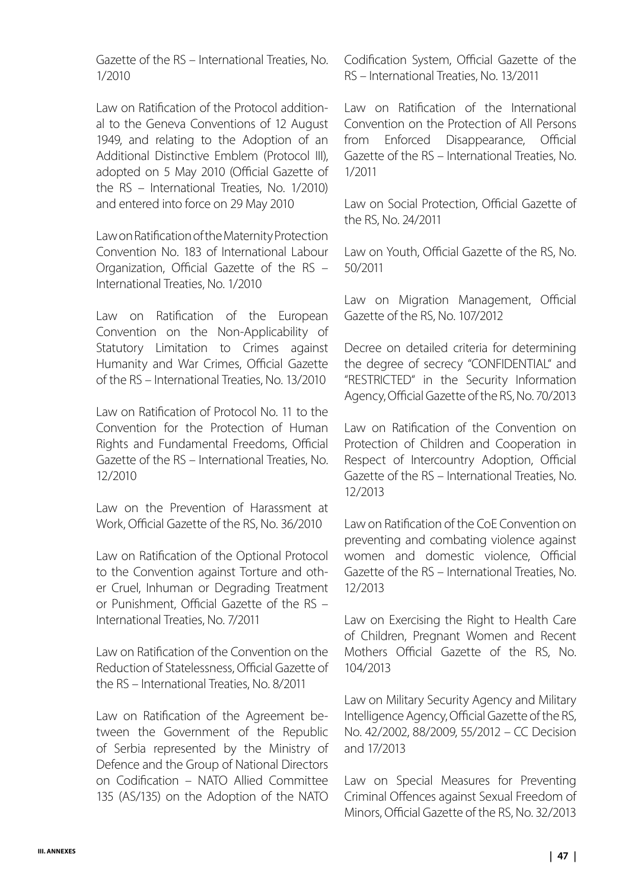Gazette of the RS – International Treaties, No. 1/2010

Law on Ratification of the Protocol additional to the Geneva Conventions of 12 August 1949, and relating to the Adoption of an Additional Distinctive Emblem (Protocol III), adopted on 5 May 2010 (Official Gazette of the RS – International Treaties, No. 1/2010) and entered into force on 29 May 2010

Law on Ratification of the Maternity Protection Convention No. 183 of International Labour Organization, Official Gazette of the RS – International Treaties, No. 1/2010

Law on Ratification of the European Convention on the Non-Applicability of Statutory Limitation to Crimes against Humanity and War Crimes, Official Gazette of the RS – International Treaties, No. 13/2010

Law on Ratification of Protocol No. 11 to the Convention for the Protection of Human Rights and Fundamental Freedoms, Official Gazette of the RS – International Treaties, No. 12/2010

Law on the Prevention of Harassment at Work, Official Gazette of the RS, No. 36/2010

Law on Ratification of the Optional Protocol to the Convention against Torture and other Cruel, Inhuman or Degrading Treatment or Punishment, Official Gazette of the RS – International Treaties, No. 7/2011

Law on Ratification of the Convention on the Reduction of Statelessness, Official Gazette of the RS – International Treaties, No. 8/2011

Law on Ratification of the Agreement between the Government of the Republic of Serbia represented by the Ministry of Defence and the Group of National Directors on Codification – NATO Allied Committee 135 (AS/135) on the Adoption of the NATO

Codification System, Official Gazette of the RS – International Treaties, No. 13/2011

Law on Ratification of the International Convention on the Protection of All Persons from Enforced Disappearance, Official Gazette of the RS – International Treaties, No. 1/2011

Law on Social Protection, Official Gazette of the RS, No. 24/2011

Law on Youth, Official Gazette of the RS, No. 50/2011

Law on Migration Management, Official Gazette of the RS, No. 107/2012

Decree on detailed criteria for determining the degree of secrecy "CONFIDENTIAL" and "RESTRICTED" in the Security Information Agency, Official Gazette of the RS, No. 70/2013

Law on Ratification of the Convention on Protection of Children and Cooperation in Respect of Intercountry Adoption, Official Gazette of the RS – International Treaties, No. 12/2013

Law on Ratification of the CoE Convention on preventing and combating violence against women and domestic violence, Official Gazette of the RS – International Treaties, No. 12/2013

Law on Exercising the Right to Health Care of Children, Pregnant Women and Recent Mothers Official Gazette of the RS, No. 104/2013

Law on Military Security Agency and Military Intelligence Agency, Official Gazette of the RS, No. 42/2002, 88/2009, 55/2012 – CC Decision and 17/2013

Law on Special Measures for Preventing Criminal Offences against Sexual Freedom of Minors, Official Gazette of the RS, No. 32/2013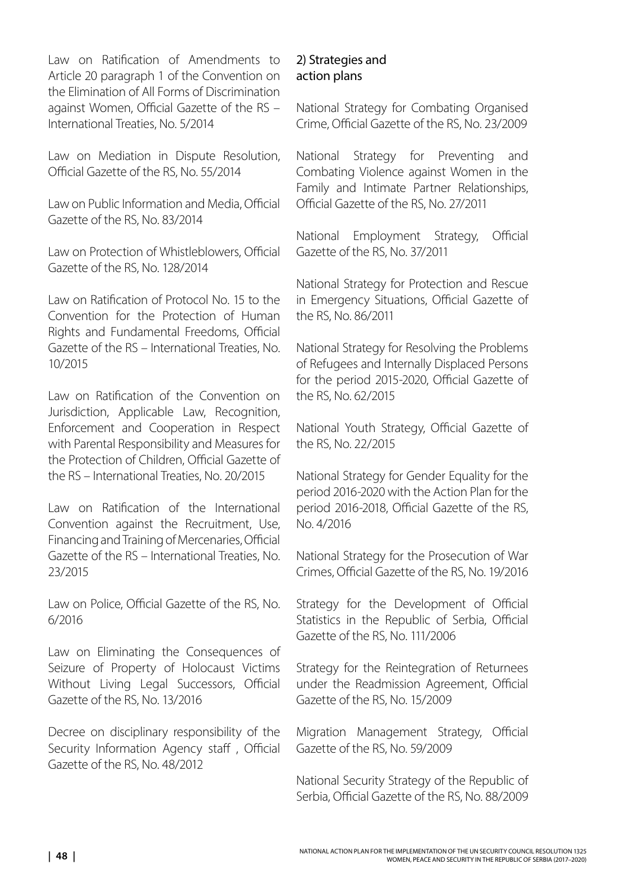Law on Ratification of Amendments to Article 20 paragraph 1 of the Convention on the Elimination of All Forms of Discrimination against Women, Official Gazette of the RS – International Treaties, No. 5/2014

Law on Mediation in Dispute Resolution, Official Gazette of the RS, No. 55/2014

Law on Public Information and Media, Official Gazette of the RS, No. 83/2014

Law on Protection of Whistleblowers, Official Gazette of the RS, No. 128/2014

Law on Ratification of Protocol No. 15 to the Convention for the Protection of Human Rights and Fundamental Freedoms, Official Gazette of the RS – International Treaties, No. 10/2015

Law on Ratification of the Convention on Jurisdiction, Applicable Law, Recognition, Enforcement and Cooperation in Respect with Parental Responsibility and Measures for the Protection of Children, Official Gazette of the RS – International Treaties, No. 20/2015

Law on Ratification of the International Convention against the Recruitment, Use, Financing and Training of Mercenaries, Official Gazette of the RS – International Treaties, No. 23/2015

Law on Police, Official Gazette of the RS, No. 6/2016

Law on Eliminating the Consequences of Seizure of Property of Holocaust Victims Without Living Legal Successors, Official Gazette of the RS, No. 13/2016

Decree on disciplinary responsibility of the Security Information Agency staff , Official Gazette of the RS, No. 48/2012

## 2) Strategies and action plans

National Strategy for Combating Organised Crime, Official Gazette of the RS, No. 23/2009

National Strategy for Preventing and Combating Violence against Women in the Family and Intimate Partner Relationships, Official Gazette of the RS, No. 27/2011

National Employment Strategy, Official Gazette of the RS, No. 37/2011

National Strategy for Protection and Rescue in Emergency Situations, Official Gazette of the RS, No. 86/2011

National Strategy for Resolving the Problems of Refugees and Internally Displaced Persons for the period 2015-2020, Official Gazette of the RS, No. 62/2015

National Youth Strategy, Official Gazette of the RS, No. 22/2015

National Strategy for Gender Equality for the period 2016-2020 with the Action Plan for the period 2016-2018, Official Gazette of the RS, No. 4/2016

National Strategy for the Prosecution of War Crimes, Official Gazette of the RS, No. 19/2016

Strategy for the Development of Official Statistics in the Republic of Serbia, Official Gazette of the RS, No. 111/2006

Strategy for the Reintegration of Returnees under the Readmission Agreement, Official Gazette of the RS, No. 15/2009

Migration Management Strategy, Official Gazette of the RS, No. 59/2009

National Security Strategy of the Republic of Serbia, Official Gazette of the RS, No. 88/2009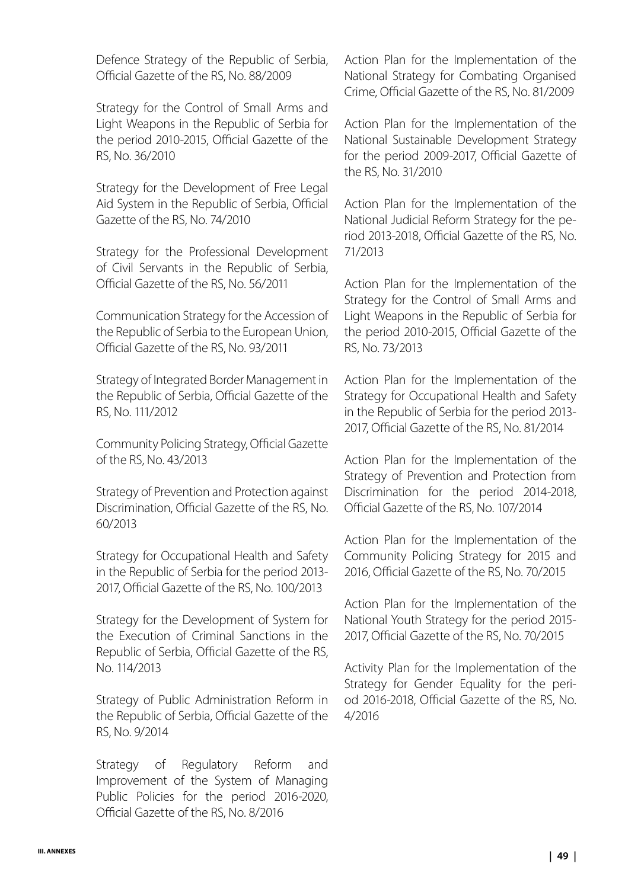Defence Strategy of the Republic of Serbia, Official Gazette of the RS, No. 88/2009

Strategy for the Control of Small Arms and Light Weapons in the Republic of Serbia for the period 2010-2015, Official Gazette of the RS, No. 36/2010

Strategy for the Development of Free Legal Aid System in the Republic of Serbia, Official Gazette of the RS, No. 74/2010

Strategy for the Professional Development of Civil Servants in the Republic of Serbia, Official Gazette of the RS, No. 56/2011

Communication Strategy for the Accession of the Republic of Serbia to the European Union, Official Gazette of the RS, No. 93/2011

Strategy of Integrated Border Management in the Republic of Serbia, Official Gazette of the RS, No. 111/2012

Community Policing Strategy, Official Gazette of the RS, No. 43/2013

Strategy of Prevention and Protection against Discrimination, Official Gazette of the RS, No. 60/2013

Strategy for Occupational Health and Safety in the Republic of Serbia for the period 2013- 2017, Official Gazette of the RS, No. 100/2013

Strategy for the Development of System for the Execution of Criminal Sanctions in the Republic of Serbia, Official Gazette of the RS, No. 114/2013

Strategy of Public Administration Reform in the Republic of Serbia, Official Gazette of the RS, No. 9/2014

Strategy of Regulatory Reform and Improvement of the System of Managing Public Policies for the period 2016-2020, Official Gazette of the RS, No. 8/2016

Action Plan for the Implementation of the National Strategy for Combating Organised Crime, Official Gazette of the RS, No. 81/2009

Action Plan for the Implementation of the National Sustainable Development Strategy for the period 2009-2017, Official Gazette of the RS, No. 31/2010

Action Plan for the Implementation of the National Judicial Reform Strategy for the period 2013-2018, Official Gazette of the RS, No. 71/2013

Action Plan for the Implementation of the Strategy for the Control of Small Arms and Light Weapons in the Republic of Serbia for the period 2010-2015, Official Gazette of the RS, No. 73/2013

Action Plan for the Implementation of the Strategy for Occupational Health and Safety in the Republic of Serbia for the period 2013- 2017, Official Gazette of the RS, No. 81/2014

Action Plan for the Implementation of the Strategy of Prevention and Protection from Discrimination for the period 2014-2018, Official Gazette of the RS, No. 107/2014

Action Plan for the Implementation of the Community Policing Strategy for 2015 and 2016, Official Gazette of the RS, No. 70/2015

Action Plan for the Implementation of the National Youth Strategy for the period 2015- 2017, Official Gazette of the RS, No. 70/2015

Activity Plan for the Implementation of the Strategy for Gender Equality for the period 2016-2018, Official Gazette of the RS, No. 4/2016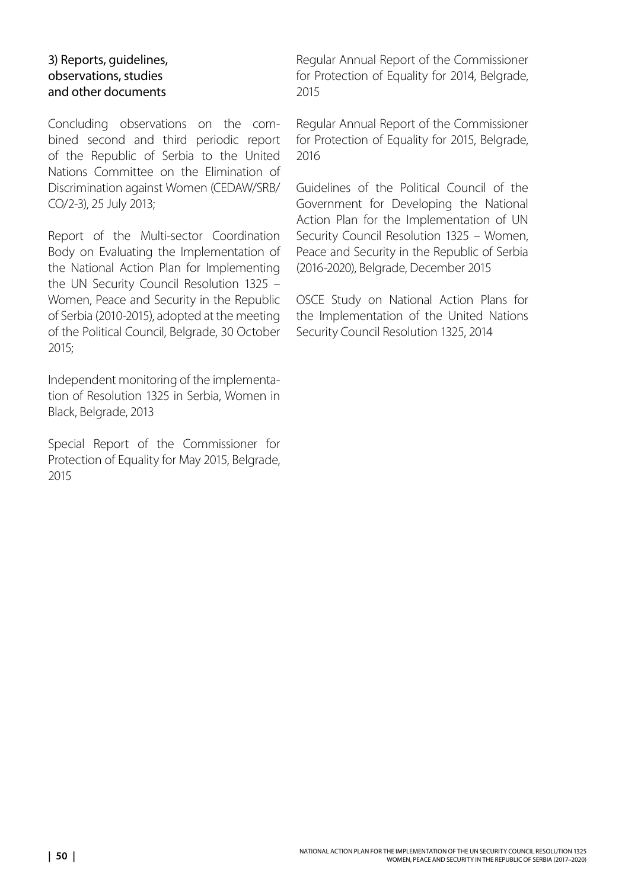### 3) Reports, guidelines, observations, studies and other documents

Concluding observations on the combined second and third periodic report of the Republic of Serbia to the United Nations Committee on the Elimination of Discrimination against Women (CEDAW/SRB/ CO/2-3), 25 July 2013;

Report of the Multi-sector Coordination Body on Evaluating the Implementation of the National Action Plan for Implementing the UN Security Council Resolution 1325 – Women, Peace and Security in the Republic of Serbia (2010-2015), adopted at the meeting of the Political Council, Belgrade, 30 October 2015;

Independent monitoring of the implementation of Resolution 1325 in Serbia, Women in Black, Belgrade, 2013

Special Report of the Commissioner for Protection of Equality for May 2015, Belgrade, 2015

Regular Annual Report of the Commissioner for Protection of Equality for 2014, Belgrade, 2015

Regular Annual Report of the Commissioner for Protection of Equality for 2015, Belgrade, 2016

Guidelines of the Political Council of the Government for Developing the National Action Plan for the Implementation of UN Security Council Resolution 1325 – Women, Peace and Security in the Republic of Serbia (2016-2020), Belgrade, December 2015

OSCE Study on National Action Plans for the Implementation of the United Nations Security Council Resolution 1325, 2014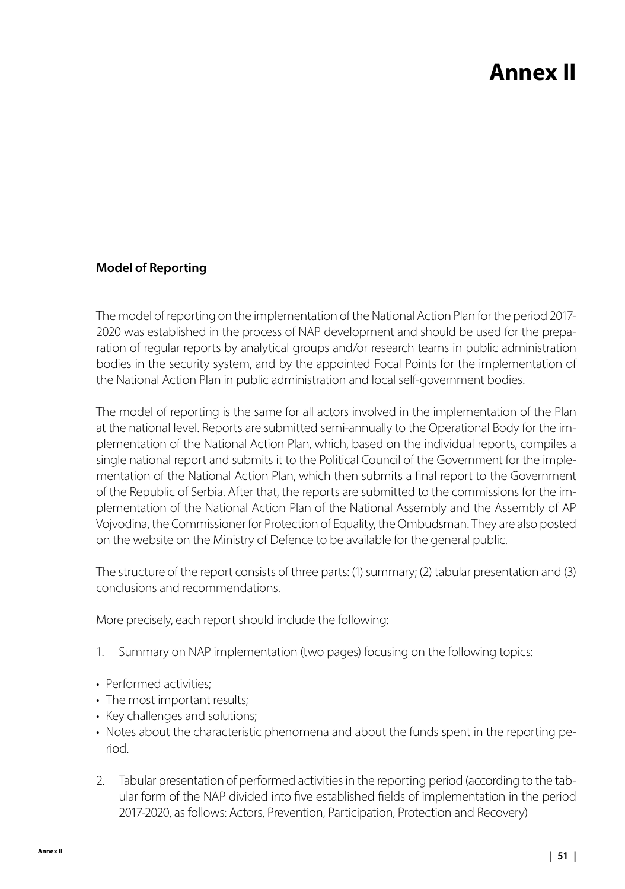# **Annex II**

## <span id="page-50-0"></span>**Model of Reporting**

The model of reporting on the implementation of the National Action Plan for the period 2017- 2020 was established in the process of NAP development and should be used for the preparation of regular reports by analytical groups and/or research teams in public administration bodies in the security system, and by the appointed Focal Points for the implementation of the National Action Plan in public administration and local self-government bodies.

The model of reporting is the same for all actors involved in the implementation of the Plan at the national level. Reports are submitted semi-annually to the Operational Body for the implementation of the National Action Plan, which, based on the individual reports, compiles a single national report and submits it to the Political Council of the Government for the implementation of the National Action Plan, which then submits a final report to the Government of the Republic of Serbia. After that, the reports are submitted to the commissions for the implementation of the National Action Plan of the National Assembly and the Assembly of AP Vojvodina, the Commissioner for Protection of Equality, the Ombudsman. They are also posted on the website on the Ministry of Defence to be available for the general public.

The structure of the report consists of three parts: (1) summary; (2) tabular presentation and (3) conclusions and recommendations.

More precisely, each report should include the following:

- 1. Summary on NAP implementation (two pages) focusing on the following topics:
- Performed activities:
- The most important results;
- Key challenges and solutions;
- Notes about the characteristic phenomena and about the funds spent in the reporting period.
- 2. Tabular presentation of performed activities in the reporting period (according to the tabular form of the NAP divided into five established fields of implementation in the period 2017-2020, as follows: Actors, Prevention, Participation, Protection and Recovery)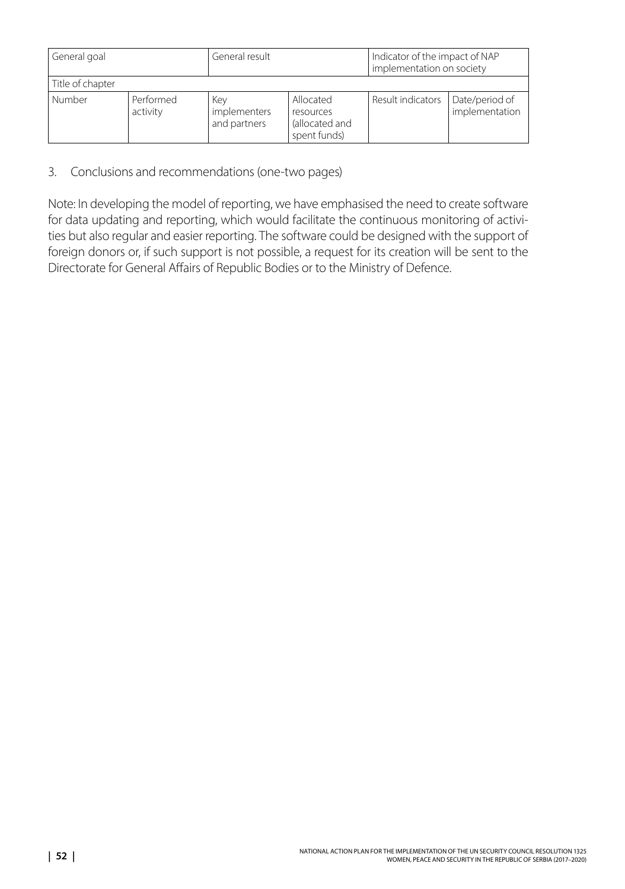| General goal     |                       | General result                      |                                                          | Indicator of the impact of NAP<br>implementation on society |                                  |
|------------------|-----------------------|-------------------------------------|----------------------------------------------------------|-------------------------------------------------------------|----------------------------------|
| Title of chapter |                       |                                     |                                                          |                                                             |                                  |
| Number           | Performed<br>activity | Kev<br>implementers<br>and partners | Allocated<br>resources<br>(allocated and<br>spent funds) | Result indicators                                           | Date/period of<br>implementation |

3. Conclusions and recommendations (one-two pages)

Note: In developing the model of reporting, we have emphasised the need to create software for data updating and reporting, which would facilitate the continuous monitoring of activities but also regular and easier reporting. The software could be designed with the support of foreign donors or, if such support is not possible, a request for its creation will be sent to the Directorate for General Affairs of Republic Bodies or to the Ministry of Defence.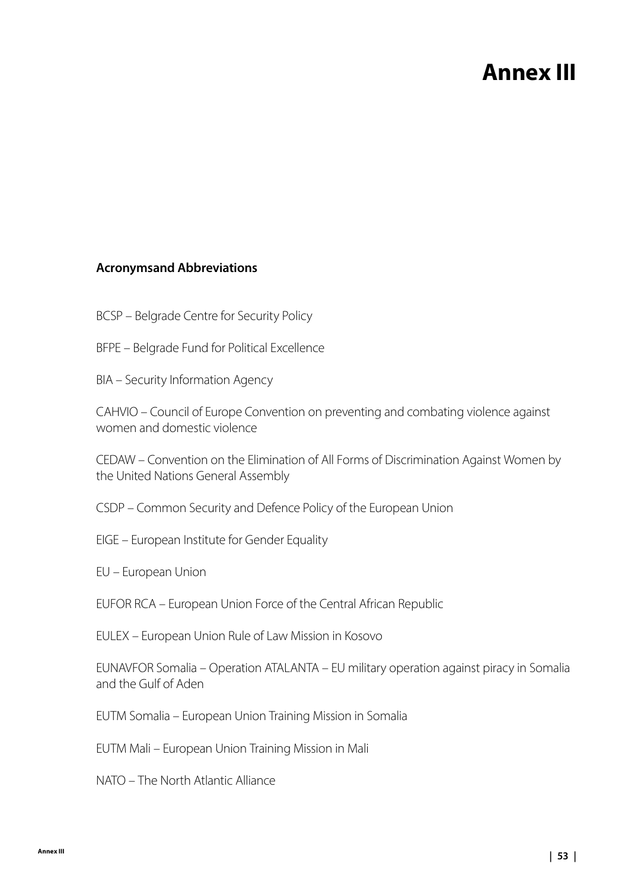## **Annex III**

### <span id="page-52-0"></span>**Acronymsand Abbreviations**

- BCSP Belgrade Centre for Security Policy
- BFPE Belgrade Fund for Political Excellence
- BIA Security Information Agency

CAHVIO – Council of Europe Convention on preventing and combating violence against women and domestic violence

CEDAW – Convention on the Elimination of All Forms of Discrimination Against Women by the United Nations General Assembly

CSDP – Common Security and Defence Policy of the European Union

- EIGE European Institute for Gender Equality
- EU European Union

EUFOR RCA – European Union Force of the Central African Republic

EULEX – European Union Rule of Law Mission in Kosovo

EUNAVFOR Somalia – Operation ATALANTA – EU military operation against piracy in Somalia and the Gulf of Aden

EUTM Somalia – European Union Training Mission in Somalia

EUTM Mali – European Union Training Mission in Mali

NATO – The North Atlantic Alliance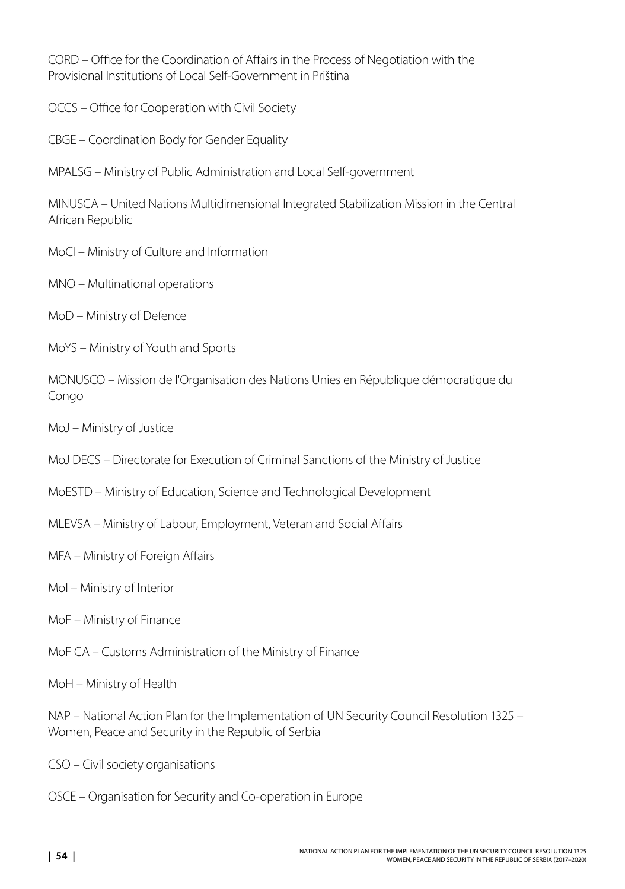CORD – Office for the Coordination of Affairs in the Process of Negotiation with the Provisional Institutions of Local Self-Government in Priština

- OCCS Office for Cooperation with Civil Society
- CBGE Coordination Body for Gender Equality
- MPALSG Ministry of Public Administration and Local Self-government

MINUSCA – United Nations Multidimensional Integrated Stabilization Mission in the Central African Republic

- MoCI Ministry of Culture and Information
- MNO Multinational operations
- MoD Ministry of Defence
- MoYS Ministry of Youth and Sports

MONUSCO – Mission de l'Organisation des Nations Unies en République démocratique du Congo

- MoJ Ministry of Justice
- MoJ DECS Directorate for Execution of Criminal Sanctions of the Ministry of Justice
- MoESTD Ministry of Education, Science and Technological Development
- MLEVSA Ministry of Labour, Employment, Veteran and Social Affairs
- MFA Ministry of Foreign Affairs
- MoI Ministry of Interior
- MoF Ministry of Finance
- MoF CA Customs Administration of the Ministry of Finance
- MoH Ministry of Health

NAP – National Action Plan for the Implementation of UN Security Council Resolution 1325 – Women, Peace and Security in the Republic of Serbia

- CSO Civil society organisations
- OSCE Organisation for Security and Co-operation in Europe